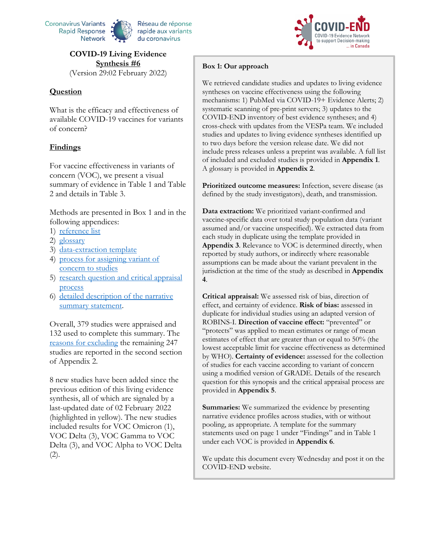

# **COVID-19 Living Evidence Synthesis #6** (Version 29:02 February 2022)

#### **Question**

What is the efficacy and effectiveness of available COVID-19 vaccines for variants of concern?

#### **Findings**

For vaccine effectiveness in variants of concern (VOC), we present a visual summary of evidence in Table 1 and Table 2 and details in Table 3.

Methods are presented in Box 1 and in the following appendices:

- 1) [reference list](#page-23-0)
- 2) glossary
- 3) [data-extraction template](#page-68-0)
- 4) [process for assigning variant of](#page-69-0)  [concern to studies](#page-69-0)
- 5) research question and critical appraisal [process](#page-70-0)
- 6) [detailed description of the narrative](#page-73-0)  [summary statement.](#page-73-0)

Overall, 379 studies were appraised and 132 used to complete this summary. The reasons for excluding the remaining 247 studies are reported in the second section of Appendix 2.

8 new studies have been added since the previous edition of this living evidence synthesis, all of which are signaled by a last-updated date of 02 February 2022 (highlighted in yellow). The new studies included results for VOC Omicron (1), VOC Delta (3), VOC Gamma to VOC Delta (3), and VOC Alpha to VOC Delta (2).



We retrieved candidate studies and updates to living evidence syntheses on vaccine effectiveness using the following mechanisms: 1) PubMed via COVID-19+ Evidence Alerts; 2) systematic scanning of pre-print servers; 3) updates to the COVID-END inventory of best evidence syntheses; and 4) cross-check with updates from the VESPa team. We included studies and updates to living evidence syntheses identified up to two days before the version release date. We did not include press releases unless a preprint was available. A full list of included and excluded studies is provided in **Appendix 1**. A glossary is provided in **Appendix 2**.

**Prioritized outcome measures:** Infection, severe disease (as defined by the study investigators), death, and transmission.

**Data extraction:** We prioritized variant-confirmed and vaccine-specific data over total study population data (variant assumed and/or vaccine unspecified). We extracted data from each study in duplicate using the template provided in **Appendix 3**. Relevance to VOC is determined directly, when reported by study authors, or indirectly where reasonable assumptions can be made about the variant prevalent in the jurisdiction at the time of the study as described in **Appendix 4**.

**Critical appraisal:** We assessed risk of bias, direction of effect, and certainty of evidence. **Risk of bias:** assessed in duplicate for individual studies using an adapted version of ROBINS-I. **Direction of vaccine effect:** "prevented" or "protects" was applied to mean estimates or range of mean estimates of effect that are greater than or equal to 50% (the lowest acceptable limit for vaccine effectiveness as determined by WHO). **Certainty of evidence:** assessed for the collection of studies for each vaccine according to variant of concern using a modified version of GRADE. Details of the research question for this synopsis and the critical appraisal process are provided in **Appendix 5**.

**Summaries:** We summarized the evidence by presenting narrative evidence profiles across studies, with or without pooling, as appropriate. A template for the summary statements used on page 1 under "Findings" and in Table 1 under each VOC is provided in **Appendix 6**.

We update this document every Wednesday and post it on the COVID-END website.

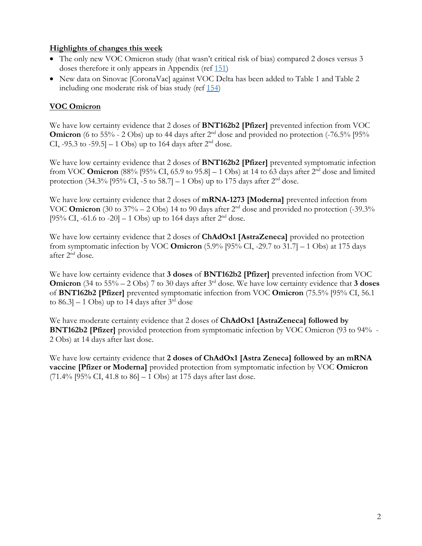# **Highlights of changes this week**

- The only new VOC Omicron study (that wasn't critical risk of bias) compared 2 doses versus 3 doses therefore it only appears in Appendix (ref [151\)](https://www.medrxiv.org/content/10.1101/2022.01.18.22269452v2)
- New data on Sinovac [CoronaVac] against VOC Delta has been added to Table 1 and Table 2 including one moderate risk of bias study (ref [154\)](https://papers.ssrn.com/sol3/papers.cfm?abstract_id=4005130)

# **VOC Omicron**

We have low certainty evidence that 2 doses of **BNT162b2 [Pfizer]** prevented infection from VOC **Omicron** (6 to 55% - 2 Obs) up to 44 days after 2<sup>nd</sup> dose and provided no protection (-76.5% [95% CI, -95.3 to -59.5] – 1 Obs) up to 164 days after  $2<sup>nd</sup>$  dose.

We have low certainty evidence that 2 doses of **BNT162b2 [Pfizer]** prevented symptomatic infection from VOC **Omicron** (88% [95% CI, 65.9 to 95.8]  $-1$  Obs) at 14 to 63 days after  $2<sup>nd</sup>$  dose and limited protection (34.3% [95% CI, -5 to 58.7] – 1 Obs) up to 175 days after  $2<sup>nd</sup>$  dose.

We have low certainty evidence that 2 doses of **mRNA-1273 [Moderna]** prevented infection from VOC **Omicron** (30 to 37% – 2 Obs) 14 to 90 days after 2<sup>nd</sup> dose and provided no protection (-39.3%) [95% CI, -61.6 to -20] – 1 Obs) up to 164 days after  $2<sup>nd</sup>$  dose.

We have low certainty evidence that 2 doses of **ChAdOx1 [AstraZeneca]** provided no protection from symptomatic infection by VOC **Omicron** (5.9% [95% CI, -29.7 to 31.7] – 1 Obs) at 175 days after 2nd dose.

We have low certainty evidence that **3 doses** of **BNT162b2 [Pfizer]** prevented infection from VOC **Omicron** (34 to 55% – 2 Obs) 7 to 30 days after 3<sup>rd</sup> dose. We have low certainty evidence that **3 doses** of **BNT162b2 [Pfizer]** prevented symptomatic infection from VOC **Omicron** (75.5% [95% CI, 56.1 to  $86.3$ ] – 1 Obs) up to 14 days after  $3<sup>rd</sup>$  dose

We have moderate certainty evidence that 2 doses of **ChAdOx1 [AstraZeneca] followed by BNT162b2 [Pfizer]** provided protection from symptomatic infection by VOC Omicron (93 to 94% - 2 Obs) at 14 days after last dose.

We have low certainty evidence that **2 doses of ChAdOx1 [Astra Zeneca] followed by an mRNA vaccine [Pfizer or Moderna]** provided protection from symptomatic infection by VOC **Omicron**   $(71.4\%$  [95% CI, 41.8 to 86] – 1 Obs) at 175 days after last dose.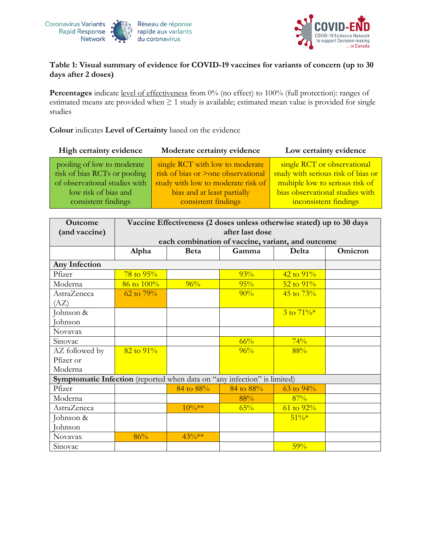



# **Table 1: Visual summary of evidence for COVID-19 vaccines for variants of concern (up to 30 days after 2 doses)**

Percentages indicate level of effectiveness from 0% (no effect) to 100% (full protection): ranges of estimated means are provided when ≥ 1 study is available; estimated mean value is provided for single studies

# **Colour** indicates **Level of Certainty** based on the evidence

| High certainty evidence       | Moderate certainty evidence        | Low certainty evidence             |
|-------------------------------|------------------------------------|------------------------------------|
| pooling of low to moderate    | single RCT with low to moderate    | single RCT or observational        |
| risk of bias RCTs or pooling  | risk of bias or >one observational | study with serious risk of bias or |
| of observational studies with | study with low to moderate risk of | multiple low to serious risk of    |
| low risk of bias and          | bias and at least partially        | bias observational studies with    |
| consistent findings           | consistent findings                | inconsistent findings              |
|                               |                                    |                                    |

| Outcome                                                                  | Vaccine Effectiveness (2 doses unless otherwise stated) up to 30 days |                                                   |           |                        |         |
|--------------------------------------------------------------------------|-----------------------------------------------------------------------|---------------------------------------------------|-----------|------------------------|---------|
| (and vaccine)                                                            | after last dose                                                       |                                                   |           |                        |         |
|                                                                          |                                                                       | each combination of vaccine, variant, and outcome |           |                        |         |
|                                                                          | Alpha                                                                 | <b>Beta</b>                                       | Gamma     | Delta                  | Omicron |
| Any Infection                                                            |                                                                       |                                                   |           |                        |         |
| Pfizer                                                                   | $78 \text{ to } 95\%$                                                 |                                                   | 93%       | $42 \text{ to } 91\%$  |         |
| Moderna                                                                  | 86 to 100%                                                            | 96%                                               | 95%       | $52$ to $91\%$         |         |
| AstraZeneca                                                              | $62$ to $79%$                                                         |                                                   | 90%       | $45 \text{ to } 73\%$  |         |
| (AZ)                                                                     |                                                                       |                                                   |           |                        |         |
| Johnson &                                                                |                                                                       |                                                   |           | $3 \text{ to } 71\%$ * |         |
| Johnson                                                                  |                                                                       |                                                   |           |                        |         |
| Novavax                                                                  |                                                                       |                                                   |           |                        |         |
| Sinovac                                                                  |                                                                       |                                                   | 66%       | 74%                    |         |
| AZ followed by                                                           | $82$ to $91\%$                                                        |                                                   | 96%       | 88%                    |         |
| Pfizer or                                                                |                                                                       |                                                   |           |                        |         |
| Moderna                                                                  |                                                                       |                                                   |           |                        |         |
| Symptomatic Infection (reported when data on "any infection" is limited) |                                                                       |                                                   |           |                        |         |
| Pfizer                                                                   |                                                                       | 84 to 88%                                         | 84 to 88% | 63 to $94\%$           |         |
| Moderna                                                                  |                                                                       |                                                   | 88%       | 87%                    |         |
| AstraZeneca                                                              |                                                                       | $10\%**$                                          | 65%       | $61$ to $92\%$         |         |
| Johnson &                                                                |                                                                       |                                                   |           | $51\%*$                |         |
| Johnson                                                                  |                                                                       |                                                   |           |                        |         |
| Novavax                                                                  | 86%                                                                   | $43\%**$                                          |           |                        |         |
| Sinovac                                                                  |                                                                       |                                                   |           | 59%                    |         |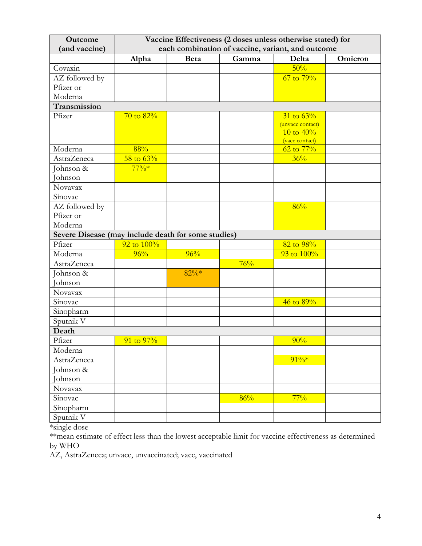| Outcome                                             | Vaccine Effectiveness (2 doses unless otherwise stated) for |             |       |                                         |         |
|-----------------------------------------------------|-------------------------------------------------------------|-------------|-------|-----------------------------------------|---------|
| (and vaccine)                                       | each combination of vaccine, variant, and outcome           |             |       |                                         |         |
|                                                     | Alpha                                                       | <b>Beta</b> | Gamma | Delta                                   | Omicron |
| Covaxin                                             |                                                             |             |       | 50%                                     |         |
| AZ followed by                                      |                                                             |             |       | $67$ to $79\%$                          |         |
| Pfizer or                                           |                                                             |             |       |                                         |         |
| Moderna                                             |                                                             |             |       |                                         |         |
| Transmission                                        |                                                             |             |       |                                         |         |
| Pfizer                                              | $70$ to $82\%$                                              |             |       | $31 \text{ to } 63\%$                   |         |
|                                                     |                                                             |             |       | (unvacc contact)                        |         |
|                                                     |                                                             |             |       | 10 to $40\%$                            |         |
| Moderna                                             | 88%                                                         |             |       | (vacc contact)<br>$62 \text{ to } 77\%$ |         |
| <b>AstraZeneca</b>                                  | 58 to $63%$                                                 |             |       | 36%                                     |         |
| Johnson &                                           | $77\%*$                                                     |             |       |                                         |         |
| Johnson                                             |                                                             |             |       |                                         |         |
| Novavax                                             |                                                             |             |       |                                         |         |
| Sinovac                                             |                                                             |             |       |                                         |         |
| AZ followed by                                      |                                                             |             |       | 86%                                     |         |
| Pfizer or                                           |                                                             |             |       |                                         |         |
| Moderna                                             |                                                             |             |       |                                         |         |
| Severe Disease (may include death for some studies) |                                                             |             |       |                                         |         |
| Pfizer                                              | 92 to 100%                                                  |             |       | 82 to 98%                               |         |
| Moderna                                             | 96%                                                         | 96%         |       | 93 to 100%                              |         |
| AstraZeneca                                         |                                                             |             | 76%   |                                         |         |
| Johnson &                                           |                                                             | $82\%*$     |       |                                         |         |
| <b>Johnson</b>                                      |                                                             |             |       |                                         |         |
| Novavax                                             |                                                             |             |       |                                         |         |
| Sinovac                                             |                                                             |             |       | $46$ to $89\%$                          |         |
| Sinopharm                                           |                                                             |             |       |                                         |         |
| Sputnik V                                           |                                                             |             |       |                                         |         |
| Death                                               |                                                             |             |       |                                         |         |
| Pfizer                                              | $91$ to $97\%$                                              |             |       | 90%                                     |         |
| Moderna                                             |                                                             |             |       |                                         |         |
| AstraZeneca                                         |                                                             |             |       | $91\%*$                                 |         |
| Johnson &                                           |                                                             |             |       |                                         |         |
| Johnson                                             |                                                             |             |       |                                         |         |
| Novavax                                             |                                                             |             |       |                                         |         |
| Sinovac                                             |                                                             |             | 86%   | $77\%$                                  |         |
| Sinopharm                                           |                                                             |             |       |                                         |         |
| Sputnik V                                           |                                                             |             |       |                                         |         |

\*single dose

\*\*mean estimate of effect less than the lowest acceptable limit for vaccine effectiveness as determined by WHO

AZ, AstraZeneca; unvacc, unvaccinated; vacc, vaccinated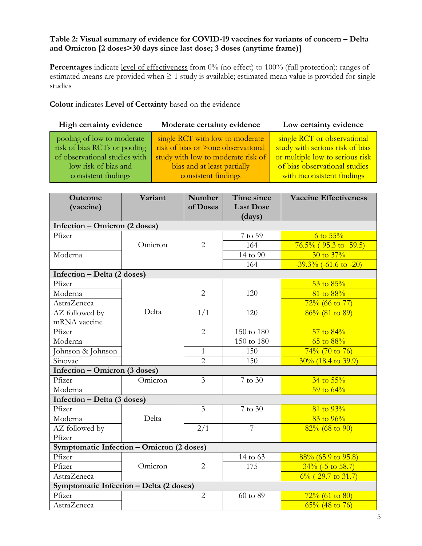# **Table 2: Visual summary of evidence for COVID-19 vaccines for variants of concern – Delta and Omicron [2 doses>30 days since last dose; 3 doses (anytime frame)]**

Percentages indicate level of effectiveness from 0% (no effect) to 100% (full protection): ranges of estimated means are provided when  $\geq 1$  study is available; estimated mean value is provided for single studies

**Colour** indicates **Level of Certainty** based on the evidence

| High certainty evidence                                                                                                                    | Moderate certainty evidence                                                                                                                                       | Low certainty evidence                                                                                                                                           |
|--------------------------------------------------------------------------------------------------------------------------------------------|-------------------------------------------------------------------------------------------------------------------------------------------------------------------|------------------------------------------------------------------------------------------------------------------------------------------------------------------|
| pooling of low to moderate<br>risk of bias RCTs or pooling<br>of observational studies with<br>low risk of bias and<br>consistent findings | single RCT with low to moderate<br>risk of bias or >one observational<br>study with low to moderate risk of<br>bias and at least partially<br>consistent findings | single RCT or observational<br>study with serious risk of bias<br>or multiple low to serious risk<br>of bias observational studies<br>with inconsistent findings |
|                                                                                                                                            |                                                                                                                                                                   |                                                                                                                                                                  |

| <b>Outcome</b>                            | Variant | Number         | Time since       | <b>Vaccine Effectiveness</b> |
|-------------------------------------------|---------|----------------|------------------|------------------------------|
| (vaccine)                                 |         | of Doses       | <b>Last Dose</b> |                              |
|                                           |         |                | (days)           |                              |
| Infection - Omicron (2 doses)             |         |                |                  |                              |
| Pfizer                                    |         |                | 7 to 59          | 6 to $55%$                   |
|                                           | Omicron | $\overline{2}$ | 164              | $-76.5\%$ (-95.3 to -59.5)   |
| Moderna                                   |         |                | 14 to 90         | $30 \text{ to } 37\%$        |
|                                           |         |                | 164              | $-39.3\%$ (-61.6 to -20)     |
| Infection - Delta (2 doses)               |         |                |                  |                              |
| Pfizer                                    |         |                |                  | $53$ to $85%$                |
| Moderna                                   |         | $\overline{2}$ | 120              | 81 to 88%                    |
| AstraZeneca                               |         |                |                  | $72\%$ (66 to 77)            |
| AZ followed by                            | Delta   | 1/1            | 120              | $86\%$ (81 to 89)            |
| mRNA vaccine                              |         |                |                  |                              |
| Pfizer                                    |         | $\overline{2}$ | 150 to 180       | $57$ to $84\%$               |
| Moderna                                   |         |                | 150 to 180       | 65 to 88%                    |
| Johnson & Johnson                         |         | $\mathbf{1}$   | 150              | $74\%$ (70 to 76)            |
| Sinovac                                   |         | $\overline{2}$ | 150              | $30\%$ (18.4 to 39.9)        |
| Infection – Omicron (3 doses)             |         |                |                  |                              |
| Pfizer                                    | Omicron | $\overline{3}$ | 7 to 30          | $34$ to $55%$                |
| Moderna                                   |         |                |                  | 59 to $64\%$                 |
| Infection - Delta (3 doses)               |         |                |                  |                              |
| Pfizer                                    |         | $\overline{3}$ | 7 to 30          | 81 to 93%                    |
| Moderna                                   | Delta   |                |                  | 83 to 96%                    |
| AZ followed by                            |         | 2/1            | $\overline{7}$   | $82\%$ (68 to 90)            |
| Pfizer                                    |         |                |                  |                              |
| Symptomatic Infection - Omicron (2 doses) |         |                |                  |                              |
| Pfizer                                    |         |                | 14 to 63         | $88\%$ (65.9 to 95.8)        |
| Pfizer                                    | Omicron | $\overline{2}$ | 175              | $34\%$ (-5 to 58.7)          |
| AstraZeneca                               |         |                |                  | $6\%$ (-29.7 to 31.7)        |
| Symptomatic Infection - Delta (2 doses)   |         |                |                  |                              |
| Pfizer                                    |         | $\overline{2}$ | 60 to 89         | $72\%$ (61 to 80)            |
| <b>AstraZeneca</b>                        |         |                |                  | $65\%$ (48 to 76)            |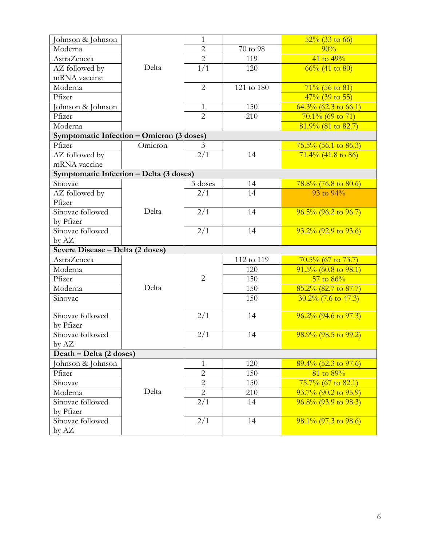| Johnson & Johnson                         |         | $\mathbf{1}$   |            | $52\%$ (33 to 66)       |
|-------------------------------------------|---------|----------------|------------|-------------------------|
| Moderna                                   |         | $\overline{2}$ | 70 to 98   | 90%                     |
| <b>AstraZeneca</b>                        |         | $\overline{2}$ | 119        | 41 to $49\%$            |
| AZ followed by                            | Delta   | 1/1            | 120        | $66\%$ (41 to 80)       |
| mRNA vaccine                              |         |                |            |                         |
| Moderna                                   |         | $\overline{2}$ | 121 to 180 | $71\%$ (56 to 81)       |
| Pfizer                                    |         |                |            | $47\%$ (39 to 55)       |
| Johnson & Johnson                         |         | $\mathbf{1}$   | 150        | $64.3\%$ (62.3 to 66.1) |
| Pfizer                                    |         | $\overline{2}$ | 210        | $70.1\%$ (69 to 71)     |
| Moderna                                   |         |                |            | $81.9\%$ (81 to 82.7)   |
| Symptomatic Infection - Omicron (3 doses) |         |                |            |                         |
| Pfizer                                    | Omicron | 3              |            | $75.5\%$ (56.1 to 86.3) |
| AZ followed by                            |         | 2/1            | 14         | $71.4\%$ (41.8 to 86)   |
| mRNA vaccine                              |         |                |            |                         |
| Symptomatic Infection - Delta (3 doses)   |         |                |            |                         |
| Sinovac                                   |         | 3 doses        | 14         | $78.8\%$ (76.8 to 80.6) |
| AZ followed by                            |         | 2/1            | 14         | 93 to $94\%$            |
| Pfizer                                    |         |                |            |                         |
| Sinovac followed                          | Delta   | 2/1            | 14         | $96.5\%$ (96.2 to 96.7) |
| by Pfizer                                 |         |                |            |                         |
| Sinovac followed                          |         | 2/1            | 14         | $93.2\%$ (92.9 to 93.6) |
| by AZ                                     |         |                |            |                         |
| Severe Disease - Delta (2 doses)          |         |                |            |                         |
| <b>AstraZeneca</b>                        |         |                | 112 to 119 | $70.5\%$ (67 to 73.7)   |
| Moderna                                   |         |                | 120        | $91.5\%$ (60.8 to 98.1) |
| Pfizer                                    |         | $\overline{2}$ | 150        | $57$ to $86\%$          |
| Moderna                                   | Delta   |                | 150        | $85.2\%$ (82.7 to 87.7) |
| Sinovac                                   |         |                | 150        | $30.2\%$ (7.6 to 47.3)  |
| Sinovac followed                          |         | 2/1            | 14         | $96.2\%$ (94.6 to 97.3) |
| by Pfizer                                 |         |                |            |                         |
| Sinovac followed                          |         | 2/1            | 14         | $98.9\%$ (98.5 to 99.2) |
| by AZ                                     |         |                |            |                         |
| Death – Delta (2 doses)                   |         |                |            |                         |
| Johnson & Johnson                         |         | 1              | 120        | $89.4\%$ (52.3 to 97.6) |
| Pfizer                                    |         | $\overline{c}$ | 150        | 81 to 89%               |
| Sinovac                                   |         | $\overline{2}$ | 150        | $75.7\%$ (67 to 82.1)   |
| Moderna                                   | Delta   | $\overline{2}$ | 210        | $93.7\%$ (90.2 to 95.9) |
| Sinovac followed                          |         | 2/1            | 14         | $96.8\%$ (93.9 to 98.3) |
| by Pfizer                                 |         |                |            |                         |
| Sinovac followed                          |         | 2/1            | 14         | $98.1\%$ (97.3 to 98.6) |
| by AZ                                     |         |                |            |                         |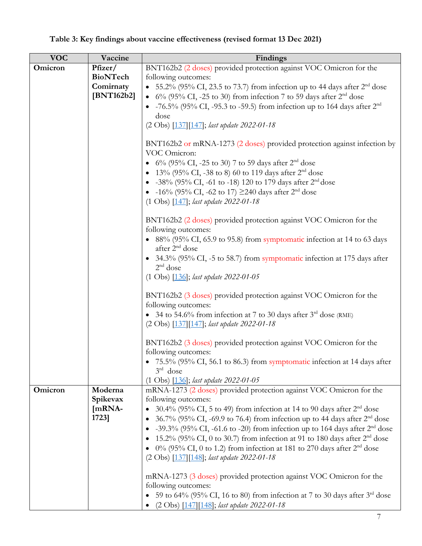#### **VOC Vaccine Findings Omicron Pfizer/ BioNTech Comirnaty [BNT162b2]** BNT162b2 (2 doses) provided protection against VOC Omicron for the following outcomes: • 55.2% (95% CI, 23.5 to 73.7) from infection up to 44 days after  $2<sup>nd</sup>$  dose •  $6\%$  (95% CI, -25 to 30) from infection 7 to 59 days after  $2<sup>nd</sup>$  dose •  $-76.5\%$  (95% CI,  $-95.3$  to  $-59.5$ ) from infection up to 164 days after  $2<sup>nd</sup>$ dose (2 Obs) [\[137\]](https://www.medrxiv.org/content/10.1101/2021.12.20.21267966v3)[\[147\]](https://www.medrxiv.org/content/10.1101/2021.12.30.21268565v1); *last update 2022-01-18* BNT162b2 or mRNA-1273 (2 doses) provided protection against infection by VOC Omicron: • 6% (95% CI, -25 to 30) 7 to 59 days after  $2^{nd}$  dose • 13% (95% CI, -38 to 8) 60 to 119 days after  $2<sup>nd</sup>$  dose • -38% (95% CI, -61 to -18) 120 to 179 days after  $2<sup>nd</sup>$  dose •  $-16\%$  (95% CI,  $-62$  to 17)  $\geq$ 240 days after 2<sup>nd</sup> dose (1 Obs) [\[147\]](https://www.medrxiv.org/content/10.1101/2021.12.30.21268565v1); *last update 2022-01-18* BNT162b2 (2 doses) provided protection against VOC Omicron for the following outcomes: • 88% (95% CI, 65.9 to 95.8) from symptomatic infection at 14 to 63 days after 2nd dose • 34.3% (95% CI, -5 to 58.7) from symptomatic infection at 175 days after  $2<sup>nd</sup>$  dose (1 Obs) [\[136\]](https://www.medrxiv.org/content/10.1101/2021.12.14.21267615v1); *last update 2022-01-05* BNT162b2 (3 doses) provided protection against VOC Omicron for the following outcomes: • 34 to 54.6% from infection at 7 to 30 days after  $3<sup>rd</sup>$  dose (RME) (2 Obs) [\[137\]](https://www.medrxiv.org/content/10.1101/2021.12.20.21267966v3)[\[147\]](https://www.medrxiv.org/content/10.1101/2021.12.30.21268565v1); *last update 2022-01-18* BNT162b2 (3 doses) provided protection against VOC Omicron for the following outcomes: • 75.5% (95% CI, 56.1 to 86.3) from symptomatic infection at 14 days after 3rd dose (1 Obs) [\[136\]](https://www.medrxiv.org/content/10.1101/2021.12.14.21267615v1); *last update 2022-01-05* **Omicron Moderna Spikevax [mRNA-1723]** mRNA-1273 (2 doses) provided protection against VOC Omicron for the following outcomes: • 30.4% (95% CI, 5 to 49) from infection at 14 to 90 days after  $2<sup>nd</sup>$  dose • 36.7% (95% CI, -69.9 to 76.4) from infection up to 44 days after  $2<sup>nd</sup>$  dose • -39.3% (95% CI, -61.6 to -20) from infection up to 164 days after  $2<sup>nd</sup>$  dose • 15.2% (95% CI, 0 to 30.7) from infection at 91 to 180 days after  $2<sup>nd</sup>$  dose • 0% (95% CI, 0 to 1.2) from infection at 181 to 270 days after  $2<sup>nd</sup>$  dose (2 Obs) [\[137\]](https://www.medrxiv.org/content/10.1101/2021.12.20.21267966v3)[\[148\]](https://www.medrxiv.org/content/10.1101/2022.01.07.22268919v1); *last update 2022-01-18* mRNA-1273 (3 doses) provided protection against VOC Omicron for the following outcomes: • 59 to 64% (95% CI, 16 to 80) from infection at 7 to 30 days after  $3<sup>rd</sup>$  dose • (2 Obs) [\[147\]](https://www.medrxiv.org/content/10.1101/2021.12.30.21268565v1)[\[148\]](https://www.medrxiv.org/content/10.1101/2022.01.07.22268919v1); *last update 2022-01-18*

# **Table 3: Key findings about vaccine effectiveness (revised format 13 Dec 2021)**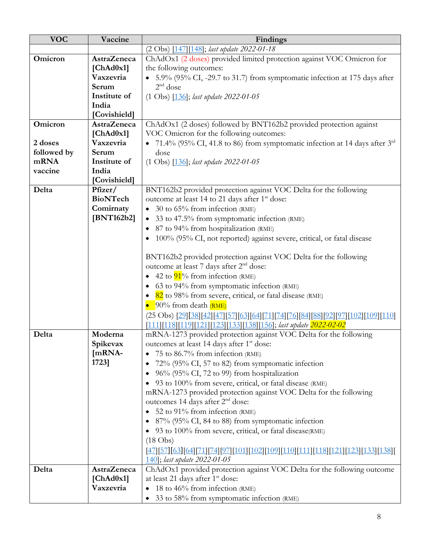| <b>VOC</b>  | Vaccine            | Findings                                                                                                |
|-------------|--------------------|---------------------------------------------------------------------------------------------------------|
|             |                    | (2 Obs) [147] [148]; last update 2022-01-18                                                             |
| Omicron     | <b>AstraZeneca</b> | ChAdOx1 (2 doses) provided limited protection against VOC Omicron for                                   |
|             | [ChAd0x1]          | the following outcomes:                                                                                 |
|             | Vaxzevria          | • 5.9% (95% CI, -29.7 to 31.7) from symptomatic infection at 175 days after                             |
|             | Serum              | $2nd$ dose                                                                                              |
|             | Institute of       | $(1 \text{ Obs})$ $[136]$ ; last update 2022-01-05                                                      |
|             | India              |                                                                                                         |
|             | [Covishield]       |                                                                                                         |
| Omicron     | <b>AstraZeneca</b> | ChAdOx1 (2 doses) followed by BNT162b2 provided protection against                                      |
|             | [ChAd0x1]          | VOC Omicron for the following outcomes:                                                                 |
| 2 doses     | Vaxzevria          | • 71.4% (95% CI, 41.8 to 86) from symptomatic infection at 14 days after $3^{rd}$                       |
| followed by | Serum              | dose                                                                                                    |
| mRNA        | Institute of       | $(1 \text{ Obs})$ $[136]$ ; last update 2022-01-05                                                      |
| vaccine     | India              |                                                                                                         |
|             | [Covishield]       |                                                                                                         |
| Delta       | Pfizer/            | BNT162b2 provided protection against VOC Delta for the following                                        |
|             | <b>BioNTech</b>    | outcome at least 14 to 21 days after 1 <sup>st</sup> dose:                                              |
|             | Comirnaty          | • 30 to $65\%$ from infection (RME)                                                                     |
|             | [BNT162b2]         | 33 to 47.5% from symptomatic infection (RME)                                                            |
|             |                    | 87 to 94% from hospitalization (RME)                                                                    |
|             |                    | 100% (95% CI, not reported) against severe, critical, or fatal disease                                  |
|             |                    |                                                                                                         |
|             |                    | BNT162b2 provided protection against VOC Delta for the following                                        |
|             |                    | outcome at least 7 days after 2 <sup>nd</sup> dose:                                                     |
|             |                    | • 42 to $91\%$ from infection (RME)                                                                     |
|             |                    | 63 to 94% from symptomatic infection (RME)                                                              |
|             |                    | • 82 to 98% from severe, critical, or fatal disease (RME)                                               |
|             |                    | $\bullet$ 90% from death (RME)                                                                          |
|             |                    | (25 Obs) [29][38][42][47][57][63][64][71][74][76][84][88][92][97][102][109][110]                        |
|             |                    | [111][118][119][121][123][133][138][156]; last update 2022-02-02                                        |
| Delta       | Moderna            | mRNA-1273 provided protection against VOC Delta for the following                                       |
|             | Spikevax           | outcomes at least 14 days after 1 <sup>st</sup> dose:                                                   |
|             | $[mRNA-$           | 75 to 86.7% from infection (RME)                                                                        |
|             | 1723]              | 72% (95% CI, 57 to 82) from symptomatic infection                                                       |
|             |                    | 96% (95% CI, 72 to 99) from hospitalization                                                             |
|             |                    | 93 to 100% from severe, critical, or fatal disease (RME)                                                |
|             |                    | mRNA-1273 provided protection against VOC Delta for the following                                       |
|             |                    | outcomes 14 days after 2 <sup>nd</sup> dose:                                                            |
|             |                    | 52 to 91% from infection (RME)                                                                          |
|             |                    | • 87% (95% CI, 84 to 88) from symptomatic infection                                                     |
|             |                    | • 93 to 100% from severe, critical, or fatal disease(RME)                                               |
|             |                    | $(18 \text{ Obs})$                                                                                      |
|             |                    | <u>[47] [57] [63] [64] [71] [74] [97] [101] [102] [109] [110] [111] [118] [121] [123] [133] [138] [</u> |
|             |                    | <u>140</u> ; last update 2022-01-05                                                                     |
| Delta       | <b>AstraZeneca</b> | ChAdOx1 provided protection against VOC Delta for the following outcome                                 |
|             | [ChAd0x1]          | at least 21 days after 1 <sup>st</sup> dose:                                                            |
|             | Vaxzevria          | 18 to $46\%$ from infection (RME)                                                                       |
|             |                    | 33 to 58% from symptomatic infection (RME)                                                              |
|             |                    |                                                                                                         |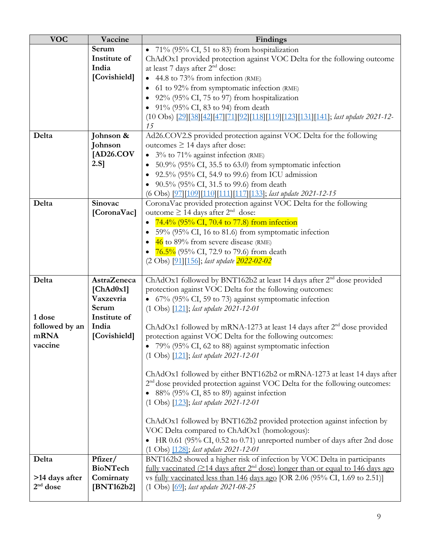| <b>VOC</b>             | Vaccine               | Findings                                                                                                   |
|------------------------|-----------------------|------------------------------------------------------------------------------------------------------------|
|                        | Serum                 | • $71\%$ (95% CI, 51 to 83) from hospitalization                                                           |
|                        | Institute of          | ChAdOx1 provided protection against VOC Delta for the following outcome                                    |
|                        | India                 | at least 7 days after 2 <sup>nd</sup> dose:                                                                |
|                        | [Covishield]          | • 44.8 to 73% from infection (RME)                                                                         |
|                        |                       | 61 to 92% from symptomatic infection (RME)                                                                 |
|                        |                       | 92% (95% CI, 75 to 97) from hospitalization                                                                |
|                        |                       | • 91% (95% CI, 83 to 94) from death                                                                        |
|                        |                       | (10 Obs) [29][38][42][47][71][92][118][119][123][131][141]; last update 2021-12-                           |
|                        |                       | 15                                                                                                         |
| Delta                  | Johnson &             | Ad26.COV2.S provided protection against VOC Delta for the following                                        |
|                        | Johnson               | outcomes $\geq$ 14 days after dose:                                                                        |
|                        | [AD26.COV]            | • $3\%$ to 71% against infection (RME)                                                                     |
|                        | $2.S$ ]               | 50.9% (95% CI, 35.5 to 63.0) from symptomatic infection                                                    |
|                        |                       | 92.5% (95% CI, 54.9 to 99.6) from ICU admission                                                            |
|                        |                       | 90.5% (95% CI, 31.5 to 99.6) from death                                                                    |
|                        |                       | (6 Obs) [97][109][110][111][117][133]; last update 2021-12-15                                              |
| Delta                  | Sinovac               | CoronaVac provided protection against VOC Delta for the following                                          |
|                        | [CoronaVac]           | outcome ≥ 14 days after $2nd$ dose:                                                                        |
|                        |                       | 74.4% (95% CI, 70.4 to 77.8) from infection                                                                |
|                        |                       | 59% (95% CI, 16 to 81.6) from symptomatic infection                                                        |
|                        |                       | • $\frac{46}{10}$ to 89% from severe disease (RME)                                                         |
|                        |                       | • $76.5\%$ (95% CI, 72.9 to 79.6) from death                                                               |
|                        |                       | (2 Obs) [91][156]; last update 2022-02-02                                                                  |
|                        |                       |                                                                                                            |
| Delta                  | <b>AstraZeneca</b>    | ChAdOx1 followed by BNT162b2 at least 14 days after 2 <sup>nd</sup> dose provided                          |
|                        | [ChAd0x1]             | protection against VOC Delta for the following outcomes:                                                   |
|                        | Vaxzevria             | • 67% (95% CI, 59 to 73) against symptomatic infection                                                     |
|                        | Serum                 | $(1 \text{ Obs})$ $[121]$ ; last update 2021-12-01                                                         |
| 1 dose                 | Institute of          |                                                                                                            |
| followed by an<br>mRNA | India<br>[Covishield] | ChAdOx1 followed by mRNA-1273 at least 14 days after $2nd$ dose provided                                   |
|                        |                       | protection against VOC Delta for the following outcomes:                                                   |
| vaccine                |                       | 79% (95% CI, 62 to 88) against symptomatic infection<br>$(1 \text{ Obs})$ $[121]$ ; last update 2021-12-01 |
|                        |                       |                                                                                                            |
|                        |                       | ChAdOx1 followed by either BNT162b2 or mRNA-1273 at least 14 days after                                    |
|                        |                       | 2 <sup>nd</sup> dose provided protection against VOC Delta for the following outcomes:                     |
|                        |                       | 88% (95% CI, 85 to 89) against infection                                                                   |
|                        |                       | $(1 \text{ Obs})$ $[123]$ ; last update 2021-12-01                                                         |
|                        |                       |                                                                                                            |
|                        |                       | ChAdOx1 followed by BNT162b2 provided protection against infection by                                      |
|                        |                       | VOC Delta compared to ChAdOx1 (homologous):                                                                |
|                        |                       | • HR 0.61 (95% CI, 0.52 to 0.71) unreported number of days after 2nd dose                                  |
|                        |                       | (1 Obs) [128]; last update 2021-12-01                                                                      |
| Delta                  | Pfizer/               | BNT162b2 showed a higher risk of infection by VOC Delta in participants                                    |
|                        | <b>BioNTech</b>       | fully vaccinated $(214 \text{ days after } 2^{nd} \text{ dose})$ longer than or equal to 146 days ago      |
| >14 days after         | Comirnaty             | vs fully vaccinated less than 146 days ago [OR 2.06 (95% CI, 1.69 to 2.51)]                                |
| $2nd$ dose             | [BNT162b2]            | $(1 \text{ Obs})$ $[69]$ ; last update 2021-08-25                                                          |
|                        |                       |                                                                                                            |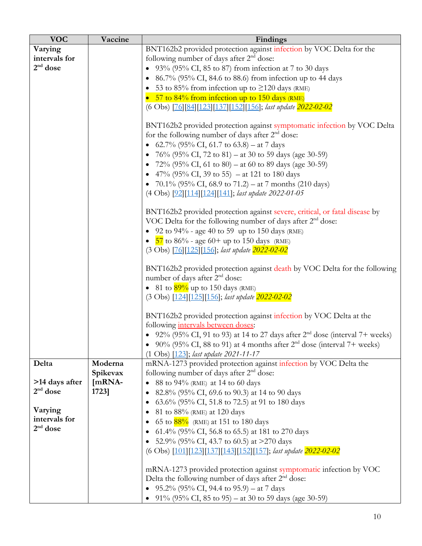| <b>VOC</b>     | Vaccine             | Findings                                                                                                                                             |
|----------------|---------------------|------------------------------------------------------------------------------------------------------------------------------------------------------|
| Varying        |                     | BNT162b2 provided protection against infection by VOC Delta for the                                                                                  |
| intervals for  |                     | following number of days after 2 <sup>nd</sup> dose:                                                                                                 |
| $2nd$ dose     |                     | • $93\%$ (95% CI, 85 to 87) from infection at 7 to 30 days                                                                                           |
|                |                     | • 86.7% (95% CI, 84.6 to 88.6) from infection up to 44 days                                                                                          |
|                |                     | 53 to 85% from infection up to $\geq$ 120 days (RME)                                                                                                 |
|                |                     | • 57 to 84% from infection up to 150 days (RME)                                                                                                      |
|                |                     | (6 Obs) [76][84][123][137][152][156]; last update 2022-02-02                                                                                         |
|                |                     | BNT162b2 provided protection against symptomatic infection by VOC Delta                                                                              |
|                |                     | for the following number of days after $2nd$ dose:                                                                                                   |
|                |                     | • 62.7% (95% CI, 61.7 to 63.8) – at 7 days                                                                                                           |
|                |                     | • 76% (95% CI, 72 to 81) – at 30 to 59 days (age 30-59)                                                                                              |
|                |                     | • 72% (95% CI, 61 to 80) – at 60 to 89 days (age 30-59)                                                                                              |
|                |                     | • 47% (95% CI, 39 to 55) – at 121 to 180 days                                                                                                        |
|                |                     | • 70.1% (95% CI, 68.9 to 71.2) – at 7 months (210 days)                                                                                              |
|                |                     | (4 Obs) [92][114][124][141]; last update 2022-01-05                                                                                                  |
|                |                     | BNT162b2 provided protection against severe, critical, or fatal disease by<br>VOC Delta for the following number of days after 2 <sup>nd</sup> dose: |
|                |                     | • 92 to $94\%$ - age 40 to 59 up to 150 days (RME)                                                                                                   |
|                |                     | • $\frac{57}{10}$ to 86% - age 60+ up to 150 days (RME)                                                                                              |
|                |                     | (3 Obs) [76] [125] [156]; last update 2022-02-02                                                                                                     |
|                |                     | BNT162b2 provided protection against death by VOC Delta for the following<br>number of days after 2 <sup>nd</sup> dose:                              |
|                |                     | • 81 to $\frac{89\%}{9}$ up to 150 days (RME)                                                                                                        |
|                |                     | (3 Obs) [124][125][156]; last update 2022-02-02                                                                                                      |
|                |                     | BNT162b2 provided protection against infection by VOC Delta at the                                                                                   |
|                |                     | following intervals between doses:                                                                                                                   |
|                |                     | • 92% (95% CI, 91 to 93) at 14 to 27 days after $2nd$ dose (interval 7+ weeks)                                                                       |
|                |                     | • 90% (95% CI, 88 to 91) at 4 months after $2nd$ dose (interval 7+ weeks)                                                                            |
|                |                     | (1 Obs) [123]; last update 2021-11-17                                                                                                                |
| Delta          | Moderna<br>Spikevax | mRNA-1273 provided protection against infection by VOC Delta the<br>following number of days after 2 <sup>nd</sup> dose:                             |
| >14 days after | [mRNA-              | 88 to 94% (RME) at 14 to 60 days                                                                                                                     |
| $2nd$ dose     | 1723]               | 82.8% (95% CI, 69.6 to 90.3) at 14 to 90 days                                                                                                        |
|                |                     | 63.6% (95% CI, 51.8 to 72.5) at 91 to 180 days                                                                                                       |
| Varying        |                     | 81 to 88% (RME) at 120 days                                                                                                                          |
| intervals for  |                     | 65 to $88\%$ (RME) at 151 to 180 days                                                                                                                |
| $2nd$ dose     |                     | 61.4% (95% CI, 56.8 to 65.5) at 181 to 270 days<br>$\bullet$                                                                                         |
|                |                     | 52.9% (95% CI, 43.7 to 60.5) at >270 days                                                                                                            |
|                |                     | (6 Obs) [101][123][137][143][152][157]; last update 2022-02-02                                                                                       |
|                |                     |                                                                                                                                                      |
|                |                     | mRNA-1273 provided protection against symptomatic infection by VOC                                                                                   |
|                |                     | Delta the following number of days after $2nd$ dose:                                                                                                 |
|                |                     | 95.2% (95% CI, 94.4 to 95.9) – at 7 days                                                                                                             |
|                |                     | 91% (95% CI, 85 to 95) – at 30 to 59 days (age 30-59)                                                                                                |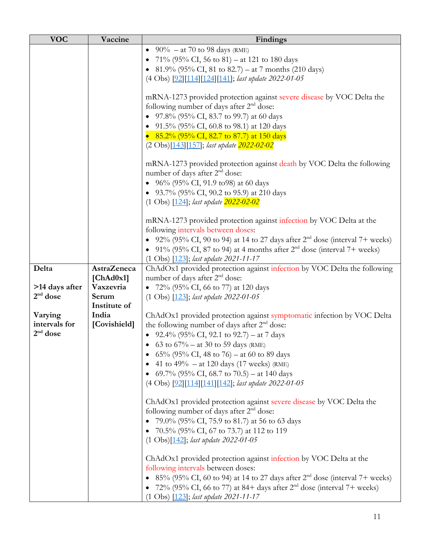| <b>VOC</b>     | Vaccine            | Findings                                                                                                          |
|----------------|--------------------|-------------------------------------------------------------------------------------------------------------------|
|                |                    | • 90% – at 70 to 98 days (RME)                                                                                    |
|                |                    | • 71% (95% CI, 56 to 81) – at 121 to 180 days                                                                     |
|                |                    | • 81.9% (95% CI, 81 to 82.7) – at 7 months (210 days)                                                             |
|                |                    | (4 Obs) [92][114][124][141]; last update 2022-01-05                                                               |
|                |                    |                                                                                                                   |
|                |                    | mRNA-1273 provided protection against severe disease by VOC Delta the                                             |
|                |                    | following number of days after 2 <sup>nd</sup> dose:                                                              |
|                |                    | • 97.8% (95% CI, 83.7 to 99.7) at 60 days                                                                         |
|                |                    | • 91.5% (95% CI, 60.8 to 98.1) at 120 days                                                                        |
|                |                    | • 85.2% (95% CI, 82.7 to 87.7) at 150 days                                                                        |
|                |                    | (2 Obs)[143][157]; last update 2022-02-02                                                                         |
|                |                    |                                                                                                                   |
|                |                    | mRNA-1273 provided protection against death by VOC Delta the following                                            |
|                |                    | number of days after 2 <sup>nd</sup> dose:                                                                        |
|                |                    | • 96% (95% CI, 91.9 to 98) at 60 days                                                                             |
|                |                    | • 93.7% (95% CI, 90.2 to 95.9) at 210 days                                                                        |
|                |                    | $(1 \text{ Obs})$ $[124]$ ; <i>last update</i> $2022 - 02 - 02$                                                   |
|                |                    |                                                                                                                   |
|                |                    | mRNA-1273 provided protection against infection by VOC Delta at the                                               |
|                |                    | following intervals between doses:                                                                                |
|                |                    | • 92% (95% CI, 90 to 94) at 14 to 27 days after $2nd$ dose (interval 7+ weeks)                                    |
|                |                    | • 91% (95% CI, 87 to 94) at 4 months after $2nd$ dose (interval 7+ weeks)                                         |
|                |                    | (1 Obs) [123]; last update 2021-11-17                                                                             |
| Delta          | <b>AstraZeneca</b> | ChAdOx1 provided protection against infection by VOC Delta the following                                          |
|                | [ChAd0x1]          | number of days after 2 <sup>nd</sup> dose:                                                                        |
| >14 days after | Vaxzevria          | • 72% (95% CI, 66 to 77) at 120 days                                                                              |
| $2nd$ dose     | Serum              | (1 Obs) [123]; last update 2022-01-05                                                                             |
|                | Institute of       |                                                                                                                   |
| Varying        | India              | ChAdOx1 provided protection against symptomatic infection by VOC Delta                                            |
| intervals for  | [Covishield]       | the following number of days after 2 <sup>nd</sup> dose:                                                          |
| $2nd$ dose     |                    | • 92.4% (95% CI, 92.1 to 92.7) – at 7 days                                                                        |
|                |                    | 63 to $67\%$ – at 30 to 59 days (RME)                                                                             |
|                |                    | • 65% (95% CI, 48 to 76) – at 60 to 89 days                                                                       |
|                |                    | • 41 to 49% – at 120 days (17 weeks) (RME)                                                                        |
|                |                    | • 69.7% (95% CI, 68.7 to 70.5) – at 140 days                                                                      |
|                |                    | (4 Obs) [92][114][141][142]; last update 2022-01-05                                                               |
|                |                    |                                                                                                                   |
|                |                    | ChAdOx1 provided protection against severe disease by VOC Delta the<br>following number of days after $2nd$ dose: |
|                |                    |                                                                                                                   |
|                |                    | • 79.0% (95% CI, 75.9 to 81.7) at 56 to 63 days                                                                   |
|                |                    | 70.5% (95% CI, 67 to 73.7) at 112 to 119<br>$(1 \text{ Obs})$ [142]; last update 2022-01-05                       |
|                |                    |                                                                                                                   |
|                |                    | ChAdOx1 provided protection against infection by VOC Delta at the                                                 |
|                |                    | following intervals between doses:                                                                                |
|                |                    | • 85% (95% CI, 60 to 94) at 14 to 27 days after $2^{nd}$ dose (interval 7+ weeks)                                 |
|                |                    | 72% (95% CI, 66 to 77) at 84+ days after 2 <sup>nd</sup> dose (interval 7+ weeks)                                 |
|                |                    | $(1 \text{ Obs})$ $[123]$ ; <i>last update 2021-11-17</i>                                                         |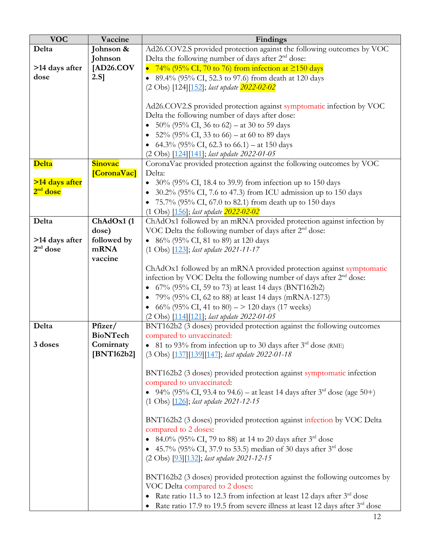| <b>VOC</b>           | Vaccine         | Findings                                                                                |
|----------------------|-----------------|-----------------------------------------------------------------------------------------|
| Delta                | Johnson &       | Ad26.COV2.S provided protection against the following outcomes by VOC                   |
|                      | Johnson         | Delta the following number of days after 2 <sup>nd</sup> dose:                          |
| >14 days after       | [AD26.COV       | • 74% (95% CI, 70 to 76) from infection at $\geq$ 150 days                              |
| dose                 | $2.S$ ]         | 89.4% (95% CI, 52.3 to 97.6) from death at 120 days                                     |
|                      |                 | (2 Obs) [124][152]; last update 2022-02-02                                              |
|                      |                 |                                                                                         |
|                      |                 | Ad26.COV2.S provided protection against symptomatic infection by VOC                    |
|                      |                 | Delta the following number of days after dose:                                          |
|                      |                 | 50% (95% CI, 36 to 62) – at 30 to 59 days                                               |
|                      |                 | • 52% (95% CI, 33 to 66) – at 60 to 89 days                                             |
|                      |                 | • 64.3% (95% CI, 62.3 to 66.1) – at 150 days                                            |
|                      |                 | (2 Obs) [124] [141]; last update 2022-01-05                                             |
| Delta                | <b>Sinovac</b>  | CoronaVac provided protection against the following outcomes by VOC                     |
|                      | [CoronaVac]     | Delta:                                                                                  |
| >14 days after       |                 | 30% (95% CI, 18.4 to 39.9) from infection up to 150 days                                |
| 2 <sup>nd</sup> dose |                 | $\bullet$ 30.2% (95% CI, 7.6 to 47.3) from ICU admission up to 150 days                 |
|                      |                 | 75.7% (95% CI, 67.0 to 82.1) from death up to 150 days                                  |
|                      |                 | $(1 \text{ Obs})$ $[156]$ ; last update $2022 - 02 - 02$                                |
| Delta                | ChAdOx1 (1      | ChAdOx1 followed by an mRNA provided protection against infection by                    |
|                      | dose)           | VOC Delta the following number of days after 2 <sup>nd</sup> dose:                      |
| >14 days after       | followed by     | • 86% (95% CI, 81 to 89) at 120 days                                                    |
| $2nd$ dose           | mRNA            | (1 Obs) [123]; last update 2021-11-17                                                   |
|                      | vaccine         |                                                                                         |
|                      |                 | ChAdOx1 followed by an mRNA provided protection against symptomatic                     |
|                      |                 | infection by VOC Delta the following number of days after $2nd$ dose:                   |
|                      |                 | • 67% (95% CI, 59 to 73) at least 14 days (BNT162b2)                                    |
|                      |                 | 79% (95% CI, 62 to 88) at least 14 days (mRNA-1273)                                     |
|                      |                 | • 66% (95% CI, 41 to 80) – > 120 days (17 weeks)                                        |
|                      |                 | (2 Obs) [114][121]; last update 2022-01-05                                              |
| Delta                | Pfizer/         | BNT162b2 (3 doses) provided protection against the following outcomes                   |
|                      | <b>BioNTech</b> | compared to unvaccinated:                                                               |
| 3 doses              | Comirnaty       | • 81 to 93% from infection up to 30 days after $3rd$ dose (RME)                         |
|                      | [BNT162b2]      | (3 Obs) [137] [139] [147]; last update 2022-01-18                                       |
|                      |                 |                                                                                         |
|                      |                 | BNT162b2 (3 doses) provided protection against symptomatic infection                    |
|                      |                 | compared to unvaccinated:                                                               |
|                      |                 | • 94% (95% CI, 93.4 to 94.6) – at least 14 days after $3^{rd}$ dose (age 50+)           |
|                      |                 | $(1 \text{ Obs})$ $[126]$ ; <i>last update 2021-12-15</i>                               |
|                      |                 | BNT162b2 (3 doses) provided protection against infection by VOC Delta                   |
|                      |                 | compared to 2 doses:                                                                    |
|                      |                 | • 84.0% (95% CI, 79 to 88) at 14 to 20 days after $3^{\text{rd}}$ dose                  |
|                      |                 | • 45.7% (95% CI, 37.9 to 53.5) median of 30 days after $3rd$ dose                       |
|                      |                 | (2 Obs) [93] [132]; last update 2021-12-15                                              |
|                      |                 |                                                                                         |
|                      |                 | BNT162b2 (3 doses) provided protection against the following outcomes by                |
|                      |                 | VOC Delta compared to 2 doses:                                                          |
|                      |                 | Rate ratio 11.3 to 12.3 from infection at least 12 days after $3rd$ dose                |
|                      |                 | Rate ratio 17.9 to 19.5 from severe illness at least 12 days after 3 <sup>rd</sup> dose |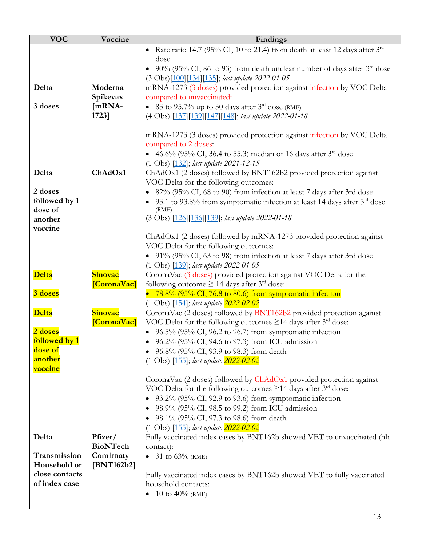| <b>VOC</b>         | Vaccine         | Findings                                                                                                                                               |
|--------------------|-----------------|--------------------------------------------------------------------------------------------------------------------------------------------------------|
|                    |                 | Rate ratio 14.7 (95% CI, 10 to 21.4) from death at least 12 days after $3rd$                                                                           |
|                    |                 | dose                                                                                                                                                   |
|                    |                 | • 90% (95% CI, 86 to 93) from death unclear number of days after $3rd$ dose                                                                            |
|                    |                 | (3 Obs)[100][134][135]; last update 2022-01-05                                                                                                         |
| Delta              | Moderna         | mRNA-1273 (3 doses) provided protection against infection by VOC Delta                                                                                 |
|                    | Spikevax        | compared to unvaccinated:                                                                                                                              |
| 3 doses            | [mRNA-          | • 83 to 95.7% up to 30 days after $3^{rd}$ dose (RME)                                                                                                  |
|                    | 1723]           | (4 Obs) [137][139][147][148]; last update 2022-01-18                                                                                                   |
|                    |                 |                                                                                                                                                        |
|                    |                 | mRNA-1273 (3 doses) provided protection against infection by VOC Delta                                                                                 |
|                    |                 | compared to 2 doses:                                                                                                                                   |
|                    |                 | • 46.6% (95% CI, 36.4 to 55.3) median of 16 days after $3^{\text{rd}}$ dose                                                                            |
|                    |                 | (1 Obs) [132]; last update 2021-12-15                                                                                                                  |
| Delta              | ChAdOx1         | ChAdOx1 (2 doses) followed by BNT162b2 provided protection against                                                                                     |
|                    |                 | VOC Delta for the following outcomes:                                                                                                                  |
| 2 doses            |                 | 82% (95% CI, 68 to 90) from infection at least 7 days after 3rd dose<br>$\bullet$                                                                      |
| followed by 1      |                 | 93.1 to 93.8% from symptomatic infection at least 14 days after 3rd dose                                                                               |
| dose of<br>another |                 | (RME)<br>(3 Obs) [126] [136] [139]; last update 2022-01-18                                                                                             |
| vaccine            |                 |                                                                                                                                                        |
|                    |                 | ChAdOx1 (2 doses) followed by mRNA-1273 provided protection against                                                                                    |
|                    |                 | VOC Delta for the following outcomes:                                                                                                                  |
|                    |                 | • 91% (95% CI, 63 to 98) from infection at least 7 days after 3rd dose                                                                                 |
|                    |                 | (1 Obs) [139]; last update 2022-01-05                                                                                                                  |
| <b>Delta</b>       | <b>Sinovac</b>  | CoronaVac (3 doses) provided protection against VOC Delta for the                                                                                      |
|                    | [CoronaVac]     | following outcome $\geq$ 14 days after 3 <sup>rd</sup> dose:                                                                                           |
| 3 doses            |                 | • 78.8% (95% CI, 76.8 to 80.6) from symptomatic infection                                                                                              |
|                    |                 | $(1 \text{ Obs})$ $[154]$ ; last update $2022 - 02 - 02$                                                                                               |
| <b>Delta</b>       | <b>Sinovac</b>  | CoronaVac (2 doses) followed by BNT162b2 provided protection against                                                                                   |
|                    | [CoronaVac]     | VOC Delta for the following outcomes $\geq$ 14 days after 3 <sup>rd</sup> dose:                                                                        |
| 2 doses            |                 | • $96.5\%$ (95% CI, 96.2 to 96.7) from symptomatic infection                                                                                           |
| followed by 1      |                 | • 96.2% (95% CI, 94.6 to 97.3) from ICU admission                                                                                                      |
| dose of<br>another |                 | • 96.8% (95% CI, 93.9 to 98.3) from death                                                                                                              |
| vaccine            |                 | (1 Obs) [155]; last update 2022-02-02                                                                                                                  |
|                    |                 |                                                                                                                                                        |
|                    |                 | CoronaVac (2 doses) followed by ChAdOx1 provided protection against<br>VOC Delta for the following outcomes $\geq$ 14 days after 3 <sup>rd</sup> dose: |
|                    |                 | 93.2% (95% CI, 92.9 to 93.6) from symptomatic infection                                                                                                |
|                    |                 | 98.9% (95% CI, 98.5 to 99.2) from ICU admission                                                                                                        |
|                    |                 | $\bullet$<br>98.1% (95% CI, 97.3 to 98.6) from death                                                                                                   |
|                    |                 | (1 Obs) [155]; last update 2022-02-02                                                                                                                  |
| Delta              | Pfizer/         | Fully vaccinated index cases by BNT162b showed VET to unvaccinated (hh                                                                                 |
|                    | <b>BioNTech</b> | contact):                                                                                                                                              |
| Transmission       | Comirnaty       | • 31 to $63\%$ (RME)                                                                                                                                   |
| Household or       | [BNT162b2]      |                                                                                                                                                        |
| close contacts     |                 | Fully vaccinated index cases by BNT162b showed VET to fully vaccinated                                                                                 |
| of index case      |                 | household contacts:                                                                                                                                    |
|                    |                 | 10 to 40% (RME)<br>$\bullet$                                                                                                                           |
|                    |                 |                                                                                                                                                        |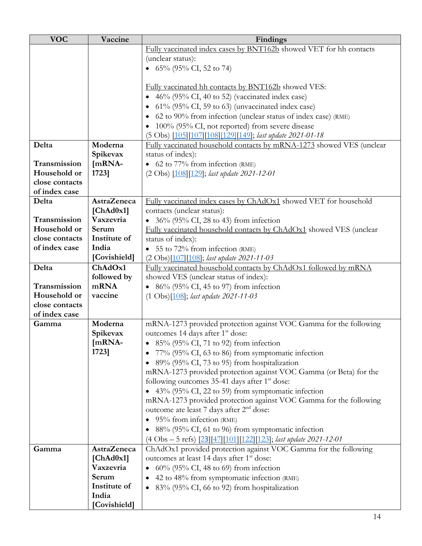| <b>VOC</b>     | Vaccine            | Findings                                                             |  |  |
|----------------|--------------------|----------------------------------------------------------------------|--|--|
|                |                    | Fully vaccinated index cases by BNT162b showed VET for hh contacts   |  |  |
|                |                    | (unclear status):                                                    |  |  |
|                |                    | • $65\%$ (95% CI, 52 to 74)                                          |  |  |
|                |                    |                                                                      |  |  |
|                |                    | Fully vaccinated hh contacts by BNT162b showed VES:                  |  |  |
|                |                    | • $46\%$ (95% CI, 40 to 52) (vaccinated index case)                  |  |  |
|                |                    | 61% (95% CI, 59 to 63) (unvaccinated index case)                     |  |  |
|                |                    | 62 to 90% from infection (unclear status of index case) (RME)        |  |  |
|                |                    | • 100% (95% CI, not reported) from severe disease                    |  |  |
|                |                    | (5 Obs) [105][107][108][129][149]; last update 2021-01-18            |  |  |
| Delta          | Moderna            | Fully vaccinated household contacts by mRNA-1273 showed VES (unclear |  |  |
|                | Spikevax           | status of index):                                                    |  |  |
| Transmission   | [mRNA-             | • 62 to $77\%$ from infection (RME)                                  |  |  |
| Household or   | 1723]              | (2 Obs) [108][129]; last update 2021-12-01                           |  |  |
| close contacts |                    |                                                                      |  |  |
| of index case  |                    |                                                                      |  |  |
| Delta          | <b>AstraZeneca</b> | Fully vaccinated index cases by ChAdOx1 showed VET for household     |  |  |
|                | [ChAd0x1]          | contacts (unclear status):                                           |  |  |
| Transmission   | Vaxzevria          | • $36\%$ (95% CI, 28 to 43) from infection                           |  |  |
| Household or   | Serum              | Fully vaccinated household contacts by ChAdOx1 showed VES (unclear   |  |  |
| close contacts | Institute of       | status of index):                                                    |  |  |
| of index case  | India              | • 55 to $72\%$ from infection (RME)                                  |  |  |
|                | [Covishield]       | (2 Obs)[107][108]; last update 2021-11-03                            |  |  |
| Delta          | ChAdOx1            | Fully vaccinated household contacts by ChAdOx1 followed by mRNA      |  |  |
|                | followed by        | showed VES (unclear status of index):                                |  |  |
| Transmission   | mRNA               | • $86\%$ (95% CI, 45 to 97) from infection                           |  |  |
| Household or   | vaccine            | $(1 \text{ Obs})$ [108]; last update 2021-11-03                      |  |  |
| close contacts |                    |                                                                      |  |  |
| of index case  |                    |                                                                      |  |  |
| Gamma          | Moderna            | mRNA-1273 provided protection against VOC Gamma for the following    |  |  |
|                | Spikevax           | outcomes 14 days after 1 <sup>st</sup> dose:                         |  |  |
|                | [mRNA-             | 85% (95% CI, 71 to 92) from infection                                |  |  |
|                | 1723]              | 77% (95% CI, 63 to 86) from symptomatic infection                    |  |  |
|                |                    | • 89% (95% CI, 73 to 95) from hospitalization                        |  |  |
|                |                    | mRNA-1273 provided protection against VOC Gamma (or Beta) for the    |  |  |
|                |                    | following outcomes 35-41 days after 1 <sup>st</sup> dose:            |  |  |
|                |                    | • $43\%$ (95% CI, 22 to 59) from symptomatic infection               |  |  |
|                |                    | mRNA-1273 provided protection against VOC Gamma for the following    |  |  |
|                |                    | outcome ate least 7 days after 2 <sup>nd</sup> dose:                 |  |  |
|                |                    | $\bullet$ 95% from infection (RME)                                   |  |  |
|                |                    | • 88% (95% CI, 61 to 96) from symptomatic infection                  |  |  |
|                |                    | (4 Obs - 5 refs) [23][47][101][122][123]; last update 2021-12-01     |  |  |
| Gamma          | AstraZeneca        | ChAdOx1 provided protection against VOC Gamma for the following      |  |  |
|                | [ChAd0x1]          | outcomes at least 14 days after 1 <sup>st</sup> dose:                |  |  |
|                | Vaxzevria          | $60\%$ (95% CI, 48 to 69) from infection                             |  |  |
|                | Serum              | 42 to 48% from symptomatic infection (RME)                           |  |  |
|                | Institute of       | 83% (95% CI, 66 to 92) from hospitalization                          |  |  |
|                | India              |                                                                      |  |  |
|                | [Covishield]       |                                                                      |  |  |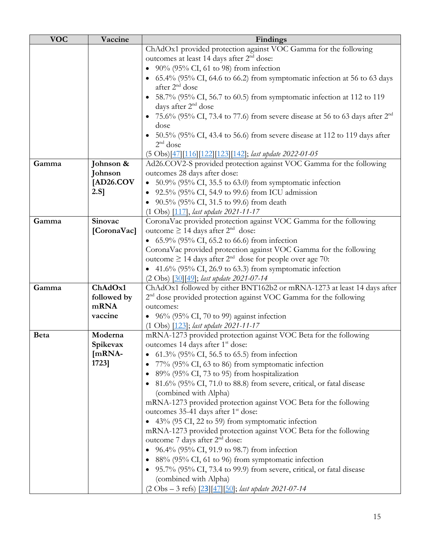| <b>VOC</b>  | Vaccine     | Findings                                                                                                  |  |  |
|-------------|-------------|-----------------------------------------------------------------------------------------------------------|--|--|
|             |             | ChAdOx1 provided protection against VOC Gamma for the following                                           |  |  |
|             |             | outcomes at least 14 days after 2 <sup>nd</sup> dose:                                                     |  |  |
|             |             | 90% (95% CI, 61 to 98) from infection                                                                     |  |  |
|             |             | 65.4% (95% CI, 64.6 to 66.2) from symptomatic infection at 56 to 63 days                                  |  |  |
|             |             | after 2 <sup>nd</sup> dose                                                                                |  |  |
|             |             | 58.7% (95% CI, 56.7 to 60.5) from symptomatic infection at 112 to 119                                     |  |  |
|             |             | days after $2nd$ dose<br>75.6% (95% CI, 73.4 to 77.6) from severe disease at 56 to 63 days after $2^{nd}$ |  |  |
|             |             | dose                                                                                                      |  |  |
|             |             | • $50.5\%$ (95% CI, 43.4 to 56.6) from severe disease at 112 to 119 days after<br>$2nd$ dose              |  |  |
|             |             | (5 Obs)[47][116][122][123][142]; last update 2022-01-05                                                   |  |  |
| Gamma       | Johnson &   | Ad26.COV2-S provided protection against VOC Gamma for the following                                       |  |  |
|             | Johnson     | outcomes 28 days after dose:                                                                              |  |  |
|             | [AD26.COV]  | 50.9% (95% CI, 35.5 to 63.0) from symptomatic infection                                                   |  |  |
|             | $2.S$ ]     | 92.5% (95% CI, 54.9 to 99.6) from ICU admission                                                           |  |  |
|             |             | 90.5% (95% CI, 31.5 to 99.6) from death                                                                   |  |  |
|             |             | $(1 \text{ Obs})$ $[117]$ , <i>last update</i> 2021-11-17                                                 |  |  |
| Gamma       | Sinovac     | CoronaVac provided protection against VOC Gamma for the following                                         |  |  |
|             | [CoronaVac] | outcome ≥ 14 days after $2nd$ dose:                                                                       |  |  |
|             |             | • $65.9\%$ (95% CI, 65.2 to 66.6) from infection                                                          |  |  |
|             |             | CoronaVac provided protection against VOC Gamma for the following                                         |  |  |
|             |             | outcome $\geq$ 14 days after $2^{nd}$ dose for people over age 70:                                        |  |  |
|             |             | • 41.6% (95% CI, 26.9 to 63.3) from symptomatic infection                                                 |  |  |
|             |             | (2 Obs) [30] [49]; last update 2021-07-14                                                                 |  |  |
| Gamma       | ChAdOx1     | ChAdOx1 followed by either BNT162b2 or mRNA-1273 at least 14 days after                                   |  |  |
|             | followed by | $2nd$ dose provided protection against VOC Gamma for the following                                        |  |  |
|             | mRNA        | outcomes:                                                                                                 |  |  |
|             | vaccine     | • $96\%$ (95% CI, 70 to 99) against infection                                                             |  |  |
|             |             | (1 Obs) [123]; last update 2021-11-17                                                                     |  |  |
| <b>Beta</b> | Moderna     | mRNA-1273 provided protection against VOC Beta for the following                                          |  |  |
|             | Spikevax    | outcomes 14 days after 1 <sup>st</sup> dose:                                                              |  |  |
|             | $[mRNA-$    | • 61.3% (95% CI, 56.5 to 65.5) from infection                                                             |  |  |
|             | 1723]       | 77% (95% CI, 63 to 86) from symptomatic infection                                                         |  |  |
|             |             | 89% (95% CI, 73 to 95) from hospitalization                                                               |  |  |
|             |             | • 81.6% (95% CI, 71.0 to 88.8) from severe, critical, or fatal disease                                    |  |  |
|             |             | (combined with Alpha)                                                                                     |  |  |
|             |             | mRNA-1273 provided protection against VOC Beta for the following                                          |  |  |
|             |             | outcomes 35-41 days after 1 <sup>st</sup> dose:                                                           |  |  |
|             |             | • 43% (95 CI, 22 to 59) from symptomatic infection                                                        |  |  |
|             |             | mRNA-1273 provided protection against VOC Beta for the following                                          |  |  |
|             |             | outcome 7 days after 2 <sup>nd</sup> dose:                                                                |  |  |
|             |             | • 96.4% (95% CI, 91.9 to 98.7) from infection                                                             |  |  |
|             |             | 88% (95% CI, 61 to 96) from symptomatic infection                                                         |  |  |
|             |             | • 95.7% (95% CI, 73.4 to 99.9) from severe, critical, or fatal disease                                    |  |  |
|             |             | (combined with Alpha)                                                                                     |  |  |
|             |             | $(2 \text{ Obs} - 3 \text{ refs})$ $[23][47][50]$ ; <i>last update 2021-07-14</i>                         |  |  |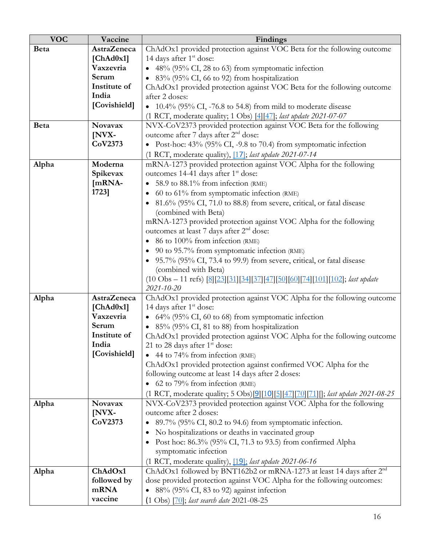| <b>VOC</b>  | Vaccine            | Findings                                                                                        |  |  |
|-------------|--------------------|-------------------------------------------------------------------------------------------------|--|--|
| <b>Beta</b> | <b>AstraZeneca</b> | ChAdOx1 provided protection against VOC Beta for the following outcome                          |  |  |
|             | [ChAd0x1]          | 14 days after 1 <sup>st</sup> dose:                                                             |  |  |
|             | Vaxzevria          | 48% (95% CI, 28 to 63) from symptomatic infection                                               |  |  |
|             | Serum              | $\bullet$ 83% (95% CI, 66 to 92) from hospitalization                                           |  |  |
|             | Institute of       | ChAdOx1 provided protection against VOC Beta for the following outcome                          |  |  |
|             | India              | after 2 doses:                                                                                  |  |  |
|             | [Covishield]       | $\bullet$ 10.4% (95% CI, -76.8 to 54.8) from mild to moderate disease                           |  |  |
|             |                    | (1 RCT, moderate quality; 1 Obs) [4] [47]; last update 2021-07-07                               |  |  |
| <b>Beta</b> | Novavax            | NVX-CoV2373 provided protection against VOC Beta for the following                              |  |  |
|             | [NVX-              | outcome after 7 days after 2 <sup>nd</sup> dose:                                                |  |  |
|             | CoV2373            | • Post-hoc: $43\%$ (95% CI, -9.8 to 70.4) from symptomatic infection                            |  |  |
|             |                    | (1 RCT, moderate quality), [17]; last update 2021-07-14                                         |  |  |
| Alpha       | Moderna            | mRNA-1273 provided protection against VOC Alpha for the following                               |  |  |
|             | Spikevax           | outcomes 14-41 days after 1 <sup>st</sup> dose:                                                 |  |  |
|             | [mRNA-             | 58.9 to 88.1% from infection (RME)                                                              |  |  |
|             | 1723]              | 60 to 61% from symptomatic infection (RME)                                                      |  |  |
|             |                    | 81.6% (95% CI, 71.0 to 88.8) from severe, critical, or fatal disease                            |  |  |
|             |                    | (combined with Beta)                                                                            |  |  |
|             |                    | mRNA-1273 provided protection against VOC Alpha for the following                               |  |  |
|             |                    | outcomes at least 7 days after 2 <sup>nd</sup> dose:                                            |  |  |
|             |                    | 86 to 100% from infection (RME)                                                                 |  |  |
|             |                    | 90 to 95.7% from symptomatic infection (RME)                                                    |  |  |
|             |                    | 95.7% (95% CI, 73.4 to 99.9) from severe, critical, or fatal disease                            |  |  |
|             |                    | (combined with Beta)                                                                            |  |  |
|             |                    | $(10 \text{ Obs} - 11 \text{ refs})$ [8][23][31][34][37][47][50][60][74][101][102]; last update |  |  |
|             |                    | 2021-10-20                                                                                      |  |  |
| Alpha       | <b>AstraZeneca</b> | ChAdOx1 provided protection against VOC Alpha for the following outcome                         |  |  |
|             | [ChAd0x1]          | 14 days after 1 <sup>st</sup> dose:                                                             |  |  |
|             | Vaxzevria<br>Serum | • 64% (95% CI, 60 to 68) from symptomatic infection                                             |  |  |
|             | Institute of       | 85% (95% CI, 81 to 88) from hospitalization                                                     |  |  |
|             | India              | ChAdOx1 provided protection against VOC Alpha for the following outcome                         |  |  |
|             | [Covishield]       | 21 to 28 days after $1st$ dose:<br>$\bullet$ 44 to 74% from infection (RME)                     |  |  |
|             |                    | ChAdOx1 provided protection against confirmed VOC Alpha for the                                 |  |  |
|             |                    | following outcome at least 14 days after 2 doses:                                               |  |  |
|             |                    | • 62 to 79% from infection (RME)                                                                |  |  |
|             |                    | (1 RCT, moderate quality; 5 Obs)[9][10][5][47][70][71][]; last update 2021-08-25                |  |  |
| Alpha       | <b>Novavax</b>     | NVX-CoV2373 provided protection against VOC Alpha for the following                             |  |  |
|             | [NVX-              | outcome after 2 doses:                                                                          |  |  |
|             | CoV2373            | 89.7% (95% CI, 80.2 to 94.6) from symptomatic infection.                                        |  |  |
|             |                    | No hospitalizations or deaths in vaccinated group                                               |  |  |
|             |                    | • Post hoc: 86.3% (95% CI, 71.3 to 93.5) from confirmed Alpha                                   |  |  |
|             |                    | symptomatic infection                                                                           |  |  |
|             |                    | (1 RCT, moderate quality), [19]; last update 2021-06-16                                         |  |  |
| Alpha       | ChAdOx1            | ChAdOx1 followed by BNT162b2 or mRNA-1273 at least 14 days after 2 <sup>nd</sup>                |  |  |
|             | followed by        | dose provided protection against VOC Alpha for the following outcomes:                          |  |  |
|             | mRNA               | 88% (95% CI, 83 to 92) against infection                                                        |  |  |
|             | vaccine            | $(1 \text{ Obs})$ $[70]$ ; last search date 2021-08-25                                          |  |  |
|             |                    |                                                                                                 |  |  |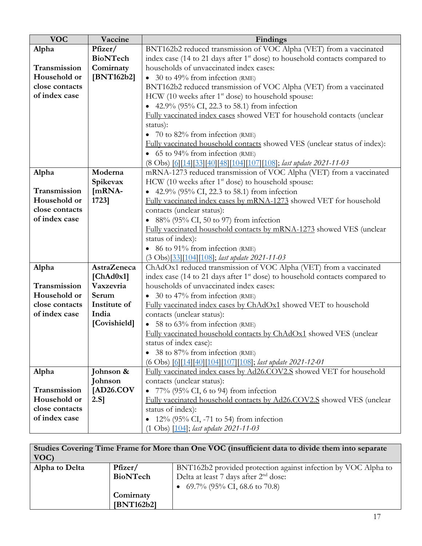| <b>VOC</b>     | Vaccine            | Findings                                                                                |  |  |
|----------------|--------------------|-----------------------------------------------------------------------------------------|--|--|
| Alpha          | Pfizer/            | BNT162b2 reduced transmission of VOC Alpha (VET) from a vaccinated                      |  |  |
|                | <b>BioNTech</b>    | index case (14 to 21 days after 1 <sup>st</sup> dose) to household contacts compared to |  |  |
| Transmission   | Comirnaty          | households of unvaccinated index cases:                                                 |  |  |
| Household or   | [BNT162b2]         | • 30 to 49% from infection (RME)                                                        |  |  |
| close contacts |                    | BNT162b2 reduced transmission of VOC Alpha (VET) from a vaccinated                      |  |  |
| of index case  |                    | HCW (10 weeks after $1st$ dose) to household spouse:                                    |  |  |
|                |                    | • 42.9% (95% CI, 22.3 to 58.1) from infection                                           |  |  |
|                |                    | Fully vaccinated index cases showed VET for household contacts (unclear                 |  |  |
|                |                    | status):                                                                                |  |  |
|                |                    | 70 to $82\%$ from infection (RME)                                                       |  |  |
|                |                    | Fully vaccinated household contacts showed VES (unclear status of index):               |  |  |
|                |                    | $\bullet$ 65 to 94% from infection (RME)                                                |  |  |
|                |                    | (8 Obs) [6][14][33][40][48][104][107][108]; last update 2021-11-03                      |  |  |
| Alpha          | Moderna            | mRNA-1273 reduced transmission of VOC Alpha (VET) from a vaccinated                     |  |  |
|                | Spikevax           | HCW (10 weeks after 1 <sup>st</sup> dose) to household spouse:                          |  |  |
| Transmission   | [mRNA-             | • 42.9% (95% CI, 22.3 to 58.1) from infection                                           |  |  |
| Household or   | 1723]              | Fully vaccinated index cases by mRNA-1273 showed VET for household                      |  |  |
| close contacts |                    | contacts (unclear status):                                                              |  |  |
| of index case  |                    | • $88\%$ (95% CI, 50 to 97) from infection                                              |  |  |
|                |                    | Fully vaccinated household contacts by mRNA-1273 showed VES (unclear                    |  |  |
|                |                    | status of index):                                                                       |  |  |
|                |                    | • 86 to 91% from infection (RME)                                                        |  |  |
|                |                    | (3 Obs)[33][104][108]; last update 2021-11-03                                           |  |  |
| Alpha          | <b>AstraZeneca</b> | ChAdOx1 reduced transmission of VOC Alpha (VET) from a vaccinated                       |  |  |
|                | [ChAd0x1]          | index case (14 to 21 days after 1 <sup>st</sup> dose) to household contacts compared to |  |  |
| Transmission   | Vaxzevria          | households of unvaccinated index cases:                                                 |  |  |
| Household or   | Serum              | • 30 to 47% from infection (RME)                                                        |  |  |
| close contacts | Institute of       | Fully vaccinated index cases by ChAdOx1 showed VET to household                         |  |  |
| of index case  | India              | contacts (unclear status):                                                              |  |  |
|                | [Covishield]       | $\bullet$ 58 to 63% from infection (RME)                                                |  |  |
|                |                    | Fully vaccinated household contacts by ChAdOx1 showed VES (unclear                      |  |  |
|                |                    | status of index case):                                                                  |  |  |
|                |                    | 38 to 87% from infection (RME)<br>$\bullet$                                             |  |  |
|                |                    | (6 Obs) [6][14][40][104][107][108]; last update 2021-12-01                              |  |  |
| Alpha          | Johnson &          | Fully vaccinated index cases by Ad26.COV2.S showed VET for household                    |  |  |
|                | Johnson            | contacts (unclear status):                                                              |  |  |
| Transmission   | [AD26.COV]         | • $77\%$ (95% CI, 6 to 94) from infection                                               |  |  |
| Household or   | $2.S$ ]            | Fully vaccinated household contacts by Ad26.COV2.S showed VES (unclear                  |  |  |
| close contacts |                    | status of index):                                                                       |  |  |
| of index case  |                    | 12% (95% CI, -71 to 54) from infection                                                  |  |  |
|                |                    | $(1 \text{ Obs})$ $[104]$ ; <i>last update 2021-11-03</i>                               |  |  |

| Studies Covering Time Frame for More than One VOC (insufficient data to divide them into separate<br>VOC) |                                  |                                                                                                                                             |  |
|-----------------------------------------------------------------------------------------------------------|----------------------------------|---------------------------------------------------------------------------------------------------------------------------------------------|--|
| Alpha to Delta                                                                                            | Pfizer/<br>BioNTech<br>Comirnaty | BNT162b2 provided protection against infection by VOC Alpha to<br>Delta at least 7 days after $2nd$ dose:<br>• 69.7% (95% CI, 68.6 to 70.8) |  |
|                                                                                                           | [BNT162b2]                       |                                                                                                                                             |  |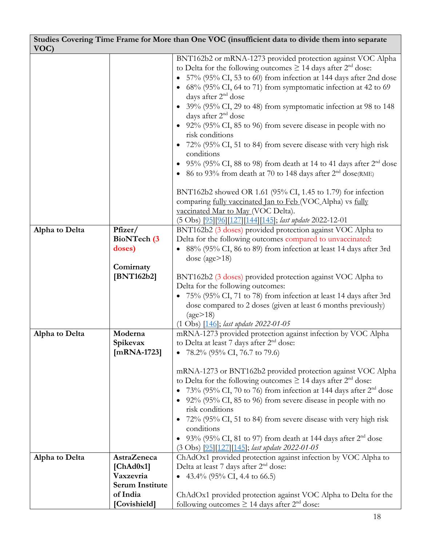| VOC)           | Studies Covering Time Frame for More than One VOC (insufficient data to divide them into separate |                                                                                                                                                                                                                                                                                                                                                                                                                                                                                                                                                                                                                                                                                                                                                                                                                                                                                                                            |  |  |
|----------------|---------------------------------------------------------------------------------------------------|----------------------------------------------------------------------------------------------------------------------------------------------------------------------------------------------------------------------------------------------------------------------------------------------------------------------------------------------------------------------------------------------------------------------------------------------------------------------------------------------------------------------------------------------------------------------------------------------------------------------------------------------------------------------------------------------------------------------------------------------------------------------------------------------------------------------------------------------------------------------------------------------------------------------------|--|--|
|                |                                                                                                   | BNT162b2 or mRNA-1273 provided protection against VOC Alpha<br>to Delta for the following outcomes $\geq$ 14 days after 2 <sup>nd</sup> dose:<br>• 57% (95% CI, 53 to 60) from infection at 144 days after 2nd dose<br>• $68\%$ (95% CI, 64 to 71) from symptomatic infection at 42 to 69<br>days after 2 <sup>nd</sup> dose<br>• 39% (95% CI, 29 to 48) from symptomatic infection at 98 to 148<br>days after 2 <sup>nd</sup> dose<br>• $92\%$ (95% CI, 85 to 96) from severe disease in people with no<br>risk conditions<br>72% (95% CI, 51 to 84) from severe disease with very high risk<br>conditions<br>• 95% (95% CI, 88 to 98) from death at 14 to 41 days after $2nd$ dose<br>• 86 to 93% from death at 70 to 148 days after $2nd$ dose(RME)<br>BNT162b2 showed OR 1.61 (95% CI, 1.45 to 1.79) for infection<br>comparing fully vaccinated Jan to Feb (VOC Alpha) vs fully<br>vaccinated Mar to May (VOC Delta). |  |  |
|                |                                                                                                   | (5 Obs) [95][96][127][144][145]; last update 2022-12-01                                                                                                                                                                                                                                                                                                                                                                                                                                                                                                                                                                                                                                                                                                                                                                                                                                                                    |  |  |
| Alpha to Delta | Pfizer/<br>BioNTech (3<br>doses)<br>Comirnaty<br>[BNT162b2]                                       | BNT162b2 (3 doses) provided protection against VOC Alpha to<br>Delta for the following outcomes compared to unvaccinated:<br>• 88% (95% CI, 86 to 89) from infection at least 14 days after 3rd<br>dose (age $>18$ )<br>BNT162b2 (3 doses) provided protection against VOC Alpha to<br>Delta for the following outcomes:<br>• 75% (95% CI, 71 to 78) from infection at least 14 days after 3rd<br>dose compared to 2 doses (given at least 6 months previously)<br>$\frac{1}{2}$<br>$(1 \text{ Obs})$ $[146]$ ; <i>last update 2022-01-05</i>                                                                                                                                                                                                                                                                                                                                                                              |  |  |
| Alpha to Delta | Moderna<br>Spikevax<br>$[mRNA-1723]$                                                              | mRNA-1273 provided protection against infection by VOC Alpha<br>to Delta at least 7 days after 2 <sup>nd</sup> dose:<br>• 78.2% (95% CI, 76.7 to 79.6)<br>mRNA-1273 or BNT162b2 provided protection against VOC Alpha<br>to Delta for the following outcomes $\geq$ 14 days after 2 <sup>nd</sup> dose:<br>73% (95% CI, 70 to 76) from infection at 144 days after $2nd$ dose<br>• 92% (95% CI, 85 to 96) from severe disease in people with no<br>risk conditions<br>• 72% (95% CI, 51 to 84) from severe disease with very high risk<br>conditions<br>93% (95% CI, 81 to 97) from death at 144 days after $2nd$ dose<br>(3 Obs) [95][127][145]; last update 2022-01-05                                                                                                                                                                                                                                                   |  |  |
| Alpha to Delta | AstraZeneca<br>[ChAd0x1]<br>Vaxzevria<br><b>Serum Institute</b><br>of India<br>[Covishield]       | ChAdOx1 provided protection against infection by VOC Alpha to<br>Delta at least 7 days after 2 <sup>nd</sup> dose:<br>• 43.4% (95% CI, 4.4 to 66.5)<br>ChAdOx1 provided protection against VOC Alpha to Delta for the<br>following outcomes $\geq$ 14 days after 2 <sup>nd</sup> dose:                                                                                                                                                                                                                                                                                                                                                                                                                                                                                                                                                                                                                                     |  |  |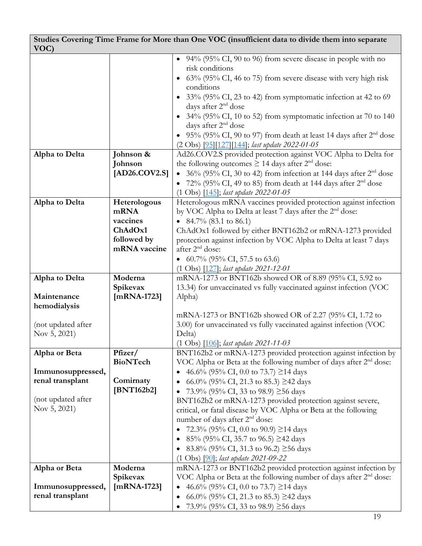| VOC)               | Studies Covering Time Frame for More than One VOC (insufficient data to divide them into separate |                                                                                                                                                 |  |  |
|--------------------|---------------------------------------------------------------------------------------------------|-------------------------------------------------------------------------------------------------------------------------------------------------|--|--|
|                    |                                                                                                   | • $94\%$ (95% CI, 90 to 96) from severe disease in people with no                                                                               |  |  |
|                    |                                                                                                   | risk conditions                                                                                                                                 |  |  |
|                    |                                                                                                   | 63% (95% CI, 46 to 75) from severe disease with very high risk                                                                                  |  |  |
|                    |                                                                                                   | conditions                                                                                                                                      |  |  |
|                    |                                                                                                   | • 33% (95% CI, 23 to 42) from symptomatic infection at 42 to 69<br>days after 2 <sup>nd</sup> dose                                              |  |  |
|                    |                                                                                                   | • 34% (95% CI, 10 to 52) from symptomatic infection at 70 to 140                                                                                |  |  |
|                    |                                                                                                   | days after 2 <sup>nd</sup> dose                                                                                                                 |  |  |
|                    |                                                                                                   | $95\%$ (95% CI, 90 to 97) from death at least 14 days after $2nd$ dose                                                                          |  |  |
|                    |                                                                                                   | (2 Obs) [95][127][144]; last update 2022-01-05                                                                                                  |  |  |
| Alpha to Delta     | Johnson &                                                                                         | Ad26.COV2.S provided protection against VOC Alpha to Delta for                                                                                  |  |  |
|                    | Johnson                                                                                           | the following outcomes $\geq$ 14 days after $2nd$ dose:                                                                                         |  |  |
|                    | [AD26.COV2.S]                                                                                     | $36\%$ (95% CI, 30 to 42) from infection at 144 days after $2nd$ dose                                                                           |  |  |
|                    |                                                                                                   | • $72\%$ (95% CI, 49 to 85) from death at 144 days after $2nd$ dose                                                                             |  |  |
| Alpha to Delta     |                                                                                                   | (1 Obs) [145]; last update 2022-01-05<br>Heterologous mRNA vaccines provided protection against infection                                       |  |  |
|                    | Heterologous<br>mRNA                                                                              | by VOC Alpha to Delta at least 7 days after the 2 <sup>nd</sup> dose:                                                                           |  |  |
|                    | vaccines                                                                                          | • 84.7% (83.1 to 86.1)                                                                                                                          |  |  |
|                    | ChAdOx1                                                                                           | ChAdOx1 followed by either BNT162b2 or mRNA-1273 provided                                                                                       |  |  |
|                    | followed by                                                                                       | protection against infection by VOC Alpha to Delta at least 7 days                                                                              |  |  |
|                    | mRNA vaccine                                                                                      | after 2 <sup>nd</sup> dose:                                                                                                                     |  |  |
|                    |                                                                                                   | • 60.7% (95% CI, 57.5 to 63.6)                                                                                                                  |  |  |
|                    |                                                                                                   | $(1 \text{ Obs})$ $[127]$ ; last update 2021-12-01                                                                                              |  |  |
| Alpha to Delta     | Moderna                                                                                           | mRNA-1273 or BNT162b showed OR of 8.89 (95% CI, 5.92 to                                                                                         |  |  |
| Maintenance        | Spikevax<br>$[mRNA-1723]$                                                                         | 13.34) for unvaccinated vs fully vaccinated against infection (VOC<br>Alpha)                                                                    |  |  |
| hemodialysis       |                                                                                                   |                                                                                                                                                 |  |  |
|                    |                                                                                                   | mRNA-1273 or BNT162b showed OR of 2.27 (95% CI, 1.72 to                                                                                         |  |  |
| (not updated after |                                                                                                   | 3.00) for unvaccinated vs fully vaccinated against infection (VOC                                                                               |  |  |
| Nov 5, 2021)       |                                                                                                   | Delta)                                                                                                                                          |  |  |
|                    |                                                                                                   | (1 Obs) [106]; last update 2021-11-03                                                                                                           |  |  |
| Alpha or Beta      | Pfizer/                                                                                           | BNT162b2 or mRNA-1273 provided protection against infection by                                                                                  |  |  |
| Immunosuppressed,  | BioNTech                                                                                          | VOC Alpha or Beta at the following number of days after $2nd$ dose:<br>46.6% (95% CI, 0.0 to 73.7) $\geq$ 14 days                               |  |  |
| renal transplant   | Comirnaty                                                                                         | 66.0% (95% CI, 21.3 to 85.3) $\geq$ 42 days                                                                                                     |  |  |
|                    | [BNT162b2]                                                                                        | 73.9% (95% CI, 33 to 98.9) $\geq$ 56 days                                                                                                       |  |  |
| (not updated after |                                                                                                   | BNT162b2 or mRNA-1273 provided protection against severe,                                                                                       |  |  |
| Nov 5, 2021)       |                                                                                                   | critical, or fatal disease by VOC Alpha or Beta at the following                                                                                |  |  |
|                    |                                                                                                   | number of days after 2 <sup>nd</sup> dose:                                                                                                      |  |  |
|                    |                                                                                                   | 72.3% (95% CI, 0.0 to 90.9) $\geq$ 14 days                                                                                                      |  |  |
|                    |                                                                                                   | $85\%$ (95% CI, 35.7 to 96.5) $\geq$ 42 days                                                                                                    |  |  |
|                    |                                                                                                   | $83.8\%$ (95% CI, 31.3 to 96.2) $\geq$ 56 days                                                                                                  |  |  |
|                    |                                                                                                   | $(1 \text{ Obs})$ $[90]$ ; last update 2021-09-22                                                                                               |  |  |
| Alpha or Beta      | Moderna<br>Spikevax                                                                               | mRNA-1273 or BNT162b2 provided protection against infection by<br>VOC Alpha or Beta at the following number of days after 2 <sup>nd</sup> dose: |  |  |
| Immunosuppressed,  | $[mRNA-1723]$                                                                                     | 46.6% (95% CI, 0.0 to 73.7) $\geq$ 14 days                                                                                                      |  |  |
| renal transplant   |                                                                                                   | 66.0% (95% CI, 21.3 to 85.3) $\geq$ 42 days                                                                                                     |  |  |
|                    |                                                                                                   | 73.9% (95% CI, 33 to 98.9) ≥56 days                                                                                                             |  |  |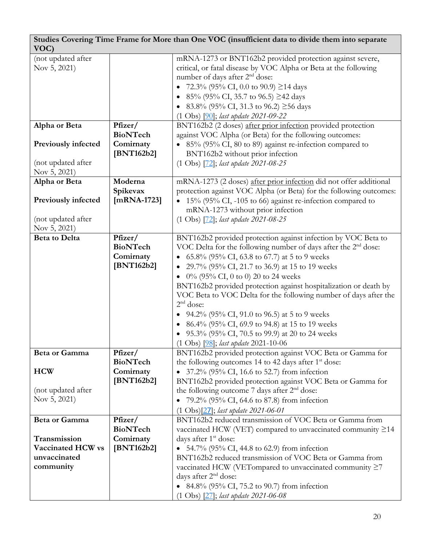| VOC)                                                                                   |                                                       | Studies Covering Time Frame for More than One VOC (insufficient data to divide them into separate                                                                                                                                                                                                                                                                                                                                                                                                                                                                                                                                          |
|----------------------------------------------------------------------------------------|-------------------------------------------------------|--------------------------------------------------------------------------------------------------------------------------------------------------------------------------------------------------------------------------------------------------------------------------------------------------------------------------------------------------------------------------------------------------------------------------------------------------------------------------------------------------------------------------------------------------------------------------------------------------------------------------------------------|
| (not updated after<br>Nov 5, 2021)                                                     |                                                       | mRNA-1273 or BNT162b2 provided protection against severe,<br>critical, or fatal disease by VOC Alpha or Beta at the following<br>number of days after 2 <sup>nd</sup> dose:<br>72.3% (95% CI, 0.0 to 90.9) $\geq$ 14 days<br>$85\%$ (95% CI, 35.7 to 96.5) $\geq$ 42 days<br>$83.8\%$ (95% CI, 31.3 to 96.2) $\geq$ 56 days<br>$(1 \text{ Obs})$ $[90]$ ; last update 2021-09-22                                                                                                                                                                                                                                                           |
| Alpha or Beta                                                                          | Pfizer/                                               | BNT162b2 (2 doses) after prior infection provided protection                                                                                                                                                                                                                                                                                                                                                                                                                                                                                                                                                                               |
| <b>Previously infected</b><br>(not updated after                                       | <b>BioNTech</b><br>Comirnaty<br>[BNT162b2]            | against VOC Alpha (or Beta) for the following outcomes:<br>85% (95% CI, 80 to 89) against re-infection compared to<br>BNT162b2 without prior infection<br>$(1 \text{ Obs})$ $[72]$ ; last update 2021-08-25                                                                                                                                                                                                                                                                                                                                                                                                                                |
| Nov 5, 2021)<br>Alpha or Beta                                                          | Moderna                                               | mRNA-1273 (2 doses) after prior infection did not offer additional                                                                                                                                                                                                                                                                                                                                                                                                                                                                                                                                                                         |
| <b>Previously infected</b><br>(not updated after<br>Nov 5, 2021)                       | Spikevax<br>$[mRNA-1723]$                             | protection against VOC Alpha (or Beta) for the following outcomes:<br>• 15% (95% CI, -105 to 66) against re-infection compared to<br>mRNA-1273 without prior infection<br>$(1 \text{ Obs})$ $[72]$ ; last update 2021-08-25                                                                                                                                                                                                                                                                                                                                                                                                                |
| <b>Beta to Delta</b>                                                                   | Pfizer/<br><b>BioNTech</b><br>Comirnaty<br>[BNT162b2] | BNT162b2 provided protection against infection by VOC Beta to<br>VOC Delta for the following number of days after the 2 <sup>nd</sup> dose:<br>65.8% (95% CI, 63.8 to 67.7) at 5 to 9 weeks<br>29.7% (95% CI, 21.7 to 36.9) at 15 to 19 weeks<br>0% (95% CI, 0 to 0) 20 to 24 weeks<br>BNT162b2 provided protection against hospitalization or death by<br>VOC Beta to VOC Delta for the following number of days after the<br>$2nd$ dose:<br>94.2% (95% CI, 91.0 to 96.5) at 5 to 9 weeks<br>• 86.4% (95% CI, 69.9 to 94.8) at 15 to 19 weeks<br>• 95.3% (95% CI, 70.5 to 99.9) at 20 to 24 weeks<br>(1 Obs) [98]; last update 2021-10-06 |
| Beta or Gamma<br><b>HCW</b><br>(not updated after<br>Nov 5, 2021)                      | Pfizer/<br><b>BioNTech</b><br>Comirnaty<br>[BNT162b2] | BNT162b2 provided protection against VOC Beta or Gamma for<br>the following outcomes 14 to 42 days after 1 <sup>st</sup> dose:<br>• 37.2% (95% CI, 16.6 to 52.7) from infection<br>BNT162b2 provided protection against VOC Beta or Gamma for<br>the following outcome 7 days after $2nd$ dose:<br>• 79.2% (95% CI, 64.6 to 87.8) from infection<br>$(1 \text{ Obs})$ [27]; last update 2021-06-01                                                                                                                                                                                                                                         |
| <b>Beta or Gamma</b><br>Transmission<br>Vaccinated HCW vs<br>unvaccinated<br>community | Pfizer/<br><b>BioNTech</b><br>Comirnaty<br>[BNT162b2] | BNT162b2 reduced transmission of VOC Beta or Gamma from<br>vaccinated HCW (VET) compared to unvaccinated community $\geq$ 14<br>days after 1 <sup>st</sup> dose:<br>• 54.7% (95% CI, 44.8 to 62.9) from infection<br>BNT162b2 reduced transmission of VOC Beta or Gamma from<br>vaccinated HCW (VETompared to unvaccinated community $\geq 7$<br>days after 2 <sup>nd</sup> dose:<br>• 84.8% (95% CI, 75.2 to 90.7) from infection<br>$(1 \text{ Obs})$ $[27]$ ; <i>last update 2021-06-08</i>                                                                                                                                             |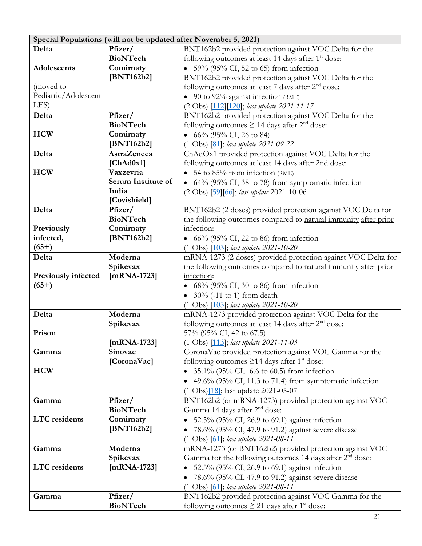| Special Populations (will not be updated after November 5, 2021) |                    |                                                                      |  |
|------------------------------------------------------------------|--------------------|----------------------------------------------------------------------|--|
| Delta                                                            | Pfizer/            | BNT162b2 provided protection against VOC Delta for the               |  |
|                                                                  | <b>BioNTech</b>    | following outcomes at least 14 days after 1 <sup>st</sup> dose:      |  |
| Adolescents                                                      | Comirnaty          | • $59\%$ (95% CI, 52 to 65) from infection                           |  |
|                                                                  | [BNT162b2]         | BNT162b2 provided protection against VOC Delta for the               |  |
| (moved to                                                        |                    | following outcomes at least 7 days after 2 <sup>nd</sup> dose:       |  |
| Pediatric/Adolescent                                             |                    | $\bullet$ 90 to 92% against infection (RME)                          |  |
| LES)                                                             |                    | (2 Obs) [112][120]; last update 2021-11-17                           |  |
| Delta                                                            | Pfizer/            | BNT162b2 provided protection against VOC Delta for the               |  |
|                                                                  | <b>BioNTech</b>    | following outcomes $\geq$ 14 days after 2 <sup>nd</sup> dose:        |  |
| <b>HCW</b>                                                       | Comirnaty          | • $66\%$ (95% CI, 26 to 84)                                          |  |
|                                                                  | [BNT162b2]         | (1 Obs) [81]; last update 2021-09-22                                 |  |
| Delta                                                            | <b>AstraZeneca</b> | ChAdOx1 provided protection against VOC Delta for the                |  |
|                                                                  | [ChAd0x1]          | following outcomes at least 14 days after 2nd dose:                  |  |
| <b>HCW</b>                                                       | Vaxzevria          | • 54 to $85\%$ from infection (RME)                                  |  |
|                                                                  | Serum Institute of | • $64\%$ (95% CI, 38 to 78) from symptomatic infection               |  |
|                                                                  | India              | (2 Obs) [59] [66]; last update 2021-10-06                            |  |
|                                                                  | [Covishield]       |                                                                      |  |
| Delta                                                            | Pfizer/            | BNT162b2 (2 doses) provided protection against VOC Delta for         |  |
|                                                                  | <b>BioNTech</b>    | the following outcomes compared to natural immunity after prior      |  |
| Previously                                                       | Comirnaty          | infection:                                                           |  |
| infected,                                                        | [ $BNT162b2$ ]     | • $66\%$ (95% CI, 22 to 86) from infection                           |  |
| $(65+)$                                                          |                    | $(1 \text{ Obs})$ $[103]$ ; last update 2021-10-20                   |  |
| Delta                                                            | Moderna            | mRNA-1273 (2 doses) provided protection against VOC Delta for        |  |
|                                                                  | Spikevax           | the following outcomes compared to natural immunity after prior      |  |
| <b>Previously infected</b>                                       | $[mRNA-1723]$      | infection:                                                           |  |
| $(65+)$                                                          |                    | $68\%$ (95% CI, 30 to 86) from infection                             |  |
|                                                                  |                    | $30\%$ (-11 to 1) from death                                         |  |
|                                                                  |                    | (1 Obs) [103]; last update 2021-10-20                                |  |
| Delta                                                            | Moderna            | mRNA-1273 provided protection against VOC Delta for the              |  |
|                                                                  | Spikevax           | following outcomes at least 14 days after 2 <sup>nd</sup> dose:      |  |
| Prison                                                           |                    | 57% (95% CI, 42 to 67.5)                                             |  |
|                                                                  | $[mRNA-1723]$      | (1 Obs) [113]; last update 2021-11-03                                |  |
| Gamma                                                            | Sinovac            | CoronaVac provided protection against VOC Gamma for the              |  |
|                                                                  | [CoronaVac]        | following outcomes $\geq$ 14 days after 1 <sup>st</sup> dose:        |  |
| <b>HCW</b>                                                       |                    | 35.1% (95% CI, -6.6 to 60.5) from infection                          |  |
|                                                                  |                    | 49.6% (95% CI, 11.3 to 71.4) from symptomatic infection              |  |
|                                                                  |                    | (1 Obs)[18]; last update 2021-05-07                                  |  |
| Gamma                                                            | Pfizer/            | BNT162b2 (or mRNA-1273) provided protection against VOC              |  |
|                                                                  | <b>BioNTech</b>    | Gamma 14 days after 2 <sup>nd</sup> dose:                            |  |
| <b>LTC</b> residents                                             | Comirnaty          | 52.5% (95% CI, 26.9 to 69.1) against infection                       |  |
|                                                                  | [BNT162b2]         | 78.6% (95% CI, 47.9 to 91.2) against severe disease                  |  |
|                                                                  |                    | $(1 \text{ Obs})$ $[61]$ ; last update 2021-08-11                    |  |
| Gamma                                                            | Moderna            | mRNA-1273 (or BNT162b2) provided protection against VOC              |  |
|                                                                  | Spikevax           | Gamma for the following outcomes 14 days after 2 <sup>nd</sup> dose: |  |
| <b>LTC</b> residents                                             | $[mRNA-1723]$      | 52.5% (95% CI, 26.9 to 69.1) against infection                       |  |
|                                                                  |                    | 78.6% (95% CI, 47.9 to 91.2) against severe disease                  |  |
|                                                                  |                    | $(1 \text{ Obs})$ $[61]$ ; last update 2021-08-11                    |  |
| Gamma                                                            | Pfizer/            | BNT162b2 provided protection against VOC Gamma for the               |  |
|                                                                  | <b>BioNTech</b>    | following outcomes $\geq$ 21 days after 1 <sup>st</sup> dose:        |  |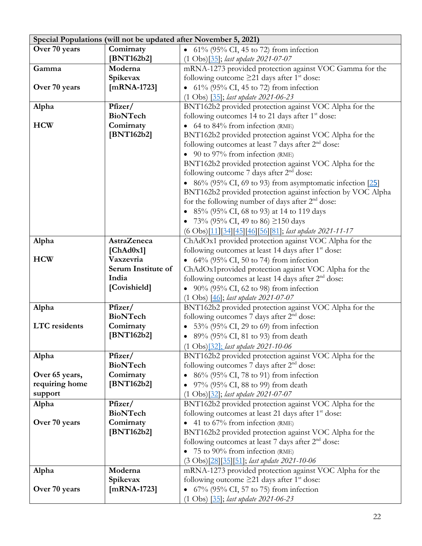|                      | Special Populations (will not be updated after November 5, 2021) |                                                                 |  |  |
|----------------------|------------------------------------------------------------------|-----------------------------------------------------------------|--|--|
| Over 70 years        | Comirnaty                                                        | • $61\%$ (95% CI, 45 to 72) from infection                      |  |  |
|                      | [BNT162b2]                                                       | (1 Obs)[35]; last update 2021-07-07                             |  |  |
| Gamma                | Moderna                                                          | mRNA-1273 provided protection against VOC Gamma for the         |  |  |
|                      | Spikevax                                                         | following outcome $\geq$ 21 days after 1 <sup>st</sup> dose:    |  |  |
| Over 70 years        | [ $mRNA-1723$ ]                                                  | • $61\%$ (95% CI, 45 to 72) from infection                      |  |  |
|                      |                                                                  | (1 Obs) [35]; last update 2021-06-23                            |  |  |
| Alpha                | Pfizer/                                                          | BNT162b2 provided protection against VOC Alpha for the          |  |  |
|                      | <b>BioNTech</b>                                                  | following outcomes 14 to 21 days after 1 <sup>st</sup> dose:    |  |  |
| <b>HCW</b>           | Comirnaty                                                        | 64 to 84% from infection (RME)<br>$\bullet$                     |  |  |
|                      | [BNT162b2]                                                       | BNT162b2 provided protection against VOC Alpha for the          |  |  |
|                      |                                                                  | following outcomes at least 7 days after 2 <sup>nd</sup> dose:  |  |  |
|                      |                                                                  | $\bullet$ 90 to 97% from infection (RME)                        |  |  |
|                      |                                                                  | BNT162b2 provided protection against VOC Alpha for the          |  |  |
|                      |                                                                  | following outcome 7 days after $2nd$ dose:                      |  |  |
|                      |                                                                  | • 86% (95% CI, 69 to 93) from asymptomatic infection [25]       |  |  |
|                      |                                                                  | BNT162b2 provided protection against infection by VOC Alpha     |  |  |
|                      |                                                                  | for the following number of days after $2nd$ dose:              |  |  |
|                      |                                                                  | • 85% (95% CI, 68 to 93) at 14 to 119 days                      |  |  |
|                      |                                                                  | 73% (95% CI, 49 to 86) $\geq$ 150 days                          |  |  |
|                      |                                                                  | (6 Obs)[11][34][45][46][56][81]; last update 2021-11-17         |  |  |
| Alpha                | <b>AstraZeneca</b>                                               | ChAdOx1 provided protection against VOC Alpha for the           |  |  |
|                      | [ChAd0x1]                                                        | following outcomes at least 14 days after 1 <sup>st</sup> dose: |  |  |
| <b>HCW</b>           | Vaxzevria                                                        | • $64\%$ (95% CI, 50 to 74) from infection                      |  |  |
|                      | Serum Institute of                                               | ChAdOx1provided protection against VOC Alpha for the            |  |  |
|                      | India                                                            | following outcomes at least 14 days after 2 <sup>nd</sup> dose: |  |  |
|                      | [Covishield]                                                     | • $90\%$ (95% CI, 62 to 98) from infection                      |  |  |
|                      |                                                                  | $(1 \text{ Obs})$ $[46]$ ; last update 2021-07-07               |  |  |
| Alpha                | Pfizer/                                                          | BNT162b2 provided protection against VOC Alpha for the          |  |  |
|                      | <b>BioNTech</b>                                                  | following outcomes 7 days after 2 <sup>nd</sup> dose:           |  |  |
| <b>LTC</b> residents | Comirnaty                                                        | 53% (95% CI, 29 to 69) from infection                           |  |  |
|                      | [BNT162b2]                                                       | • 89% (95% CI, 81 to 93) from death                             |  |  |
|                      |                                                                  | (1 Obs)[32]; last update 2021-10-06                             |  |  |
| Alpha                | Pfizer/                                                          | BNT162b2 provided protection against VOC Alpha for the          |  |  |
|                      | <b>BioNTech</b>                                                  | following outcomes 7 days after 2 <sup>nd</sup> dose:           |  |  |
| Over 65 years,       | Comirnaty                                                        | 86% (95% CI, 78 to 91) from infection                           |  |  |
| requiring home       | [BNT162b2]                                                       | 97% (95% CI, 88 to 99) from death                               |  |  |
| support              |                                                                  | (1 Obs) <sup>[32]</sup> ; last update 2021-07-07                |  |  |
| Alpha                | Pfizer/                                                          | BNT162b2 provided protection against VOC Alpha for the          |  |  |
|                      | <b>BioNTech</b>                                                  | following outcomes at least 21 days after 1 <sup>st</sup> dose: |  |  |
| Over 70 years        | Comirnaty                                                        | 41 to 67% from infection (RME)                                  |  |  |
|                      | [BNT162b2]                                                       | BNT162b2 provided protection against VOC Alpha for the          |  |  |
|                      |                                                                  | following outcomes at least 7 days after 2 <sup>nd</sup> dose:  |  |  |
|                      |                                                                  | 75 to 90% from infection (RME)                                  |  |  |
|                      |                                                                  | (3 Obs)[28][35][51]; last update 2021-10-06                     |  |  |
| Alpha                | Moderna                                                          | mRNA-1273 provided protection against VOC Alpha for the         |  |  |
|                      | Spikevax                                                         | following outcome $\geq$ 21 days after 1 <sup>st</sup> dose:    |  |  |
| Over 70 years        | $[mRNA-1723]$                                                    | 67% (95% CI, 57 to 75) from infection                           |  |  |
|                      |                                                                  | $(1 \text{ Obs})$ $[35]$ ; last update 2021-06-23               |  |  |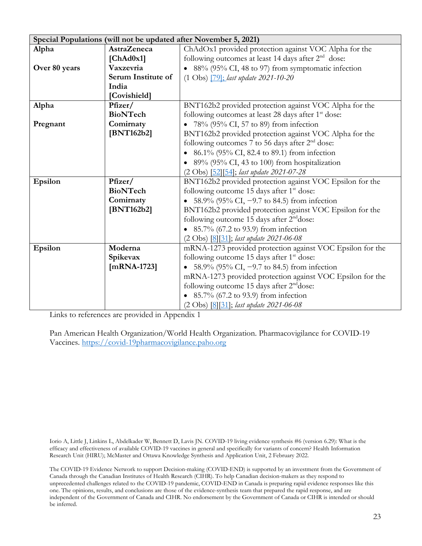|               | Special Populations (will not be updated after November 5, 2021) |                                                                 |  |  |
|---------------|------------------------------------------------------------------|-----------------------------------------------------------------|--|--|
| Alpha         | <b>AstraZeneca</b>                                               | ChAdOx1 provided protection against VOC Alpha for the           |  |  |
|               | [ChAd0x1]                                                        | following outcomes at least 14 days after 2 <sup>nd</sup> dose: |  |  |
| Over 80 years | Vaxzevria                                                        | • 88% (95% CI, 48 to 97) from symptomatic infection             |  |  |
|               | Serum Institute of                                               | (1 Obs) [79]; last update 2021-10-20                            |  |  |
|               | India                                                            |                                                                 |  |  |
|               | [Covishield]                                                     |                                                                 |  |  |
| Alpha         | Pfizer/                                                          | BNT162b2 provided protection against VOC Alpha for the          |  |  |
|               | <b>BioNTech</b>                                                  | following outcomes at least 28 days after 1 <sup>st</sup> dose: |  |  |
| Pregnant      | Comirnaty                                                        | 78% (95% CI, 57 to 89) from infection<br>$\bullet$              |  |  |
|               | [BNT162b2]                                                       | BNT162b2 provided protection against VOC Alpha for the          |  |  |
|               |                                                                  | following outcomes 7 to 56 days after $2nd$ dose:               |  |  |
|               |                                                                  | 86.1% (95% CI, 82.4 to 89.1) from infection                     |  |  |
|               |                                                                  | 89% (95% CI, 43 to 100) from hospitalization                    |  |  |
|               |                                                                  | (2 Obs) [52] [54]; last update 2021-07-28                       |  |  |
| Epsilon       | Pfizer/                                                          | BNT162b2 provided protection against VOC Epsilon for the        |  |  |
|               | <b>BioNTech</b>                                                  | following outcome 15 days after 1 <sup>st</sup> dose:           |  |  |
|               | Comirnaty                                                        | • 58.9% (95% CI, $-9.7$ to 84.5) from infection                 |  |  |
|               | [BNT162b2]                                                       | BNT162b2 provided protection against VOC Epsilon for the        |  |  |
|               |                                                                  | following outcome 15 days after 2 <sup>nd</sup> dose:           |  |  |
|               |                                                                  | • 85.7% (67.2 to 93.9) from infection                           |  |  |
|               |                                                                  | (2 Obs) [8][31]; last update 2021-06-08                         |  |  |
| Epsilon       | Moderna                                                          | mRNA-1273 provided protection against VOC Epsilon for the       |  |  |
|               | Spikevax                                                         | following outcome 15 days after 1 <sup>st</sup> dose:           |  |  |
|               | $[mRNA-1723]$                                                    | • 58.9% (95% CI, $-9.7$ to 84.5) from infection                 |  |  |
|               |                                                                  | mRNA-1273 provided protection against VOC Epsilon for the       |  |  |
|               |                                                                  | following outcome 15 days after 2 <sup>nd</sup> dose:           |  |  |
|               |                                                                  | 85.7% (67.2 to 93.9) from infection                             |  |  |
|               |                                                                  | (2 Obs) [8][31]; last update 2021-06-08                         |  |  |

Links to references are provided in Appendix 1

Pan American Health Organization/World Health Organization. Pharmacovigilance for COVID-19 Vaccines. [https://covid-19pharmacovigilance.paho.org](https://covid-19pharmacovigilance.paho.org/)

Iorio A, Little J, Linkins L, Abdelkader W, Bennett D, Lavis JN. COVID-19 living evidence synthesis #6 (version 6.29): What is the efficacy and effectiveness of available COVID-19 vaccines in general and specifically for variants of concern? Health Information Research Unit (HIRU); McMaster and Ottawa Knowledge Synthesis and Application Unit, 2 February 2022.

The COVID-19 Evidence Network to support Decision-making (COVID-END) is supported by an investment from the Government of Canada through the Canadian Institutes of Health Research (CIHR). To help Canadian decision-makers as they respond to unprecedented challenges related to the COVID-19 pandemic, COVID-END in Canada is preparing rapid evidence responses like this one. The opinions, results, and conclusions are those of the evidence-synthesis team that prepared the rapid response, and are independent of the Government of Canada and CIHR. No endorsement by the Government of Canada or CIHR is intended or should be inferred.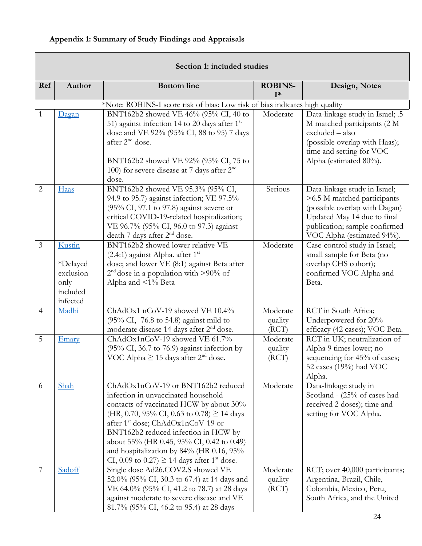# <span id="page-23-0"></span>**Appendix 1: Summary of Study Findings and Appraisals**

| Section 1: included studies |                                                                         |                                                                                                                                                                                                                                                                                                                                                                                                                           |                              |                                                                                                                                                                                             |  |
|-----------------------------|-------------------------------------------------------------------------|---------------------------------------------------------------------------------------------------------------------------------------------------------------------------------------------------------------------------------------------------------------------------------------------------------------------------------------------------------------------------------------------------------------------------|------------------------------|---------------------------------------------------------------------------------------------------------------------------------------------------------------------------------------------|--|
| Ref                         | Author                                                                  | <b>Bottom</b> line                                                                                                                                                                                                                                                                                                                                                                                                        | <b>ROBINS-</b><br>$I^*$      | Design, Notes                                                                                                                                                                               |  |
|                             |                                                                         | *Note: ROBINS-I score risk of bias: Low risk of bias indicates high quality                                                                                                                                                                                                                                                                                                                                               |                              |                                                                                                                                                                                             |  |
| 1                           | Dagan                                                                   | BNT162b2 showed VE 46% (95% CI, 40 to<br>51) against infection 14 to 20 days after 1st<br>dose and VE 92% (95% CI, 88 to 95) 7 days<br>after 2 <sup>nd</sup> dose.<br>BNT162b2 showed VE 92% (95% CI, 75 to<br>100) for severe disease at 7 days after $2nd$<br>dose.                                                                                                                                                     | Moderate                     | Data-linkage study in Israel; .5<br>M matched participants (2 M<br>excluded - also<br>(possible overlap with Haas);<br>time and setting for VOC<br>Alpha (estimated 80%).                   |  |
| $\overline{2}$              | Haas                                                                    | BNT162b2 showed VE 95.3% (95% CI,<br>94.9 to 95.7) against infection; VE 97.5%<br>(95% CI, 97.1 to 97.8) against severe or<br>critical COVID-19-related hospitalization;<br>VE 96.7% (95% CI, 96.0 to 97.3) against<br>death 7 days after 2 <sup>nd</sup> dose.                                                                                                                                                           | Serious                      | Data-linkage study in Israel;<br>>6.5 M matched participants<br>(possible overlap with Dagan)<br>Updated May 14 due to final<br>publication; sample confirmed<br>VOC Alpha (estimated 94%). |  |
| $\overline{3}$              | Kustin<br><i>*Delayed</i><br>exclusion-<br>only<br>included<br>infected | BNT162b2 showed lower relative VE<br>$(2.4:1)$ against Alpha. after 1 <sup>st</sup><br>dose; and lower VE (8:1) against Beta after<br>$2nd$ dose in a population with >90% of<br>Alpha and <1% Beta                                                                                                                                                                                                                       | Moderate                     | Case-control study in Israel;<br>small sample for Beta (no<br>overlap CHS cohort);<br>confirmed VOC Alpha and<br>Beta.                                                                      |  |
| 4                           | Madhi                                                                   | ChAdOx1 nCoV-19 showed VE 10.4%<br>$(95\% \text{ CI}, -76.8 \text{ to } 54.8)$ against mild to<br>moderate disease 14 days after 2 <sup>nd</sup> dose.                                                                                                                                                                                                                                                                    | Moderate<br>quality<br>(RCT) | RCT in South Africa;<br>Underpowered for 20%<br>efficacy (42 cases); VOC Beta.                                                                                                              |  |
| 5                           | Emary                                                                   | ChAdOx1nCoV-19 showed VE 61.7%<br>(95% CI, 36.7 to 76.9) against infection by<br>VOC Alpha $\geq$ 15 days after 2 <sup>nd</sup> dose.                                                                                                                                                                                                                                                                                     | Moderate<br>quality<br>(RCT) | RCT in UK; neutralization of<br>Alpha 9 times lower; no<br>sequencing for 45% of cases;<br>52 cases (19%) had VOC<br>Alpha.                                                                 |  |
| 6                           | Shah                                                                    | ChAdOx1nCoV-19 or BNT162b2 reduced<br>infection in unvaccinated household<br>contacts of vaccinated HCW by about 30%<br>(HR, 0.70, 95% CI, 0.63 to 0.78) $\geq$ 14 days<br>after 1 <sup>st</sup> dose; ChAdOx1nCoV-19 or<br>BNT162b2 reduced infection in HCW by<br>about 55% (HR 0.45, 95% CI, 0.42 to 0.49)<br>and hospitalization by 84% (HR 0.16, 95%<br>CI, 0.09 to 0.27) $\geq$ 14 days after 1 <sup>st</sup> dose. | Moderate                     | Data-linkage study in<br>Scotland - (25% of cases had<br>received 2 doses); time and<br>setting for VOC Alpha.                                                                              |  |
| 7                           | Sadoff                                                                  | Single dose Ad26.COV2.S showed VE<br>52.0% (95% CI, 30.3 to 67.4) at 14 days and<br>VE 64.0% (95% CI, 41.2 to 78.7) at 28 days<br>against moderate to severe disease and VE<br>81.7% (95% CI, 46.2 to 95.4) at 28 days                                                                                                                                                                                                    | Moderate<br>quality<br>(RCT) | RCT; over 40,000 participants;<br>Argentina, Brazil, Chile,<br>Colombia, Mexico, Peru,<br>South Africa, and the United                                                                      |  |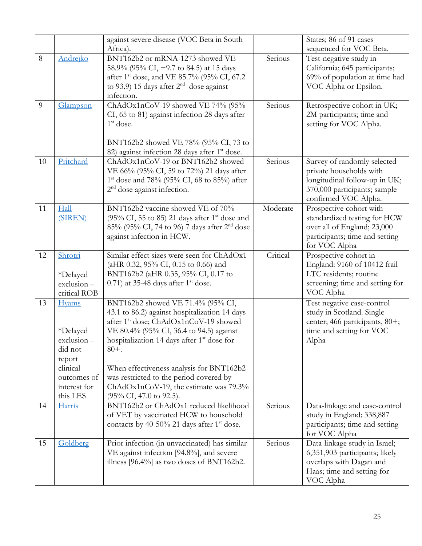|    |                                                                                                                       | against severe disease (VOC Beta in South<br>Africa).                                                                                                                                                                                                                                                                                                                                                                                    |          | States; 86 of 91 cases<br>sequenced for VOC Beta.                                                                                               |
|----|-----------------------------------------------------------------------------------------------------------------------|------------------------------------------------------------------------------------------------------------------------------------------------------------------------------------------------------------------------------------------------------------------------------------------------------------------------------------------------------------------------------------------------------------------------------------------|----------|-------------------------------------------------------------------------------------------------------------------------------------------------|
| 8  | Andrejko                                                                                                              | BNT162b2 or mRNA-1273 showed VE<br>58.9% (95% CI, -9.7 to 84.5) at 15 days<br>after 1 <sup>st</sup> dose, and VE 85.7% (95% CI, 67.2)<br>to 93.9) 15 days after $2nd$ dose against<br>infection.                                                                                                                                                                                                                                         | Serious  | Test-negative study in<br>California; 645 participants;<br>69% of population at time had<br>VOC Alpha or Epsilon.                               |
| 9  | Glampson                                                                                                              | ChAdOx1nCoV-19 showed VE 74% (95%<br>CI, 65 to 81) against infection 28 days after<br>$1st$ dose.<br>BNT162b2 showed VE 78% (95% CI, 73 to<br>82) against infection 28 days after 1 <sup>st</sup> dose.                                                                                                                                                                                                                                  | Serious  | Retrospective cohort in UK;<br>2M participants; time and<br>setting for VOC Alpha.                                                              |
| 10 | Pritchard                                                                                                             | ChAdOx1nCoV-19 or BNT162b2 showed<br>VE 66% (95% CI, 59 to 72%) 21 days after<br>1 <sup>st</sup> dose and 78% (95% CI, 68 to 85%) after<br>$2nd$ dose against infection.                                                                                                                                                                                                                                                                 | Serious  | Survey of randomly selected<br>private households with<br>longitudinal follow-up in UK;<br>370,000 participants; sample<br>confirmed VOC Alpha. |
| 11 | Hall<br>(SIREN)                                                                                                       | BNT162b2 vaccine showed VE of 70%<br>(95% CI, 55 to 85) 21 days after $1st$ dose and<br>85% (95% CI, 74 to 96) 7 days after 2 <sup>nd</sup> dose<br>against infection in HCW.                                                                                                                                                                                                                                                            | Moderate | Prospective cohort with<br>standardized testing for HCW<br>over all of England; 23,000<br>participants; time and setting<br>for VOC Alpha       |
| 12 | Shrotri<br>*Delayed<br>exclusion-<br>critical ROB                                                                     | Similar effect sizes were seen for ChAdOx1<br>(aHR 0.32, 95% CI, 0.15 to 0.66) and<br>BNT162b2 (aHR 0.35, 95% CI, 0.17 to<br>$(0.71)$ at 35-48 days after 1 <sup>st</sup> dose.                                                                                                                                                                                                                                                          | Critical | Prospective cohort in<br>England: 9160 of 10412 frail<br>LTC residents; routine<br>screening; time and setting for<br>VOC Alpha                 |
| 13 | <b>Hyams</b><br>*Delayed<br>$exclusion -$<br>did not<br>report<br>clinical<br>outcomes of<br>interest for<br>this LES | BNT162b2 showed VE 71.4% (95% CI,<br>43.1 to 86.2) against hospitalization 14 days<br>after 1 <sup>st</sup> dose; ChAdOx1nCoV-19 showed<br>VE 80.4% (95% CI, 36.4 to 94.5) against<br>hospitalization 14 days after 1 <sup>st</sup> dose for<br>$80 +$ .<br>When effectiveness analysis for BNT162b2<br>was restricted to the period covered by<br>ChAdOx1nCoV-19, the estimate was 79.3%<br>$(95\% \text{ CI}, 47.0 \text{ to } 92.5).$ |          | Test negative case-control<br>study in Scotland. Single<br>center; 466 participants, 80+;<br>time and setting for VOC<br>Alpha                  |
| 14 | Harris                                                                                                                | BNT162b2 or ChAdOx1 reduced likelihood<br>of VET by vaccinated HCW to household<br>contacts by 40-50% 21 days after $1st$ dose.                                                                                                                                                                                                                                                                                                          | Serious  | Data-linkage and case-control<br>study in England; 338,887<br>participants; time and setting<br>for VOC Alpha                                   |
| 15 | Goldberg                                                                                                              | Prior infection (in unvaccinated) has similar<br>VE against infection [94.8%], and severe<br>illness $[96.4\%]$ as two doses of BNT162b2.                                                                                                                                                                                                                                                                                                | Serious  | Data-linkage study in Israel;<br>6,351,903 participants; likely<br>overlaps with Dagan and<br>Haas; time and setting for<br>VOC Alpha           |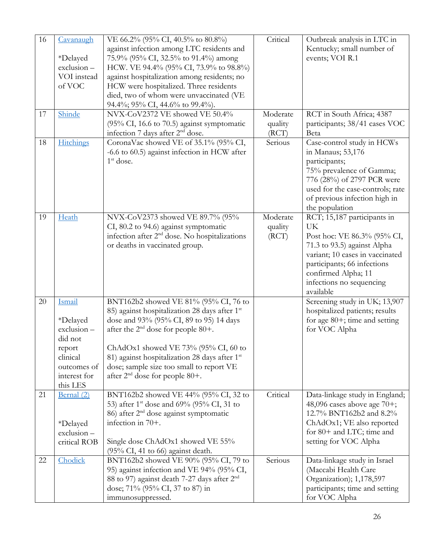| 16 | Cavanaugh               | VE 66.2% (95% CI, 40.5% to 80.8%)                                                                     | Critical | Outbreak analysis in LTC in                                    |
|----|-------------------------|-------------------------------------------------------------------------------------------------------|----------|----------------------------------------------------------------|
|    | *Delayed                | against infection among LTC residents and<br>75.9% (95% CI, 32.5% to 91.4%) among                     |          | Kentucky; small number of<br>events; VOI R.1                   |
|    | $exclusion -$           | HCW. VE 94.4% (95% CI, 73.9% to 98.8%)                                                                |          |                                                                |
|    | VOI instead             | against hospitalization among residents; no                                                           |          |                                                                |
|    | of VOC                  | HCW were hospitalized. Three residents                                                                |          |                                                                |
|    |                         | died, two of whom were unvaccinated (VE<br>94.4%; 95% CI, 44.6% to 99.4%).                            |          |                                                                |
| 17 | Shinde                  | NVX-CoV2372 VE showed VE 50.4%                                                                        | Moderate | RCT in South Africa; 4387                                      |
|    |                         | (95% CI, 16.6 to 70.5) against symptomatic                                                            | quality  | participants; 38/41 cases VOC                                  |
|    |                         | infection 7 days after 2 <sup>nd</sup> dose.                                                          | (RCT)    | Beta                                                           |
| 18 | <b>Hitchings</b>        | CoronaVac showed VE of 35.1% (95% CI,                                                                 | Serious  | Case-control study in HCWs                                     |
|    |                         | -6.6 to 60.5) against infection in HCW after                                                          |          | in Manaus; 53,176                                              |
|    |                         | $1st$ dose.                                                                                           |          | participants;                                                  |
|    |                         |                                                                                                       |          | 75% prevalence of Gamma;                                       |
|    |                         |                                                                                                       |          | 776 (28%) of 2797 PCR were<br>used for the case-controls; rate |
|    |                         |                                                                                                       |          | of previous infection high in                                  |
|    |                         |                                                                                                       |          | the population                                                 |
| 19 | Heath                   | NVX-CoV2373 showed VE 89.7% (95%                                                                      | Moderate | RCT; 15,187 participants in                                    |
|    |                         | CI, 80.2 to 94.6) against symptomatic                                                                 | quality  | <b>UK</b>                                                      |
|    |                         | infection after 2 <sup>nd</sup> dose. No hospitalizations                                             | (RCT)    | Post hoc: VE 86.3% (95% CI,                                    |
|    |                         | or deaths in vaccinated group.                                                                        |          | 71.3 to 93.5) against Alpha                                    |
|    |                         |                                                                                                       |          | variant; 10 cases in vaccinated                                |
|    |                         |                                                                                                       |          | participants; 66 infections                                    |
|    |                         |                                                                                                       |          | confirmed Alpha; 11<br>infections no sequencing                |
|    |                         |                                                                                                       |          | available                                                      |
| 20 | Ismail                  | BNT162b2 showed VE 81% (95% CI, 76 to                                                                 |          | Screening study in UK; 13,907                                  |
|    |                         | 85) against hospitalization 28 days after 1 <sup>st</sup>                                             |          | hospitalized patients; results                                 |
|    | <i>*Delayed</i>         | dose and 93% (95% CI, 89 to 95) 14 days                                                               |          | for age $80+$ ; time and setting                               |
|    | exclusion-              | after the $2nd$ dose for people 80+.                                                                  |          | for VOC Alpha                                                  |
|    | did not                 |                                                                                                       |          |                                                                |
|    | report                  | ChAdOx1 showed VE 73% (95% CI, 60 to                                                                  |          |                                                                |
|    | clinical<br>outcomes of | 81) against hospitalization 28 days after 1 <sup>st</sup><br>dose; sample size too small to report VE |          |                                                                |
|    | interest for            | after $2nd$ dose for people 80+.                                                                      |          |                                                                |
|    | this LES                |                                                                                                       |          |                                                                |
| 21 | Bernal (2)              | BNT162b2 showed VE 44% (95% CI, 32 to                                                                 | Critical | Data-linkage study in England;                                 |
|    |                         | 53) after 1 <sup>st</sup> dose and 69% (95% CI, 31 to                                                 |          | 48,096 cases above age 70+;                                    |
|    |                         | 86) after $2nd$ dose against symptomatic                                                              |          | 12.7% BNT162b2 and 8.2%                                        |
|    | <i>*Delayed</i>         | infection in 70+.                                                                                     |          | ChAdOx1; VE also reported                                      |
|    | exclusion-              |                                                                                                       |          | for 80+ and LTC; time and                                      |
|    | critical ROB            | Single dose ChAdOx1 showed VE 55%                                                                     |          | setting for VOC Alpha                                          |
| 22 | Chodick                 | $(95\% \text{ CI}, 41 \text{ to } 66)$ against death.<br>BNT162b2 showed VE 90% (95% CI, 79 to        | Serious  | Data-linkage study in Israel                                   |
|    |                         | 95) against infection and VE 94% (95% CI,                                                             |          | (Maccabi Health Care                                           |
|    |                         | 88 to 97) against death 7-27 days after 2 <sup>nd</sup>                                               |          | Organization); 1,178,597                                       |
|    |                         | dose; 71% (95% CI, 37 to 87) in                                                                       |          | participants; time and setting                                 |
|    |                         | immunosuppressed.                                                                                     |          | for VOC Alpha                                                  |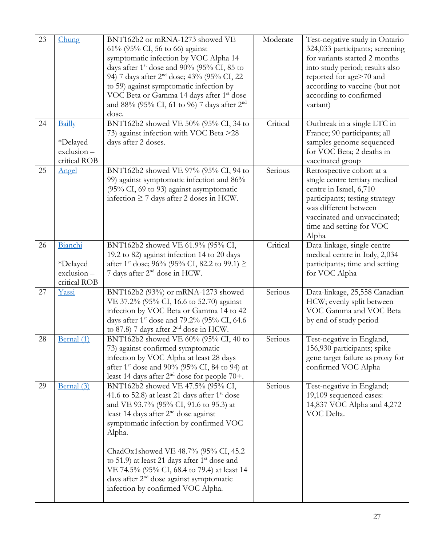| 23 | Chung                                             | BNT162b2 or mRNA-1273 showed VE<br>61% (95% CI, 56 to 66) against<br>symptomatic infection by VOC Alpha 14<br>days after $1^{\text{st}}$ dose and 90% (95% CI, 85 to<br>94) 7 days after 2 <sup>nd</sup> dose; 43% (95% CI, 22<br>to 59) against symptomatic infection by<br>VOC Beta or Gamma 14 days after 1 <sup>st</sup> dose<br>and 88% (95% CI, 61 to 96) 7 days after 2 <sup>nd</sup><br>dose.                                                    | Moderate | Test-negative study in Ontario<br>324,033 participants; screening<br>for variants started 2 months<br>into study period; results also<br>reported for age>70 and<br>according to vaccine (but not<br>according to confirmed<br>variant) |
|----|---------------------------------------------------|----------------------------------------------------------------------------------------------------------------------------------------------------------------------------------------------------------------------------------------------------------------------------------------------------------------------------------------------------------------------------------------------------------------------------------------------------------|----------|-----------------------------------------------------------------------------------------------------------------------------------------------------------------------------------------------------------------------------------------|
| 24 | Bailly<br>*Delayed<br>exclusion-<br>critical ROB  | BNT162b2 showed VE 50% (95% CI, 34 to<br>73) against infection with VOC Beta >28<br>days after 2 doses.                                                                                                                                                                                                                                                                                                                                                  | Critical | Outbreak in a single LTC in<br>France; 90 participants; all<br>samples genome sequenced<br>for VOC Beta; 2 deaths in<br>vaccinated group                                                                                                |
| 25 | Angel                                             | BNT162b2 showed VE 97% (95% CI, 94 to<br>99) against symptomatic infection and 86%<br>(95% CI, 69 to 93) against asymptomatic<br>infection $\geq$ 7 days after 2 doses in HCW.                                                                                                                                                                                                                                                                           | Serious  | Retrospective cohort at a<br>single centre tertiary medical<br>centre in Israel, 6,710<br>participants; testing strategy<br>was different between<br>vaccinated and unvaccinated;<br>time and setting for VOC<br>Alpha                  |
| 26 | Bianchi<br>*Delayed<br>exclusion-<br>critical ROB | BNT162b2 showed VE 61.9% (95% CI,<br>19.2 to 82) against infection 14 to 20 days<br>after 1 <sup>st</sup> dose; 96% (95% CI, 82.2 to 99.1) $\ge$<br>7 days after 2 <sup>nd</sup> dose in HCW.                                                                                                                                                                                                                                                            | Critical | Data-linkage, single centre<br>medical centre in Italy, 2,034<br>participants; time and setting<br>for VOC Alpha                                                                                                                        |
| 27 | Yassi                                             | BNT162b2 (93%) or mRNA-1273 showed<br>VE 37.2% (95% CI, 16.6 to 52.70) against<br>infection by VOC Beta or Gamma 14 to 42<br>days after 1 <sup>st</sup> dose and 79.2% (95% CI, 64.6)<br>to 87.8) 7 days after 2 <sup>nd</sup> dose in HCW.                                                                                                                                                                                                              | Serious  | Data-linkage, 25,558 Canadian<br>HCW; evenly split between<br>VOC Gamma and VOC Beta<br>by end of study period                                                                                                                          |
| 28 | Bernal (1)                                        | BNT162b2 showed VE 60% (95% CI, 40 to<br>73) against confirmed symptomatic<br>infection by VOC Alpha at least 28 days<br>after 1 <sup>st</sup> dose and 90% (95% CI, 84 to 94) at<br>least 14 days after $2nd$ dose for people 70+.                                                                                                                                                                                                                      | Serious  | Test-negative in England,<br>156,930 participants; spike<br>gene target failure as proxy for<br>confirmed VOC Alpha                                                                                                                     |
| 29 | Bernal (3)                                        | BNT162b2 showed VE 47.5% (95% CI,<br>41.6 to 52.8) at least 21 days after $1st$ dose<br>and VE 93.7% (95% CI, 91.6 to 95.3) at<br>least 14 days after $2nd$ dose against<br>symptomatic infection by confirmed VOC<br>Alpha.<br>ChadOx1showed VE 48.7% (95% CI, 45.2)<br>to 51.9) at least 21 days after $1st$ dose and<br>VE 74.5% (95% CI, 68.4 to 79.4) at least 14<br>days after $2nd$ dose against symptomatic<br>infection by confirmed VOC Alpha. | Serious  | Test-negative in England;<br>19,109 sequenced cases:<br>14,837 VOC Alpha and 4,272<br>VOC Delta.                                                                                                                                        |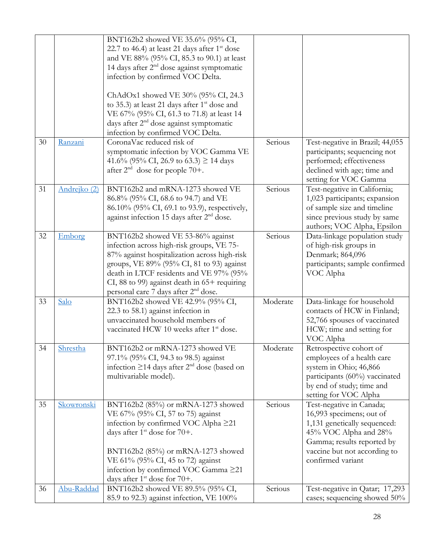|    |              | BNT162b2 showed VE 35.6% (95% CI,<br>22.7 to 46.4) at least 21 days after $1st$ dose<br>and VE 88% (95% CI, 85.3 to 90.1) at least<br>14 days after 2 <sup>nd</sup> dose against symptomatic<br>infection by confirmed VOC Delta.<br>ChAdOx1 showed VE 30% (95% CI, 24.3)<br>to 35.3) at least 21 days after $1st$ dose and<br>VE 67% (95% CI, 61.3 to 71.8) at least 14<br>days after 2 <sup>nd</sup> dose against symptomatic<br>infection by confirmed VOC Delta. |          |                                                                                                                                                                                                  |
|----|--------------|----------------------------------------------------------------------------------------------------------------------------------------------------------------------------------------------------------------------------------------------------------------------------------------------------------------------------------------------------------------------------------------------------------------------------------------------------------------------|----------|--------------------------------------------------------------------------------------------------------------------------------------------------------------------------------------------------|
| 30 | Ranzani      | CoronaVac reduced risk of<br>symptomatic infection by VOC Gamma VE<br>41.6% (95% CI, 26.9 to 63.3) $\geq$ 14 days<br>after $2nd$ dose for people 70+.                                                                                                                                                                                                                                                                                                                | Serious  | Test-negative in Brazil; 44,055<br>participants; sequencing not<br>performed; effectiveness<br>declined with age; time and<br>setting for VOC Gamma                                              |
| 31 | Andrejko (2) | BNT162b2 and mRNA-1273 showed VE<br>86.8% (95% CI, 68.6 to 94.7) and VE<br>86.10% (95% CI, 69.1 to 93.9), respectively,<br>against infection 15 days after 2 <sup>nd</sup> dose.                                                                                                                                                                                                                                                                                     | Serious  | Test-negative in California;<br>1,023 participants; expansion<br>of sample size and timeline<br>since previous study by same<br>authors; VOC Alpha, Epsilon                                      |
| 32 | Emborg       | BNT162b2 showed VE 53-86% against<br>infection across high-risk groups, VE 75-<br>87% against hospitalization across high-risk<br>groups, VE 89% (95% CI, 81 to 93) against<br>death in LTCF residents and VE 97% (95%<br>CI, 88 to 99) against death in $65+$ requiring<br>personal care 7 days after 2 <sup>nd</sup> dose.                                                                                                                                         | Serious  | Data-linkage population study<br>of high-risk groups in<br>Denmark; 864,096<br>participants; sample confirmed<br>VOC Alpha                                                                       |
| 33 | Salo         | BNT162b2 showed VE 42.9% (95% CI,<br>22.3 to 58.1) against infection in<br>unvaccinated household members of<br>vaccinated HCW 10 weeks after 1 <sup>st</sup> dose.                                                                                                                                                                                                                                                                                                  | Moderate | Data-linkage for household<br>contacts of HCW in Finland;<br>52,766 spouses of vaccinated<br>HCW; time and setting for<br>VOC Alpha                                                              |
| 34 | Shrestha     | BNT162b2 or mRNA-1273 showed VE<br>97.1% (95% CI, 94.3 to 98.5) against<br>infection $\geq$ 14 days after $2nd$ dose (based on<br>multivariable model).                                                                                                                                                                                                                                                                                                              | Moderate | Retrospective cohort of<br>employees of a health care<br>system in Ohio; 46,866<br>participants (60%) vaccinated<br>by end of study; time and<br>setting for VOC Alpha                           |
| 35 | Skowronski   | BNT162b2 (85%) or mRNA-1273 showed<br>VE 67% (95% CI, 57 to 75) against<br>infection by confirmed VOC Alpha ≥21<br>days after $1st$ dose for $70+$ .<br>BNT162b2 (85%) or mRNA-1273 showed<br>VE 61% (95% CI, 45 to 72) against<br>infection by confirmed VOC Gamma ≥21<br>days after $1st$ dose for $70+$ .                                                                                                                                                         | Serious  | Test-negative in Canada;<br>16,993 specimens; out of<br>1,131 genetically sequenced:<br>45% VOC Alpha and 28%<br>Gamma; results reported by<br>vaccine but not according to<br>confirmed variant |
| 36 | Abu-Raddad   | BNT162b2 showed VE 89.5% (95% CI,<br>85.9 to 92.3) against infection, VE 100%                                                                                                                                                                                                                                                                                                                                                                                        | Serious  | Test-negative in Qatar; 17,293<br>cases; sequencing showed 50%                                                                                                                                   |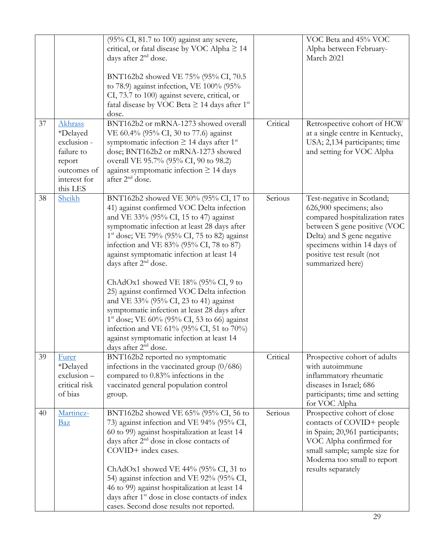|    |                                                                                                       | $(95\% \text{ CI}, 81.7 \text{ to } 100)$ against any severe,<br>critical, or fatal disease by VOC Alpha $\geq$ 14<br>days after 2 <sup>nd</sup> dose.<br>BNT162b2 showed VE 75% (95% CI, 70.5<br>to 78.9) against infection, VE $100\%$ (95%<br>CI, 73.7 to 100) against severe, critical, or<br>fatal disease by VOC Beta $\geq$ 14 days after 1 <sup>st</sup><br>dose.                                                                                                                                                                                                                                                                                                                                              |          | VOC Beta and 45% VOC<br>Alpha between February-<br>March 2021                                                                                                                                                                         |
|----|-------------------------------------------------------------------------------------------------------|------------------------------------------------------------------------------------------------------------------------------------------------------------------------------------------------------------------------------------------------------------------------------------------------------------------------------------------------------------------------------------------------------------------------------------------------------------------------------------------------------------------------------------------------------------------------------------------------------------------------------------------------------------------------------------------------------------------------|----------|---------------------------------------------------------------------------------------------------------------------------------------------------------------------------------------------------------------------------------------|
| 37 | Akhrass<br>*Delayed<br>exclusion -<br>failure to<br>report<br>outcomes of<br>interest for<br>this LES | BNT162b2 or mRNA-1273 showed overall<br>VE 60.4% (95% CI, 30 to 77.6) against<br>symptomatic infection $\geq$ 14 days after 1 <sup>st</sup><br>dose; BNT162b2 or mRNA-1273 showed<br>overall VE 95.7% (95% CI, 90 to 98.2)<br>against symptomatic infection $\geq$ 14 days<br>after 2 <sup>nd</sup> dose.                                                                                                                                                                                                                                                                                                                                                                                                              | Critical | Retrospective cohort of HCW<br>at a single centre in Kentucky,<br>USA; 2,134 participants; time<br>and setting for VOC Alpha                                                                                                          |
| 38 | Sheikh                                                                                                | BNT162b2 showed VE 30% (95% CI, 17 to<br>41) against confirmed VOC Delta infection<br>and VE 33% (95% CI, 15 to 47) against<br>symptomatic infection at least 28 days after<br>$1st$ dose; VE 79% (95% CI, 75 to 82) against<br>infection and VE 83% (95% CI, 78 to 87)<br>against symptomatic infection at least 14<br>days after 2 <sup>nd</sup> dose.<br>ChAdOx1 showed VE $18\%$ (95% CI, 9 to<br>25) against confirmed VOC Delta infection<br>and VE 33% (95% CI, 23 to 41) against<br>symptomatic infection at least 28 days after<br>$1st$ dose; VE 60% (95% CI, 53 to 66) against<br>infection and VE 61% (95% CI, 51 to 70%)<br>against symptomatic infection at least 14<br>days after 2 <sup>nd</sup> dose. | Serious  | Test-negative in Scotland;<br>626,900 specimens; also<br>compared hospitalization rates<br>between S gene positive (VOC<br>Delta) and S gene negative<br>specimens within 14 days of<br>positive test result (not<br>summarized here) |
| 39 | Furer<br>*Delayed<br>exclusion-<br>critical risk<br>of bias                                           | BNT162b2 reported no symptomatic<br>infections in the vaccinated group $(0/686)$<br>compared to 0.83% infections in the<br>vaccinated general population control<br>group.                                                                                                                                                                                                                                                                                                                                                                                                                                                                                                                                             | Critical | Prospective cohort of adults<br>with autoimmune<br>inflammatory rheumatic<br>diseases in Israel; 686<br>participants; time and setting<br>for VOC Alpha                                                                               |
| 40 | Martinez-<br><b>Baz</b>                                                                               | BNT162b2 showed VE 65% (95% CI, 56 to<br>73) against infection and VE 94% (95% CI,<br>60 to 99) against hospitalization at least 14<br>days after 2 <sup>nd</sup> dose in close contacts of<br>COVID+ index cases.<br>ChAdOx1 showed VE 44% (95% CI, 31 to<br>54) against infection and VE 92% (95% CI,<br>46 to 99) against hospitalization at least 14<br>days after 1 <sup>st</sup> dose in close contacts of index<br>cases. Second dose results not reported.                                                                                                                                                                                                                                                     | Serious  | Prospective cohort of close<br>contacts of COVID+ people<br>in Spain; 20,961 participants;<br>VOC Alpha confirmed for<br>small sample; sample size for<br>Moderna too small to report<br>results separately                           |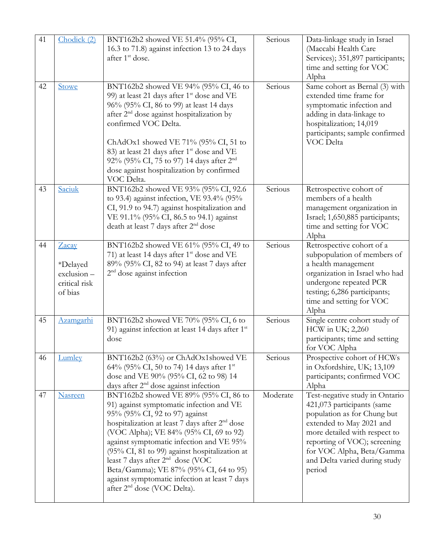| 41 | Chodick (2)                                                 | BNT162b2 showed VE 51.4% (95% CI,<br>16.3 to 71.8) against infection 13 to 24 days<br>after 1 <sup>st</sup> dose.                                                                                                                                                                                                                                                                                                                                                                                    | Serious  | Data-linkage study in Israel<br>(Maccabi Health Care<br>Services); 351,897 participants;<br>time and setting for VOC<br>Alpha                                                                                                                                    |
|----|-------------------------------------------------------------|------------------------------------------------------------------------------------------------------------------------------------------------------------------------------------------------------------------------------------------------------------------------------------------------------------------------------------------------------------------------------------------------------------------------------------------------------------------------------------------------------|----------|------------------------------------------------------------------------------------------------------------------------------------------------------------------------------------------------------------------------------------------------------------------|
| 42 | Stowe                                                       | BNT162b2 showed VE 94% (95% CI, 46 to<br>99) at least 21 days after 1 <sup>st</sup> dose and VE<br>96% (95% CI, 86 to 99) at least 14 days<br>after 2 <sup>nd</sup> dose against hospitalization by<br>confirmed VOC Delta.<br>ChAdOx1 showed VE 71% (95% CI, 51 to<br>83) at least 21 days after 1 <sup>st</sup> dose and VE<br>92% (95% CI, 75 to 97) 14 days after 2 <sup>nd</sup><br>dose against hospitalization by confirmed<br>VOC Delta.                                                     | Serious  | Same cohort as Bernal (3) with<br>extended time frame for<br>symptomatic infection and<br>adding in data-linkage to<br>hospitalization; 14,019<br>participants; sample confirmed<br>VOC Delta                                                                    |
| 43 | Saciuk                                                      | BNT162b2 showed VE 93% (95% CI, 92.6<br>to 93.4) against infection, VE 93.4% (95%<br>CI, 91.9 to 94.7) against hospitalization and<br>VE 91.1% (95% CI, 86.5 to 94.1) against<br>death at least 7 days after 2 <sup>nd</sup> dose                                                                                                                                                                                                                                                                    | Serious  | Retrospective cohort of<br>members of a health<br>management organization in<br>Israel; 1,650,885 participants;<br>time and setting for VOC<br>Alpha                                                                                                             |
| 44 | Zacay<br>*Delayed<br>exclusion-<br>critical risk<br>of bias | BNT162b2 showed VE 61% (95% CI, 49 to<br>71) at least 14 days after $1^{st}$ dose and VE<br>89% (95% CI, 82 to 94) at least 7 days after<br>$2nd$ dose against infection                                                                                                                                                                                                                                                                                                                             | Serious  | Retrospective cohort of a<br>subpopulation of members of<br>a health management<br>organization in Israel who had<br>undergone repeated PCR<br>testing; 6,286 participants;<br>time and setting for VOC<br>Alpha                                                 |
| 45 | <u>Azamgarhi</u>                                            | BNT162b2 showed VE 70% (95% CI, 6 to<br>91) against infection at least 14 days after 1 <sup>st</sup><br>dose                                                                                                                                                                                                                                                                                                                                                                                         | Serious  | Single centre cohort study of<br>HCW in UK; 2,260<br>participants; time and setting<br>for VOC Alpha                                                                                                                                                             |
| 46 | Lumley                                                      | BNT162b2 (63%) or ChAdOx1showed VE<br>64% (95% CI, 50 to 74) 14 days after 1 <sup>st</sup><br>dose and VE 90% (95% CI, 62 to 98) 14<br>days after 2 <sup>nd</sup> dose against infection                                                                                                                                                                                                                                                                                                             | Serious  | Prospective cohort of HCWs<br>in Oxfordshire, UK; 13,109<br>participants; confirmed VOC<br>Alpha                                                                                                                                                                 |
| 47 | <b>Nasreen</b>                                              | BNT162b2 showed VE 89% (95% CI, 86 to<br>91) against symptomatic infection and VE<br>95% (95% CI, 92 to 97) against<br>hospitalization at least 7 days after 2 <sup>nd</sup> dose<br>(VOC Alpha); VE 84% (95% CI, 69 to 92)<br>against symptomatic infection and VE 95%<br>(95% CI, 81 to 99) against hospitalization at<br>least 7 days after $2nd$ dose (VOC<br>Beta/Gamma); VE 87% (95% CI, 64 to 95)<br>against symptomatic infection at least 7 days<br>after 2 <sup>nd</sup> dose (VOC Delta). | Moderate | Test-negative study in Ontario<br>421,073 participants (same<br>population as for Chung but<br>extended to May 2021 and<br>more detailed with respect to<br>reporting of VOC); screening<br>for VOC Alpha, Beta/Gamma<br>and Delta varied during study<br>period |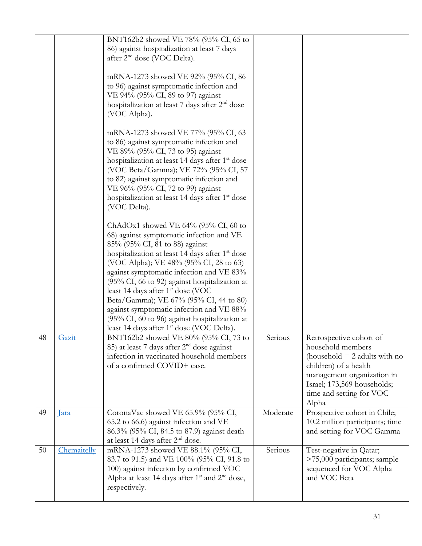|    |             | BNT162b2 showed VE 78% (95% CI, 65 to<br>86) against hospitalization at least 7 days<br>after 2 <sup>nd</sup> dose (VOC Delta).<br>mRNA-1273 showed VE 92% (95% CI, 86<br>to 96) against symptomatic infection and<br>VE 94% (95% CI, 89 to 97) against<br>hospitalization at least 7 days after 2 <sup>nd</sup> dose<br>(VOC Alpha).                                                                                                                                                                                                                                                                      |          |                                                                                                                                                                                                            |
|----|-------------|------------------------------------------------------------------------------------------------------------------------------------------------------------------------------------------------------------------------------------------------------------------------------------------------------------------------------------------------------------------------------------------------------------------------------------------------------------------------------------------------------------------------------------------------------------------------------------------------------------|----------|------------------------------------------------------------------------------------------------------------------------------------------------------------------------------------------------------------|
|    |             | mRNA-1273 showed VE 77% (95% CI, 63<br>to 86) against symptomatic infection and<br>VE 89% (95% CI, 73 to 95) against<br>hospitalization at least 14 days after 1 <sup>st</sup> dose<br>(VOC Beta/Gamma); VE 72% (95% CI, 57<br>to 82) against symptomatic infection and<br>VE 96% (95% CI, 72 to 99) against<br>hospitalization at least 14 days after 1 <sup>st</sup> dose<br>(VOC Delta).                                                                                                                                                                                                                |          |                                                                                                                                                                                                            |
|    |             | ChAdOx1 showed VE $64\%$ (95% CI, 60 to<br>68) against symptomatic infection and VE<br>85% (95% CI, 81 to 88) against<br>hospitalization at least 14 days after 1 <sup>st</sup> dose<br>(VOC Alpha); VE 48% (95% CI, 28 to 63)<br>against symptomatic infection and VE 83%<br>$(95\% \text{ CI}, 66 \text{ to } 92)$ against hospitalization at<br>least 14 days after $1st$ dose (VOC<br>Beta/Gamma); VE 67% (95% CI, 44 to 80)<br>against symptomatic infection and VE 88%<br>$(95\% \text{ CI}, 60 \text{ to } 96)$ against hospitalization at<br>least 14 days after 1 <sup>st</sup> dose (VOC Delta). |          |                                                                                                                                                                                                            |
| 48 | Gazit       | BNT162b2 showed VE 80% (95% CI, 73 to<br>85) at least 7 days after $2nd$ dose against<br>infection in vaccinated household members<br>of a confirmed COVID+ case.                                                                                                                                                                                                                                                                                                                                                                                                                                          | Serious  | Retrospective cohort of<br>household members<br>(household $=$ 2 adults with no<br>children) of a health<br>management organization in<br>Israel; 173,569 households;<br>time and setting for VOC<br>Alpha |
| 49 | <u>lara</u> | CoronaVac showed VE 65.9% (95% CI,<br>65.2 to 66.6) against infection and VE<br>86.3% (95% CI, 84.5 to 87.9) against death<br>at least 14 days after 2 <sup>nd</sup> dose.                                                                                                                                                                                                                                                                                                                                                                                                                                 | Moderate | Prospective cohort in Chile;<br>10.2 million participants; time<br>and setting for VOC Gamma                                                                                                               |
| 50 | Chemaitelly | mRNA-1273 showed VE 88.1% (95% CI,<br>83.7 to 91.5) and VE 100% (95% CI, 91.8 to<br>100) against infection by confirmed VOC<br>Alpha at least 14 days after $1st$ and $2nd$ dose,<br>respectively.                                                                                                                                                                                                                                                                                                                                                                                                         | Serious  | Test-negative in Qatar;<br>>75,000 participants; sample<br>sequenced for VOC Alpha<br>and VOC Beta                                                                                                         |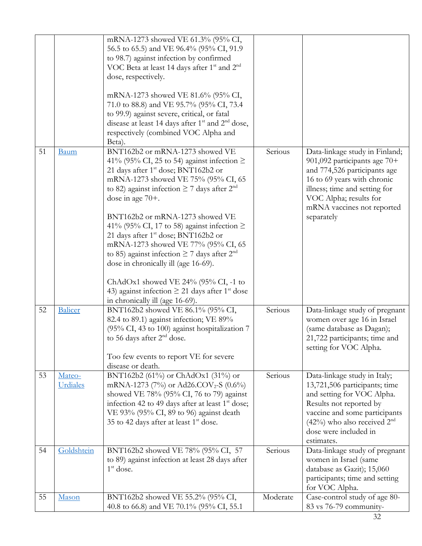|    |                    | mRNA-1273 showed VE 61.3% (95% CI,<br>56.5 to 65.5) and VE 96.4% (95% CI, 91.9<br>to 98.7) against infection by confirmed<br>VOC Beta at least 14 days after 1 <sup>st</sup> and 2 <sup>nd</sup><br>dose, respectively.<br>mRNA-1273 showed VE 81.6% (95% CI,<br>71.0 to 88.8) and VE 95.7% (95% CI, 73.4<br>to 99.9) against severe, critical, or fatal<br>disease at least 14 days after $1st$ and $2nd$ dose,<br>respectively (combined VOC Alpha and<br>Beta).                                                                                                                                                                                                                  |          |                                                                                                                                                                                                                                      |
|----|--------------------|-------------------------------------------------------------------------------------------------------------------------------------------------------------------------------------------------------------------------------------------------------------------------------------------------------------------------------------------------------------------------------------------------------------------------------------------------------------------------------------------------------------------------------------------------------------------------------------------------------------------------------------------------------------------------------------|----------|--------------------------------------------------------------------------------------------------------------------------------------------------------------------------------------------------------------------------------------|
| 51 | <b>Baum</b>        | BNT162b2 or mRNA-1273 showed VE<br>41% (95% CI, 25 to 54) against infection $\ge$<br>21 days after 1 <sup>st</sup> dose; BNT162b2 or<br>mRNA-1273 showed VE 75% (95% CI, 65<br>to 82) against infection $\geq$ 7 days after $2nd$<br>dose in age $70+$ .<br>BNT162b2 or mRNA-1273 showed VE<br>41% (95% CI, 17 to 58) against infection $\ge$<br>21 days after 1 <sup>st</sup> dose; BNT162b2 or<br>mRNA-1273 showed VE 77% (95% CI, 65<br>to 85) against infection $\geq$ 7 days after $2nd$<br>dose in chronically ill (age 16-69).<br>ChAdOx1 showed VE 24% (95% CI, -1 to<br>43) against infection $\geq$ 21 days after 1 <sup>st</sup> dose<br>in chronically ill (age 16-69). | Serious  | Data-linkage study in Finland;<br>901,092 participants age 70+<br>and 774,526 participants age<br>16 to 69 years with chronic<br>illness; time and setting for<br>VOC Alpha; results for<br>mRNA vaccines not reported<br>separately |
| 52 | <b>Balicer</b>     | BNT162b2 showed VE 86.1% (95% CI,<br>82.4 to 89.1) against infection; VE 89%<br>(95% CI, 43 to 100) against hospitalization 7<br>to 56 days after 2 <sup>nd</sup> dose.<br>Too few events to report VE for severe<br>disease or death.                                                                                                                                                                                                                                                                                                                                                                                                                                              | Serious  | Data-linkage study of pregnant<br>women over age 16 in Israel<br>(same database as Dagan);<br>21,722 participants; time and<br>setting for VOC Alpha.                                                                                |
| 53 | Mateo-<br>Urdiales | BNT162b2 (61%) or ChAdOx1 (31%) or<br>mRNA-1273 (7%) or Ad26.COV <sub>2</sub> -S (0.6%)<br>showed VE 78% (95% CI, 76 to 79) against<br>infection 42 to 49 days after at least 1 <sup>st</sup> dose;<br>VE 93% (95% CI, 89 to 96) against death<br>35 to 42 days after at least 1 <sup>st</sup> dose.                                                                                                                                                                                                                                                                                                                                                                                | Serious  | Data-linkage study in Italy;<br>13,721,506 participants; time<br>and setting for VOC Alpha.<br>Results not reported by<br>vaccine and some participants<br>$(42%)$ who also received $2nd$<br>dose were included in<br>estimates.    |
| 54 | Goldshtein         | BNT162b2 showed VE 78% (95% CI, 57<br>to 89) against infection at least 28 days after<br>$1st$ dose.                                                                                                                                                                                                                                                                                                                                                                                                                                                                                                                                                                                | Serious  | Data-linkage study of pregnant<br>women in Israel (same<br>database as Gazit); 15,060<br>participants; time and setting<br>for VOC Alpha.                                                                                            |
| 55 | Mason              | BNT162b2 showed VE 55.2% (95% CI,<br>40.8 to 66.8) and VE 70.1% (95% CI, 55.1                                                                                                                                                                                                                                                                                                                                                                                                                                                                                                                                                                                                       | Moderate | Case-control study of age 80-<br>83 vs 76-79 community-                                                                                                                                                                              |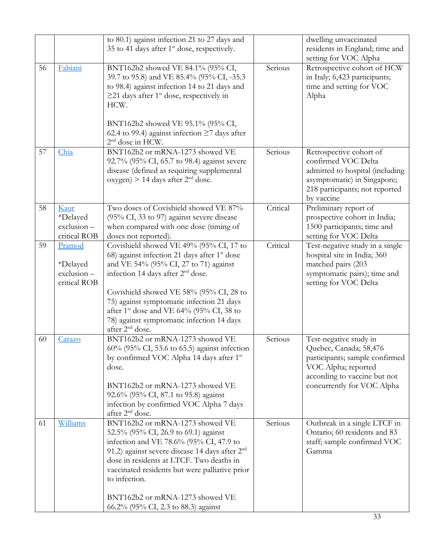|    |                                                  | to 80.1) against infection 21 to 27 days and<br>35 to 41 days after $1st$ dose, respectively.                                                                                                                                                                                                                                                                                                                             |          | dwelling unvaccinated<br>residents in England; time and<br>setting for VOC Alpha                                                                                        |
|----|--------------------------------------------------|---------------------------------------------------------------------------------------------------------------------------------------------------------------------------------------------------------------------------------------------------------------------------------------------------------------------------------------------------------------------------------------------------------------------------|----------|-------------------------------------------------------------------------------------------------------------------------------------------------------------------------|
| 56 | Fabiani                                          | BNT162b2 showed VE 84.1% (95% CI,<br>39.7 to 95.8) and VE 85.4% (95% CI, -35.3<br>to 98.4) against infection 14 to 21 days and<br>$\geq$ 21 days after 1 <sup>st</sup> dose, respectively in<br>HCW.<br>BNT162b2 showed VE 95.1% (95% CI,<br>62.4 to 99.4) against infection $\geq$ 7 days after                                                                                                                          | Serious  | Retrospective cohort of HCW<br>in Italy; 6,423 participants;<br>time and setting for VOC<br>Alpha                                                                       |
| 57 | Chia                                             | 2 <sup>nd</sup> dose in HCW.<br>BNT162b2 or mRNA-1273 showed VE<br>92.7% (95% CI, 65.7 to 98.4) against severe<br>disease (defined as requiring supplemental<br>oxygen) > 14 days after $2nd$ dose.                                                                                                                                                                                                                       | Serious  | Retrospective cohort of<br>confirmed VOC Delta<br>admitted to hospital (including<br>asymptomatic) in Singapore;<br>218 participants; not reported<br>by vaccine        |
| 58 | Kaur<br>*Delayed<br>exclusion-<br>critical ROB   | Two doses of Covishield showed VE 87%<br>(95% CI, 33 to 97) against severe disease<br>when compared with one dose (timing of<br>doses not reported).                                                                                                                                                                                                                                                                      | Critical | Preliminary report of<br>prospective cohort in India;<br>1500 participants; time and<br>setting for VOC Delta                                                           |
| 59 | Pramod<br>*Delayed<br>exclusion-<br>critical ROB | Covishield showed VE 49% (95% CI, 17 to<br>68) against infection 21 days after 1 <sup>st</sup> dose<br>and VE 54% (95% CI, 27 to 71) against<br>infection 14 days after 2 <sup>nd</sup> dose.<br>Covishield showed VE 58% (95% CI, 28 to<br>75) against symptomatic infection 21 days<br>after 1 <sup>st</sup> dose and VE 64% (95% CI, 38 to<br>78) against symptomatic infection 14 days<br>after 2 <sup>nd</sup> dose. | Critical | Test-negative study in a single<br>hospital site in India; 360<br>matched pairs (203<br>symptomatic pairs); time and<br>setting for VOC Delta                           |
| 60 | Carazo                                           | BNT162b2 or mRNA-1273 showed VE<br>60% (95% CI, 53.6 to 65.5) against infection<br>by confirmed VOC Alpha 14 days after 1 <sup>st</sup><br>dose.<br>BNT162b2 or mRNA-1273 showed VE<br>92.6% (95% CI, 87.1 to 95.8) against<br>infection by confirmed VOC Alpha 7 days<br>after 2 <sup>nd</sup> dose.                                                                                                                     | Serious  | Test-negative study in<br>Quebec, Canada; 58,476<br>participants; sample confirmed<br>VOC Alpha; reported<br>according to vaccine but not<br>concurrently for VOC Alpha |
| 61 | Williams                                         | BNT162b2 or mRNA-1273 showed VE<br>52.5% (95% CI, 26.9 to 69.1) against<br>infection and VE 78.6% (95% CI, 47.9 to<br>91.2) against severe disease 14 days after $2nd$<br>dose in residents at LTCF. Two deaths in<br>vaccinated residents but were palliative prior<br>to infection.<br>BNT162b2 or mRNA-1273 showed VE<br>66.2% (95% CI, 2.3 to 88.3) against                                                           | Serious  | Outbreak in a single LTCF in<br>Ontario; 60 residents and 83<br>staff; sample confirmed VOC<br>Gamma                                                                    |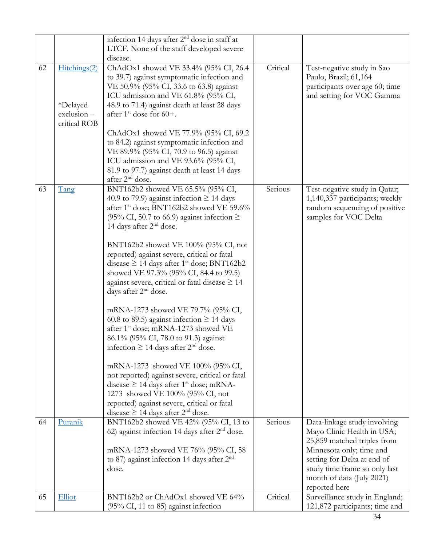|    |                 | infection 14 days after 2 <sup>nd</sup> dose in staff at<br>LTCF. None of the staff developed severe |          |                                |
|----|-----------------|------------------------------------------------------------------------------------------------------|----------|--------------------------------|
|    |                 | disease.                                                                                             |          |                                |
| 62 | Hitchings(2)    | ChAdOx1 showed VE 33.4% (95% CI, 26.4                                                                | Critical | Test-negative study in Sao     |
|    |                 | to 39.7) against symptomatic infection and                                                           |          | Paulo, Brazil; 61,164          |
|    |                 | VE 50.9% (95% CI, 33.6 to 63.8) against                                                              |          | participants over age 60; time |
|    |                 | ICU admission and VE 61.8% (95% CI,                                                                  |          | and setting for VOC Gamma      |
|    | <i>*Delayed</i> | 48.9 to 71.4) against death at least 28 days                                                         |          |                                |
|    | exclusion-      | after $1^{\text{st}}$ dose for 60+.                                                                  |          |                                |
|    | critical ROB    |                                                                                                      |          |                                |
|    |                 | ChAdOx1 showed VE 77.9% (95% CI, 69.2                                                                |          |                                |
|    |                 | to 84.2) against symptomatic infection and                                                           |          |                                |
|    |                 | VE 89.9% (95% CI, 70.9 to 96.5) against                                                              |          |                                |
|    |                 | ICU admission and VE 93.6% (95% CI,                                                                  |          |                                |
|    |                 | 81.9 to 97.7) against death at least 14 days                                                         |          |                                |
|    |                 | after 2 <sup>nd</sup> dose.                                                                          |          |                                |
| 63 | Tang            | BNT162b2 showed VE 65.5% (95% CI,                                                                    | Serious  | Test-negative study in Qatar;  |
|    |                 | 40.9 to 79.9) against infection $\geq$ 14 days                                                       |          | 1,140,337 participants; weekly |
|    |                 | after 1st dose; BNT162b2 showed VE 59.6%                                                             |          | random sequencing of positive  |
|    |                 | (95% CI, 50.7 to 66.9) against infection $\ge$                                                       |          | samples for VOC Delta          |
|    |                 | 14 days after 2 <sup>nd</sup> dose.                                                                  |          |                                |
|    |                 |                                                                                                      |          |                                |
|    |                 | BNT162b2 showed VE 100% (95% CI, not                                                                 |          |                                |
|    |                 | reported) against severe, critical or fatal                                                          |          |                                |
|    |                 |                                                                                                      |          |                                |
|    |                 | disease $\geq$ 14 days after 1 <sup>st</sup> dose; BNT162b2                                          |          |                                |
|    |                 | showed VE 97.3% (95% CI, 84.4 to 99.5)                                                               |          |                                |
|    |                 | against severe, critical or fatal disease $\geq 14$                                                  |          |                                |
|    |                 | days after 2 <sup>nd</sup> dose.                                                                     |          |                                |
|    |                 | mRNA-1273 showed VE 79.7% (95% CI,                                                                   |          |                                |
|    |                 | 60.8 to 89.5) against infection $\geq$ 14 days                                                       |          |                                |
|    |                 | after 1 <sup>st</sup> dose; mRNA-1273 showed VE                                                      |          |                                |
|    |                 |                                                                                                      |          |                                |
|    |                 | 86.1% (95% CI, 78.0 to 91.3) against                                                                 |          |                                |
|    |                 | infection $\geq$ 14 days after 2 <sup>nd</sup> dose.                                                 |          |                                |
|    |                 |                                                                                                      |          |                                |
|    |                 | mRNA-1273 showed VE 100% (95% CI,                                                                    |          |                                |
|    |                 | not reported) against severe, critical or fatal                                                      |          |                                |
|    |                 | disease $\geq$ 14 days after 1 <sup>st</sup> dose; mRNA-                                             |          |                                |
|    |                 | 1273 showed VE 100% (95% CI, not                                                                     |          |                                |
|    |                 | reported) against severe, critical or fatal                                                          |          |                                |
|    |                 | disease $\geq$ 14 days after 2 <sup>nd</sup> dose.                                                   |          |                                |
| 64 | Puranik         | BNT162b2 showed VE 42% (95% CI, 13 to                                                                | Serious  | Data-linkage study involving   |
|    |                 | 62) against infection 14 days after $2nd$ dose.                                                      |          | Mayo Clinic Health in USA;     |
|    |                 |                                                                                                      |          | 25,859 matched triples from    |
|    |                 | mRNA-1273 showed VE 76% (95% CI, 58                                                                  |          | Minnesota only; time and       |
|    |                 | to 87) against infection 14 days after $2nd$                                                         |          | setting for Delta at end of    |
|    |                 | dose.                                                                                                |          | study time frame so only last  |
|    |                 |                                                                                                      |          | month of data (July 2021)      |
|    |                 |                                                                                                      |          | reported here                  |
| 65 | Elliot          | BNT162b2 or ChAdOx1 showed VE 64%                                                                    | Critical | Surveillance study in England; |
|    |                 | $(95\% \text{ CI}, 11 \text{ to } 85)$ against infection                                             |          | 121,872 participants; time and |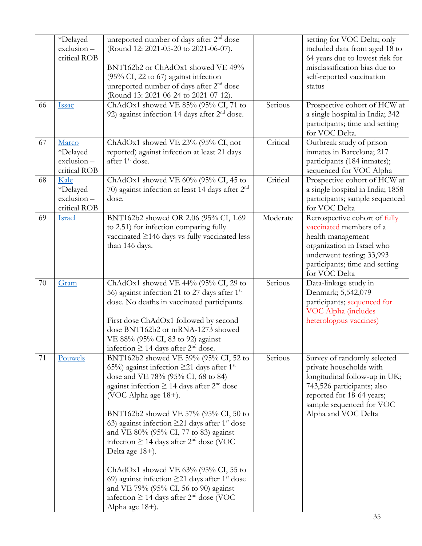|    | *Delayed<br>exclusion-<br>critical ROB                    | unreported number of days after 2 <sup>nd</sup> dose<br>(Round 12: 2021-05-20 to 2021-06-07).<br>BNT162b2 or ChAdOx1 showed VE 49%<br>$(95\% \text{ CI}, 22 \text{ to } 67)$ against infection<br>unreported number of days after 2 <sup>nd</sup> dose<br>(Round 13: 2021-06-24 to 2021-07-12).                                                                                                                                                                                                                                                                                                                                                                                                             |          | setting for VOC Delta; only<br>included data from aged 18 to<br>64 years due to lowest risk for<br>misclassification bias due to<br>self-reported vaccination<br>status                               |
|----|-----------------------------------------------------------|-------------------------------------------------------------------------------------------------------------------------------------------------------------------------------------------------------------------------------------------------------------------------------------------------------------------------------------------------------------------------------------------------------------------------------------------------------------------------------------------------------------------------------------------------------------------------------------------------------------------------------------------------------------------------------------------------------------|----------|-------------------------------------------------------------------------------------------------------------------------------------------------------------------------------------------------------|
| 66 | <b>Issac</b>                                              | ChAdOx1 showed VE 85% (95% CI, 71 to<br>92) against infection 14 days after $2nd$ dose.                                                                                                                                                                                                                                                                                                                                                                                                                                                                                                                                                                                                                     | Serious  | Prospective cohort of HCW at<br>a single hospital in India; 342<br>participants; time and setting<br>for VOC Delta.                                                                                   |
| 67 | Marco<br><i>*Delayed</i><br>$exclusion -$<br>critical ROB | ChAdOx1 showed VE 23% (95% CI, not<br>reported) against infection at least 21 days<br>after 1 <sup>st</sup> dose.                                                                                                                                                                                                                                                                                                                                                                                                                                                                                                                                                                                           | Critical | Outbreak study of prison<br>inmates in Barcelona; 217<br>participants (184 inmates);<br>sequenced for VOC Alpha                                                                                       |
| 68 | Kale<br>*Delayed<br>$exclusion -$<br>critical ROB         | ChAdOx1 showed VE $60\%$ (95% CI, 45 to<br>70) against infection at least 14 days after $2nd$<br>dose.                                                                                                                                                                                                                                                                                                                                                                                                                                                                                                                                                                                                      | Critical | Prospective cohort of HCW at<br>a single hospital in India; 1858<br>participants; sample sequenced<br>for VOC Delta                                                                                   |
| 69 | Israel                                                    | BNT162b2 showed OR 2.06 (95% CI, 1.69)<br>to 2.51) for infection comparing fully<br>vaccinated $\geq$ 146 days vs fully vaccinated less<br>than 146 days.                                                                                                                                                                                                                                                                                                                                                                                                                                                                                                                                                   | Moderate | Retrospective cohort of fully<br>vaccinated members of a<br>health management<br>organization in Israel who<br>underwent testing; 33,993<br>participants; time and setting<br>for VOC Delta           |
| 70 | Gram                                                      | ChAdOx1 showed VE 44% (95% CI, 29 to<br>56) against infection 21 to 27 days after 1 <sup>st</sup><br>dose. No deaths in vaccinated participants.<br>First dose ChAdOx1 followed by second<br>dose BNT162b2 or mRNA-1273 showed<br>VE 88% (95% CI, 83 to 92) against<br>infection $\geq$ 14 days after 2 <sup>nd</sup> dose.                                                                                                                                                                                                                                                                                                                                                                                 | Serious  | Data-linkage study in<br>Denmark; 5,542,079<br>participants; sequenced for<br>VOC Alpha (includes<br>heterologous vaccines)                                                                           |
| 71 | Pouwels                                                   | BNT162b2 showed VE 59% (95% CI, 52 to<br>65%) against infection $\geq$ 21 days after 1 <sup>st</sup><br>dose and VE 78% (95% CI, 68 to 84)<br>against infection $\geq$ 14 days after 2 <sup>nd</sup> dose<br>(VOC Alpha age 18+).<br>BNT162b2 showed VE 57% (95% CI, 50 to<br>63) against infection $\geq$ 21 days after 1 <sup>st</sup> dose<br>and VE 80% (95% CI, 77 to 83) against<br>infection $\geq$ 14 days after 2 <sup>nd</sup> dose (VOC<br>Delta age 18+).<br>ChAdOx1 showed VE $63\%$ (95% CI, 55 to<br>69) against infection $\geq$ 21 days after 1 <sup>st</sup> dose<br>and VE 79% (95% CI, 56 to 90) against<br>infection $\geq$ 14 days after 2 <sup>nd</sup> dose (VOC<br>Alpha age 18+). | Serious  | Survey of randomly selected<br>private households with<br>longitudinal follow-up in UK;<br>743,526 participants; also<br>reported for 18-64 years;<br>sample sequenced for VOC<br>Alpha and VOC Delta |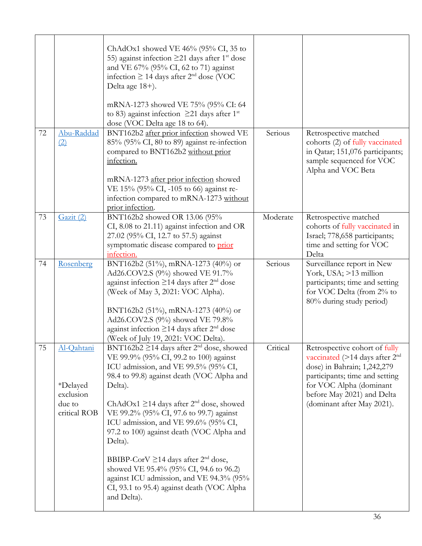|    |                                                               | ChAdOx1 showed VE $46\%$ (95% CI, 35 to<br>55) against infection $\geq$ 21 days after 1 <sup>st</sup> dose<br>and VE 67% (95% CI, 62 to 71) against<br>infection $\geq$ 14 days after 2 <sup>nd</sup> dose (VOC<br>Delta age 18+).<br>mRNA-1273 showed VE 75% (95% CI: 64<br>to 83) against infection $\geq$ 21 days after 1 <sup>st</sup><br>dose (VOC Delta age 18 to 64).                                                                                                                                                                                                                                              |          |                                                                                                                                                                                                                                         |
|----|---------------------------------------------------------------|---------------------------------------------------------------------------------------------------------------------------------------------------------------------------------------------------------------------------------------------------------------------------------------------------------------------------------------------------------------------------------------------------------------------------------------------------------------------------------------------------------------------------------------------------------------------------------------------------------------------------|----------|-----------------------------------------------------------------------------------------------------------------------------------------------------------------------------------------------------------------------------------------|
| 72 | Abu-Raddad<br>(2)                                             | BNT162b2 after prior infection showed VE<br>85% (95% CI, 80 to 89) against re-infection<br>compared to BNT162b2 without prior<br>infection.<br>mRNA-1273 after prior infection showed<br>VE 15% (95% CI, -105 to 66) against re-<br>infection compared to mRNA-1273 without<br>prior infection.                                                                                                                                                                                                                                                                                                                           | Serious  | Retrospective matched<br>cohorts (2) of fully vaccinated<br>in Qatar; 151,076 participants;<br>sample sequenced for VOC<br>Alpha and VOC Beta                                                                                           |
| 73 | Gazit (2)                                                     | BNT162b2 showed OR 13.06 (95%<br>CI, 8.08 to 21.11) against infection and OR<br>27.02 (95% CI, 12.7 to 57.5) against<br>symptomatic disease compared to prior<br>infection.                                                                                                                                                                                                                                                                                                                                                                                                                                               | Moderate | Retrospective matched<br>cohorts of fully vaccinated in<br>Israel; 778,658 participants;<br>time and setting for VOC<br>Delta                                                                                                           |
| 74 | Rosenberg                                                     | BNT162b2 (51%), mRNA-1273 (40%) or<br>Ad26.COV2.S (9%) showed VE 91.7%<br>against infection $\geq$ 14 days after 2 <sup>nd</sup> dose<br>(Week of May 3, 2021: VOC Alpha).<br>BNT162b2 (51%), mRNA-1273 (40%) or<br>Ad26.COV2.S (9%) showed VE 79.8%<br>against infection $\geq$ 14 days after $2nd$ dose<br>(Week of July 19, 2021: VOC Delta).                                                                                                                                                                                                                                                                          | Serious  | Surveillance report in New<br>York, USA; >13 million<br>participants; time and setting<br>for VOC Delta (from 2% to<br>80% during study period)                                                                                         |
| 75 | Al-Qahtani<br>*Delayed<br>exclusion<br>due to<br>critical ROB | BNT162b2 $\geq$ 14 days after 2 <sup>nd</sup> dose, showed<br>VE 99.9% (95% CI, 99.2 to 100) against<br>ICU admission, and VE 99.5% (95% CI,<br>98.4 to 99.8) against death (VOC Alpha and<br>Delta).<br>ChAdOx1 $\geq$ 14 days after 2 <sup>nd</sup> dose, showed<br>VE 99.2% (95% CI, 97.6 to 99.7) against<br>ICU admission, and VE 99.6% (95% CI,<br>97.2 to 100) against death (VOC Alpha and<br>Delta).<br>BBIBP-CorV $\geq$ 14 days after 2 <sup>nd</sup> dose,<br>showed VE 95.4% (95% CI, 94.6 to 96.2)<br>against ICU admission, and VE 94.3% (95%<br>CI, 93.1 to 95.4) against death (VOC Alpha<br>and Delta). | Critical | Retrospective cohort of fully<br>vaccinated ( $>$ 14 days after 2 <sup>nd</sup><br>dose) in Bahrain; 1,242,279<br>participants; time and setting<br>for VOC Alpha (dominant<br>before May 2021) and Delta<br>(dominant after May 2021). |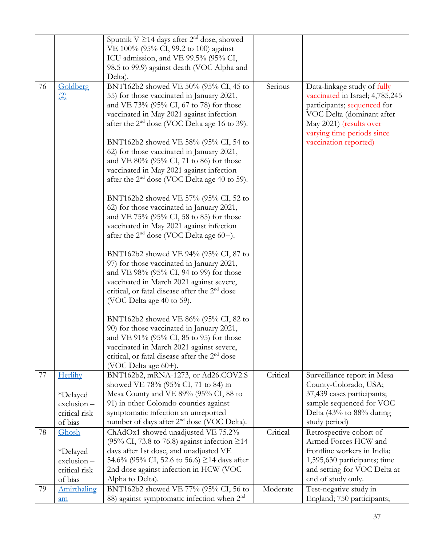|    |                                                                    | Sputnik V $\geq$ 14 days after 2 <sup>nd</sup> dose, showed<br>VE 100% (95% CI, 99.2 to 100) against<br>ICU admission, and VE 99.5% (95% CI,<br>98.5 to 99.9) against death (VOC Alpha and<br>Delta).                                                                                                                                                                                                                                                                                                                                                                                                                                                                                                                                                                                                                                                                                                                                                                                                                                                                                                                                                                                                                                   |          |                                                                                                                                                                                                              |
|----|--------------------------------------------------------------------|-----------------------------------------------------------------------------------------------------------------------------------------------------------------------------------------------------------------------------------------------------------------------------------------------------------------------------------------------------------------------------------------------------------------------------------------------------------------------------------------------------------------------------------------------------------------------------------------------------------------------------------------------------------------------------------------------------------------------------------------------------------------------------------------------------------------------------------------------------------------------------------------------------------------------------------------------------------------------------------------------------------------------------------------------------------------------------------------------------------------------------------------------------------------------------------------------------------------------------------------|----------|--------------------------------------------------------------------------------------------------------------------------------------------------------------------------------------------------------------|
| 76 | Goldberg<br>(2)                                                    | BNT162b2 showed VE 50% (95% CI, 45 to<br>55) for those vaccinated in January 2021,<br>and VE 73% (95% CI, 67 to 78) for those<br>vaccinated in May 2021 against infection<br>after the 2 <sup>nd</sup> dose (VOC Delta age 16 to 39).<br>BNT162b2 showed VE 58% (95% CI, 54 to<br>62) for those vaccinated in January 2021,<br>and VE 80% (95% CI, 71 to 86) for those<br>vaccinated in May 2021 against infection<br>after the 2 <sup>nd</sup> dose (VOC Delta age 40 to 59).<br>BNT162b2 showed VE 57% (95% CI, 52 to<br>62) for those vaccinated in January 2021,<br>and VE 75% (95% CI, 58 to 85) for those<br>vaccinated in May 2021 against infection<br>after the $2nd$ dose (VOC Delta age 60+).<br>BNT162b2 showed VE 94% (95% CI, 87 to<br>97) for those vaccinated in January 2021,<br>and VE 98% (95% CI, 94 to 99) for those<br>vaccinated in March 2021 against severe,<br>critical, or fatal disease after the 2 <sup>nd</sup> dose<br>(VOC Delta age 40 to 59).<br>BNT162b2 showed VE 86% (95% CI, 82 to<br>90) for those vaccinated in January 2021,<br>and VE 91% (95% CI, 85 to 95) for those<br>vaccinated in March 2021 against severe,<br>critical, or fatal disease after the $2nd$ dose<br>(VOC Delta age 60+). | Serious  | Data-linkage study of fully<br>vaccinated in Israel; 4,785,245<br>participants; sequenced for<br>VOC Delta (dominant after<br>May 2021) (results over<br>varying time periods since<br>vaccination reported) |
| 77 | Herlihy<br><i>*Delayed</i><br>$exclusion -$                        | BNT162b2, mRNA-1273, or Ad26.COV2.S<br>showed VE 78% (95% CI, 71 to 84) in<br>Mesa County and VE 89% (95% CI, 88 to<br>91) in other Colorado counties against                                                                                                                                                                                                                                                                                                                                                                                                                                                                                                                                                                                                                                                                                                                                                                                                                                                                                                                                                                                                                                                                           | Critical | Surveillance report in Mesa<br>County-Colorado, USA;<br>37,439 cases participants;<br>sample sequenced for VOC                                                                                               |
|    | critical risk<br>of bias                                           | symptomatic infection an unreported<br>number of days after 2 <sup>nd</sup> dose (VOC Delta).                                                                                                                                                                                                                                                                                                                                                                                                                                                                                                                                                                                                                                                                                                                                                                                                                                                                                                                                                                                                                                                                                                                                           |          | Delta (43% to 88% during<br>study period)                                                                                                                                                                    |
| 78 | Ghosh<br><i>*Delayed</i><br>exclusion-<br>critical risk<br>of bias | ChAdOx1 showed unadjusted VE 75.2%<br>(95% CI, 73.8 to 76.8) against infection ≥14<br>days after 1st dose, and unadjusted VE<br>54.6% (95% CI, 52.6 to 56.6) $\geq$ 14 days after<br>2nd dose against infection in HCW (VOC<br>Alpha to Delta).                                                                                                                                                                                                                                                                                                                                                                                                                                                                                                                                                                                                                                                                                                                                                                                                                                                                                                                                                                                         | Critical | Retrospective cohort of<br>Armed Forces HCW and<br>frontline workers in India;<br>1,595,630 participants; time<br>and setting for VOC Delta at<br>end of study only.                                         |
| 79 | Amirthaling<br>am                                                  | BNT162b2 showed VE 77% (95% CI, 56 to<br>88) against symptomatic infection when $2nd$                                                                                                                                                                                                                                                                                                                                                                                                                                                                                                                                                                                                                                                                                                                                                                                                                                                                                                                                                                                                                                                                                                                                                   | Moderate | Test-negative study in<br>England; 750 participants;                                                                                                                                                         |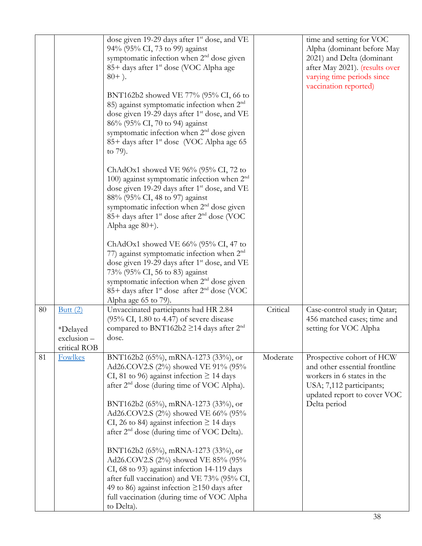|    |                                                         | dose given 19-29 days after 1 <sup>st</sup> dose, and VE<br>94% (95% CI, 73 to 99) against<br>symptomatic infection when 2 <sup>nd</sup> dose given<br>85+ days after 1 <sup>st</sup> dose (VOC Alpha age<br>$80+$ ).<br>BNT162b2 showed VE 77% (95% CI, 66 to<br>85) against symptomatic infection when $2nd$<br>dose given 19-29 days after 1 <sup>st</sup> dose, and VE<br>86% (95% CI, 70 to 94) against<br>symptomatic infection when 2 <sup>nd</sup> dose given<br>85+ days after 1 <sup>st</sup> dose (VOC Alpha age 65<br>to 79).<br>ChAdOx1 showed VE $96\%$ (95% CI, 72 to<br>100) against symptomatic infection when $2nd$<br>dose given 19-29 days after 1 <sup>st</sup> dose, and VE<br>88% (95% CI, 48 to 97) against<br>symptomatic infection when 2 <sup>nd</sup> dose given<br>85+ days after 1 <sup>st</sup> dose after 2 <sup>nd</sup> dose (VOC<br>Alpha age 80+). |          | time and setting for VOC<br>Alpha (dominant before May<br>2021) and Delta (dominant<br>after May 2021). (results over<br>varying time periods since<br>vaccination reported) |
|----|---------------------------------------------------------|----------------------------------------------------------------------------------------------------------------------------------------------------------------------------------------------------------------------------------------------------------------------------------------------------------------------------------------------------------------------------------------------------------------------------------------------------------------------------------------------------------------------------------------------------------------------------------------------------------------------------------------------------------------------------------------------------------------------------------------------------------------------------------------------------------------------------------------------------------------------------------------|----------|------------------------------------------------------------------------------------------------------------------------------------------------------------------------------|
|    |                                                         | ChAdOx1 showed VE $66\%$ (95% CI, 47 to<br>77) against symptomatic infection when $2nd$<br>dose given 19-29 days after 1 <sup>st</sup> dose, and VE<br>73% (95% CI, 56 to 83) against<br>symptomatic infection when 2 <sup>nd</sup> dose given<br>85+ days after 1 <sup>st</sup> dose after 2 <sup>nd</sup> dose (VOC<br>Alpha age 65 to 79).                                                                                                                                                                                                                                                                                                                                                                                                                                                                                                                                          |          |                                                                                                                                                                              |
| 80 | Butt $(2)$<br>*Delayed<br>$exclusion -$<br>critical ROB | Unvaccinated participants had HR 2.84<br>$(95\% \text{ CI}, 1.80 \text{ to } 4.47)$ of severe disease<br>compared to BNT162b2 $\geq$ 14 days after 2 <sup>nd</sup><br>dose.                                                                                                                                                                                                                                                                                                                                                                                                                                                                                                                                                                                                                                                                                                            | Critical | Case-control study in Qatar;<br>456 matched cases; time and<br>setting for VOC Alpha                                                                                         |
| 81 | <b>Fowlkes</b>                                          | BNT162b2 (65%), mRNA-1273 (33%), or<br>Ad26.COV2.S (2%) showed VE 91% (95%<br>CI, 81 to 96) against infection $\geq$ 14 days<br>after 2 <sup>nd</sup> dose (during time of VOC Alpha).<br>BNT162b2 (65%), mRNA-1273 (33%), or<br>Ad26.COV2.S (2%) showed VE 66% (95%<br>CI, 26 to 84) against infection $\geq$ 14 days<br>after 2 <sup>nd</sup> dose (during time of VOC Delta).<br>BNT162b2 (65%), mRNA-1273 (33%), or<br>Ad26.COV2.S (2%) showed VE 85% (95%<br>CI, 68 to 93) against infection 14-119 days<br>after full vaccination) and VE 73% (95% CI,<br>49 to 86) against infection $\geq$ 150 days after<br>full vaccination (during time of VOC Alpha<br>to Delta).                                                                                                                                                                                                          | Moderate | Prospective cohort of HCW<br>and other essential frontline<br>workers in 6 states in the<br>USA; 7,112 participants;<br>updated report to cover VOC<br>Delta period          |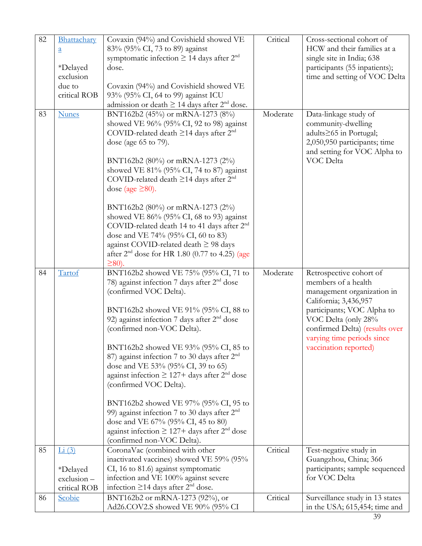| 82 | Bhattachary<br>$\underline{a}$<br>*Delayed<br>exclusion<br>due to<br>critical ROB | Covaxin (94%) and Covishield showed VE<br>83% (95% CI, 73 to 89) against<br>symptomatic infection $\geq$ 14 days after $2nd$<br>dose.<br>Covaxin (94%) and Covishield showed VE<br>93% (95% CI, 64 to 99) against ICU<br>admission or death $\geq$ 14 days after 2 <sup>nd</sup> dose.                                                                                                                                                                                                                                                                                                                                                                                                       | Critical | Cross-sectional cohort of<br>HCW and their families at a<br>single site in India; 638<br>participants (55 inpatients);<br>time and setting of VOC Delta                                                                                             |
|----|-----------------------------------------------------------------------------------|----------------------------------------------------------------------------------------------------------------------------------------------------------------------------------------------------------------------------------------------------------------------------------------------------------------------------------------------------------------------------------------------------------------------------------------------------------------------------------------------------------------------------------------------------------------------------------------------------------------------------------------------------------------------------------------------|----------|-----------------------------------------------------------------------------------------------------------------------------------------------------------------------------------------------------------------------------------------------------|
| 83 | <b>Nunes</b>                                                                      | BNT162b2 (45%) or mRNA-1273 (8%)<br>showed VE 96% (95% CI, 92 to 98) against<br>COVID-related death $\geq$ 14 days after $2^{nd}$<br>dose (age 65 to 79).<br>BNT162b2 (80%) or mRNA-1273 (2%)<br>showed VE 81% (95% CI, 74 to 87) against<br>COVID-related death $\geq$ 14 days after $2^{nd}$<br>dose (age $\geq 80$ ).<br>BNT162b2 (80%) or mRNA-1273 (2%)<br>showed VE $86\%$ (95% CI, 68 to 93) against<br>COVID-related death 14 to 41 days after $2nd$<br>dose and VE 74% (95% CI, 60 to 83)<br>against COVID-related death $\geq$ 98 days<br>after $2^{nd}$ dose for HR 1.80 (0.77 to 4.25) (age<br>$\geq$ 80).                                                                       | Moderate | Data-linkage study of<br>community-dwelling<br>adults≥65 in Portugal;<br>2,050,950 participants; time<br>and setting for VOC Alpha to<br>VOC Delta                                                                                                  |
| 84 | Tartof                                                                            | BNT162b2 showed VE 75% (95% CI, 71 to<br>78) against infection 7 days after $2nd$ dose<br>(confirmed VOC Delta).<br>BNT162b2 showed VE 91% (95% CI, 88 to<br>92) against infection 7 days after $2nd$ dose<br>(confirmed non-VOC Delta).<br>BNT162b2 showed VE 93% (95% CI, 85 to<br>87) against infection 7 to 30 days after 2 <sup>nd</sup><br>dose and VE 53% (95% CI, 39 to 65)<br>against infection $\geq 127 +$ days after $2nd$ dose<br>(confirmed VOC Delta).<br>BNT162b2 showed VE 97% (95% CI, 95 to<br>99) against infection 7 to 30 days after $2nd$<br>dose and VE 67% (95% CI, 45 to 80)<br>against infection $\geq 127 +$ days after $2nd$ dose<br>(confirmed non-VOC Delta). | Moderate | Retrospective cohort of<br>members of a health<br>management organization in<br>California; 3,436,957<br>participants; VOC Alpha to<br>VOC Delta (only 28%<br>confirmed Delta) (results over<br>varying time periods since<br>vaccination reported) |
| 85 | Li(3)                                                                             | CoronaVac (combined with other<br>inactivated vaccines) showed VE 59% (95%                                                                                                                                                                                                                                                                                                                                                                                                                                                                                                                                                                                                                   | Critical | Test-negative study in<br>Guangzhou, China; 366                                                                                                                                                                                                     |
|    | *Delayed<br>exclusion-<br>critical ROB                                            | CI, 16 to 81.6) against symptomatic<br>infection and VE 100% against severe<br>infection $\geq$ 14 days after $2nd$ dose.                                                                                                                                                                                                                                                                                                                                                                                                                                                                                                                                                                    |          | participants; sample sequenced<br>for VOC Delta                                                                                                                                                                                                     |
| 86 | Scobie                                                                            | BNT162b2 or mRNA-1273 (92%), or<br>Ad26.COV2.S showed VE 90% (95% CI                                                                                                                                                                                                                                                                                                                                                                                                                                                                                                                                                                                                                         | Critical | Surveillance study in 13 states<br>in the USA; 615,454; time and                                                                                                                                                                                    |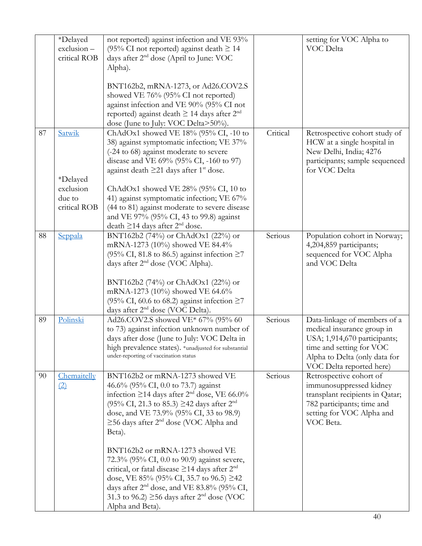|    | *Delayed<br>exclusion-<br>critical ROB          | not reported) against infection and VE 93%<br>(95% CI not reported) against death $\geq$ 14<br>days after 2 <sup>nd</sup> dose (April to June: VOC<br>Alpha).                                                                                                                                                                                            |          | setting for VOC Alpha to<br>VOC Delta                                                                                                                                               |
|----|-------------------------------------------------|----------------------------------------------------------------------------------------------------------------------------------------------------------------------------------------------------------------------------------------------------------------------------------------------------------------------------------------------------------|----------|-------------------------------------------------------------------------------------------------------------------------------------------------------------------------------------|
|    |                                                 | BNT162b2, mRNA-1273, or Ad26.COV2.S<br>showed VE 76% (95% CI not reported)<br>against infection and VE 90% (95% CI not<br>reported) against death $\geq$ 14 days after $2^{nd}$<br>dose (June to July: VOC Delta>50%).                                                                                                                                   |          |                                                                                                                                                                                     |
| 87 | Satwik                                          | ChAdOx1 showed VE 18% (95% CI, -10 to<br>38) against symptomatic infection; VE 37%<br>(-24 to 68) against moderate to severe<br>disease and VE 69% (95% CI, -160 to 97)<br>against death $\geq$ 21 days after 1 <sup>st</sup> dose.                                                                                                                      | Critical | Retrospective cohort study of<br>HCW at a single hospital in<br>New Delhi, India; 4276<br>participants; sample sequenced<br>for VOC Delta                                           |
|    | *Delayed<br>exclusion<br>due to<br>critical ROB | ChAdOx1 showed VE 28% (95% CI, 10 to<br>41) against symptomatic infection; VE 67%<br>(44 to 81) against moderate to severe disease<br>and VE 97% (95% CI, 43 to 99.8) against<br>death $\geq$ 14 days after $2nd$ dose.                                                                                                                                  |          |                                                                                                                                                                                     |
| 88 | Seppala                                         | BNT162b2 (74%) or ChAdOx1 (22%) or<br>mRNA-1273 (10%) showed VE 84.4%<br>(95% CI, 81.8 to 86.5) against infection $\geq$ 7<br>days after 2 <sup>nd</sup> dose (VOC Alpha).<br>BNT162b2 (74%) or ChAdOx1 (22%) or<br>mRNA-1273 (10%) showed VE 64.6%<br>(95% CI, 60.6 to 68.2) against infection $\geq$ 7<br>days after 2 <sup>nd</sup> dose (VOC Delta). | Serious  | Population cohort in Norway;<br>4,204,859 participants;<br>sequenced for VOC Alpha<br>and VOC Delta                                                                                 |
| 89 | Polinski                                        | Ad26.COV2.S showed VE* 67% (95% 60<br>to 73) against infection unknown number of<br>days after dose (June to July: VOC Delta in<br>high prevalence states). *unadjusted for substantial<br>under-reporting of vaccination status                                                                                                                         | Serious  | Data-linkage of members of a<br>medical insurance group in<br>USA; 1,914,670 participants;<br>time and setting for VOC<br>Alpha to Delta (only data for<br>VOC Delta reported here) |
| 90 | Chemaitelly<br>(2)                              | BNT162b2 or mRNA-1273 showed VE<br>46.6% (95% CI, 0.0 to 73.7) against<br>infection $\geq$ 14 days after 2 <sup>nd</sup> dose, VE 66.0%<br>$(95\% \text{ CI}, 21.3 \text{ to } 85.3) \geq 42 \text{ days after } 2^{\text{nd}}$<br>dose, and VE 73.9% (95% CI, 33 to 98.9)<br>$\geq$ 56 days after 2 <sup>nd</sup> dose (VOC Alpha and<br>Beta).         | Serious  | Retrospective cohort of<br>immunosuppressed kidney<br>transplant recipients in Qatar;<br>782 participants; time and<br>setting for VOC Alpha and<br>VOC Beta.                       |
|    |                                                 | BNT162b2 or mRNA-1273 showed VE<br>72.3% (95% CI, 0.0 to 90.9) against severe,<br>critical, or fatal disease $\geq$ 14 days after $2nd$<br>dose, VE 85% (95% CI, 35.7 to 96.5) $\geq$ 42<br>days after $2nd$ dose, and VE 83.8% (95% CI,<br>31.3 to 96.2) $\geq$ 56 days after 2 <sup>nd</sup> dose (VOC<br>Alpha and Beta).                             |          |                                                                                                                                                                                     |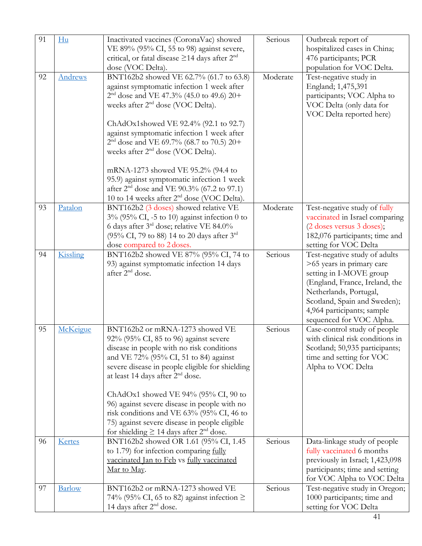| 91 | Hu            | Inactivated vaccines (CoronaVac) showed                  | Serious  | Outbreak report of               |
|----|---------------|----------------------------------------------------------|----------|----------------------------------|
|    |               | VE 89% (95% CI, 55 to 98) against severe,                |          | hospitalized cases in China;     |
|    |               | critical, or fatal disease $\geq$ 14 days after $2nd$    |          | 476 participants; PCR            |
|    |               | dose (VOC Delta).                                        |          | population for VOC Delta.        |
| 92 | Andrews       | BNT162b2 showed VE 62.7% (61.7 to 63.8)                  | Moderate | Test-negative study in           |
|    |               | against symptomatic infection 1 week after               |          | England; 1,475,391               |
|    |               | $2nd$ dose and VE 47.3% (45.0 to 49.6) 20+               |          | participants; VOC Alpha to       |
|    |               | weeks after 2 <sup>nd</sup> dose (VOC Delta).            |          | VOC Delta (only data for         |
|    |               |                                                          |          | VOC Delta reported here)         |
|    |               | ChAdOx1showed VE 92.4% (92.1 to 92.7)                    |          |                                  |
|    |               | against symptomatic infection 1 week after               |          |                                  |
|    |               | $2nd$ dose and VE 69.7% (68.7 to 70.5) 20+               |          |                                  |
|    |               | weeks after 2 <sup>nd</sup> dose (VOC Delta).            |          |                                  |
|    |               | mRNA-1273 showed VE 95.2% (94.4 to                       |          |                                  |
|    |               | 95.9) against symptomatic infection 1 week               |          |                                  |
|    |               | after 2 <sup>nd</sup> dose and VE 90.3% (67.2 to 97.1)   |          |                                  |
|    |               | 10 to 14 weeks after 2 <sup>nd</sup> dose (VOC Delta).   |          |                                  |
| 93 | Patalon       | BNT162b2 (3 doses) showed relative VE                    | Moderate | Test-negative study of fully     |
|    |               | $3\%$ (95% CI, -5 to 10) against infection 0 to          |          | vaccinated in Israel comparing   |
|    |               | 6 days after 3rd dose; relative VE 84.0%                 |          | (2 doses versus 3 doses);        |
|    |               | (95% CI, 79 to 88) 14 to 20 days after $3^{rd}$          |          | 182,076 participants; time and   |
|    |               | dose compared to 2 doses.                                |          | setting for VOC Delta            |
| 94 | Kissling      | BNT162b2 showed VE 87% (95% CI, 74 to                    | Serious  | Test-negative study of adults    |
|    |               | 93) against symptomatic infection 14 days                |          | >65 years in primary care        |
|    |               | after 2 <sup>nd</sup> dose.                              |          | setting in I-MOVE group          |
|    |               |                                                          |          | (England, France, Ireland, the   |
|    |               |                                                          |          | Netherlands, Portugal,           |
|    |               |                                                          |          | Scotland, Spain and Sweden);     |
|    |               |                                                          |          | 4,964 participants; sample       |
|    |               |                                                          |          | sequenced for VOC Alpha.         |
| 95 | McKeigue      | BNT162b2 or mRNA-1273 showed VE                          | Serious  | Case-control study of people     |
|    |               | 92% (95% CI, 85 to 96) against severe                    |          | with clinical risk conditions in |
|    |               | disease in people with no risk conditions                |          | Scotland; 50,935 participants;   |
|    |               | and VE 72% (95% CI, 51 to 84) against                    |          | time and setting for VOC         |
|    |               | severe disease in people eligible for shielding          |          | Alpha to VOC Delta               |
|    |               | at least 14 days after 2 <sup>nd</sup> dose.             |          |                                  |
|    |               | ChAdOx1 showed VE $94\%$ (95% CI, 90 to                  |          |                                  |
|    |               | 96) against severe disease in people with no             |          |                                  |
|    |               | risk conditions and VE 63% (95% CI, 46 to                |          |                                  |
|    |               | 75) against severe disease in people eligible            |          |                                  |
|    |               | for shielding $\geq$ 14 days after 2 <sup>nd</sup> dose. |          |                                  |
| 96 | Kertes        | BNT162b2 showed OR 1.61 (95% CI, 1.45)                   | Serious  | Data-linkage study of people     |
|    |               | to 1.79) for infection comparing fully                   |          | fully vaccinated 6 months        |
|    |               | vaccinated Jan to Feb vs fully vaccinated                |          | previously in Israel; 1,423,098  |
|    |               | Mar to May.                                              |          | participants; time and setting   |
|    |               |                                                          |          | for VOC Alpha to VOC Delta       |
| 97 | <b>Barlow</b> | BNT162b2 or mRNA-1273 showed VE                          | Serious  | Test-negative study in Oregon;   |
|    |               | 74% (95% CI, 65 to 82) against infection $\ge$           |          | 1000 participants; time and      |
|    |               | 14 days after 2 <sup>nd</sup> dose.                      |          | setting for VOC Delta            |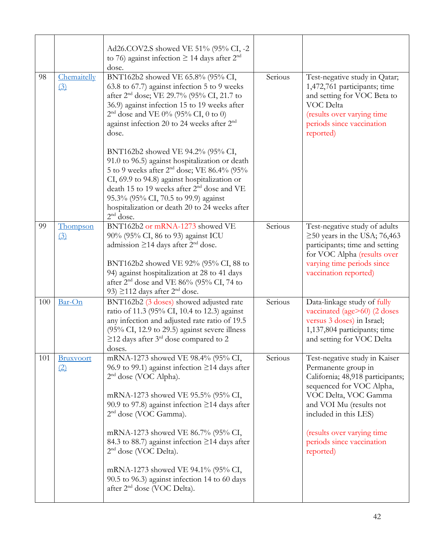|     |                                 | Ad26.COV2.S showed VE 51% (95% CI, -2<br>to 76) against infection $\geq$ 14 days after $2^{nd}$<br>dose.                                                                                                                                                                                                                                                                                                                                                                                                                                                                                                                                                   |         |                                                                                                                                                                                                                                                                          |
|-----|---------------------------------|------------------------------------------------------------------------------------------------------------------------------------------------------------------------------------------------------------------------------------------------------------------------------------------------------------------------------------------------------------------------------------------------------------------------------------------------------------------------------------------------------------------------------------------------------------------------------------------------------------------------------------------------------------|---------|--------------------------------------------------------------------------------------------------------------------------------------------------------------------------------------------------------------------------------------------------------------------------|
| 98  | Chemaitelly<br>$\left(3\right)$ | BNT162b2 showed VE 65.8% (95% CI,<br>63.8 to 67.7) against infection 5 to 9 weeks<br>after 2 <sup>nd</sup> dose; VE 29.7% (95% CI, 21.7 to<br>36.9) against infection 15 to 19 weeks after<br>$2nd$ dose and VE 0% (95% CI, 0 to 0)<br>against infection 20 to 24 weeks after 2 <sup>nd</sup><br>dose.<br>BNT162b2 showed VE 94.2% (95% CI,<br>91.0 to 96.5) against hospitalization or death<br>5 to 9 weeks after 2 <sup>nd</sup> dose; VE 86.4% (95%<br>CI, 69.9 to 94.8) against hospitalization or<br>death 15 to 19 weeks after 2 <sup>nd</sup> dose and VE<br>95.3% (95% CI, 70.5 to 99.9) against<br>hospitalization or death 20 to 24 weeks after | Serious | Test-negative study in Qatar;<br>1,472,761 participants; time<br>and setting for VOC Beta to<br>VOC Delta<br>(results over varying time<br>periods since vaccination<br>reported)                                                                                        |
|     |                                 | $2nd$ dose.                                                                                                                                                                                                                                                                                                                                                                                                                                                                                                                                                                                                                                                |         |                                                                                                                                                                                                                                                                          |
| 99  | Thompson<br>(3)                 | BNT162b2 or mRNA-1273 showed VE<br>90% (95% CI, 86 to 93) against ICU<br>admission $\geq$ 14 days after $2nd$ dose.<br>BNT162b2 showed VE 92% (95% CI, 88 to<br>94) against hospitalization at 28 to 41 days<br>after 2 <sup>nd</sup> dose and VE 86% (95% CI, 74 to<br>93) $\geq$ 112 days after 2 <sup>nd</sup> dose.                                                                                                                                                                                                                                                                                                                                    | Serious | Test-negative study of adults<br>$\geq$ 50 years in the USA; 76,463<br>participants; time and setting<br>for VOC Alpha (results over<br>varying time periods since<br>vaccination reported)                                                                              |
| 100 | Bar-On                          | BNT162b2 (3 doses) showed adjusted rate<br>ratio of 11.3 (95% CI, 10.4 to 12.3) against<br>any infection and adjusted rate ratio of 19.5<br>(95% CI, 12.9 to 29.5) against severe illness<br>$\geq$ 12 days after 3 <sup>rd</sup> dose compared to 2<br>doses.                                                                                                                                                                                                                                                                                                                                                                                             | Serious | Data-linkage study of fully<br>vaccinated (age>60) (2 doses<br>versus 3 doses) in Israel;<br>1,137,804 participants; time<br>and setting for VOC Delta                                                                                                                   |
| 101 | <b>Bruxvoort</b><br>(2)         | mRNA-1273 showed VE 98.4% (95% CI,<br>96.9 to 99.1) against infection $\geq$ 14 days after<br>$2nd$ dose (VOC Alpha).<br>mRNA-1273 showed VE 95.5% (95% CI,<br>90.9 to 97.8) against infection $\geq$ 14 days after<br>$2nd$ dose (VOC Gamma).<br>mRNA-1273 showed VE 86.7% (95% CI,<br>84.3 to 88.7) against infection ≥14 days after<br>$2nd$ dose (VOC Delta).<br>mRNA-1273 showed VE 94.1% (95% CI,<br>90.5 to 96.3) against infection 14 to 60 days<br>after 2 <sup>nd</sup> dose (VOC Delta).                                                                                                                                                        | Serious | Test-negative study in Kaiser<br>Permanente group in<br>California; 48,918 participants;<br>sequenced for VOC Alpha,<br>VOC Delta, VOC Gamma<br>and VOI Mu (results not<br>included in this LES)<br>(results over varying time<br>periods since vaccination<br>reported) |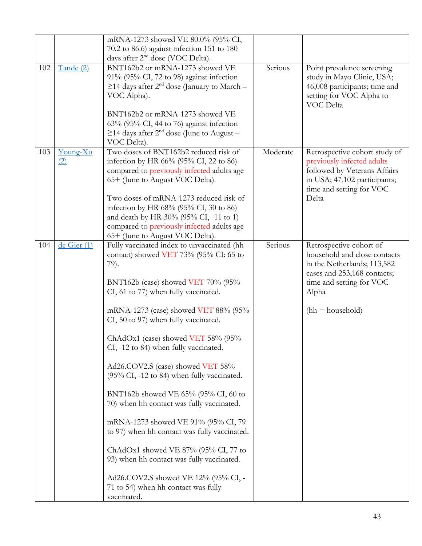|     |                 | mRNA-1273 showed VE 80.0% (95% CI,<br>70.2 to 86.6) against infection 151 to 180<br>days after 2 <sup>nd</sup> dose (VOC Delta).                                                                                                                                                                                                                                                                                                                                                                                                                                                                                                                                                                                                                                                               |          |                                                                                                                                                                                  |
|-----|-----------------|------------------------------------------------------------------------------------------------------------------------------------------------------------------------------------------------------------------------------------------------------------------------------------------------------------------------------------------------------------------------------------------------------------------------------------------------------------------------------------------------------------------------------------------------------------------------------------------------------------------------------------------------------------------------------------------------------------------------------------------------------------------------------------------------|----------|----------------------------------------------------------------------------------------------------------------------------------------------------------------------------------|
| 102 | Tande (2)       | BNT162b2 or mRNA-1273 showed VE<br>91% (95% CI, 72 to 98) against infection<br>$\geq$ 14 days after 2 <sup>nd</sup> dose (January to March –<br>VOC Alpha).<br>BNT162b2 or mRNA-1273 showed VE<br>$63\%$ (95% CI, 44 to 76) against infection<br>$\geq$ 14 days after 2 <sup>nd</sup> dose (June to August –<br>VOC Delta).                                                                                                                                                                                                                                                                                                                                                                                                                                                                    | Serious  | Point prevalence screening<br>study in Mayo Clinic, USA;<br>46,008 participants; time and<br>setting for VOC Alpha to<br>VOC Delta                                               |
| 103 | Young-Xu<br>(2) | Two doses of BNT162b2 reduced risk of<br>infection by HR 66% (95% CI, 22 to 86)<br>compared to previously infected adults age<br>65+ (June to August VOC Delta).<br>Two doses of mRNA-1273 reduced risk of<br>infection by HR 68% (95% CI, 30 to 86)<br>and death by HR 30% (95% CI, -11 to 1)<br>compared to previously infected adults age<br>65+ (June to August VOC Delta).                                                                                                                                                                                                                                                                                                                                                                                                                | Moderate | Retrospective cohort study of<br>previously infected adults<br>followed by Veterans Affairs<br>in USA; 47,102 participants;<br>time and setting for VOC<br>Delta                 |
| 104 | de Gier (1)     | Fully vaccinated index to unvaccinated (hh<br>contact) showed VET 73% (95% CI: 65 to<br>79).<br>BNT162b (case) showed VET 70% (95%<br>CI, 61 to 77) when fully vaccinated.<br>mRNA-1273 (case) showed VET 88% (95%<br>CI, 50 to 97) when fully vaccinated.<br>ChAdOx1 (case) showed VET 58% (95%<br>CI, -12 to 84) when fully vaccinated.<br>Ad26.COV2.S (case) showed VET 58%<br>(95% CI, -12 to 84) when fully vaccinated.<br>BNT162b showed VE 65% (95% CI, 60 to<br>70) when hh contact was fully vaccinated.<br>mRNA-1273 showed VE 91% (95% CI, 79<br>to 97) when hh contact was fully vaccinated.<br>ChAdOx1 showed VE $87\%$ (95% CI, 77 to<br>93) when hh contact was fully vaccinated.<br>Ad26.COV2.S showed VE 12% (95% CI, -<br>71 to 54) when hh contact was fully<br>vaccinated. | Serious  | Retrospective cohort of<br>household and close contacts<br>in the Netherlands; 113,582<br>cases and 253,168 contacts;<br>time and setting for VOC<br>Alpha<br>$(hh = household)$ |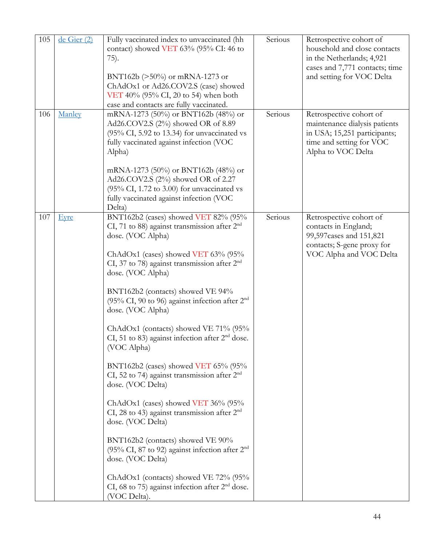| 105 | de Gier (2) | Fully vaccinated index to unvaccinated (hh<br>contact) showed VET 63% (95% CI: 46 to<br>75).<br>BNT162b ( $>50\%$ ) or mRNA-1273 or<br>ChAdOx1 or Ad26.COV2.S (case) showed<br>VET 40% (95% CI, 20 to 54) when both<br>case and contacts are fully vaccinated.                                                                                                                                                                                                                                                                                                                                                                                                                                                                                                                                                                                                                                                                       | Serious | Retrospective cohort of<br>household and close contacts<br>in the Netherlands; 4,921<br>cases and 7,771 contacts; time<br>and setting for VOC Delta |
|-----|-------------|--------------------------------------------------------------------------------------------------------------------------------------------------------------------------------------------------------------------------------------------------------------------------------------------------------------------------------------------------------------------------------------------------------------------------------------------------------------------------------------------------------------------------------------------------------------------------------------------------------------------------------------------------------------------------------------------------------------------------------------------------------------------------------------------------------------------------------------------------------------------------------------------------------------------------------------|---------|-----------------------------------------------------------------------------------------------------------------------------------------------------|
| 106 | Manley      | mRNA-1273 (50%) or BNT162b (48%) or<br>Ad26.COV2.S (2%) showed OR of 8.89<br>$(95\% \text{ CI}, 5.92 \text{ to } 13.34)$ for unvaccinated vs<br>fully vaccinated against infection (VOC<br>Alpha)<br>mRNA-1273 (50%) or BNT162b (48%) or<br>Ad26.COV2.S (2%) showed OR of 2.27<br>$(95\% \text{ CI}, 1.72 \text{ to } 3.00)$ for unvaccinated vs<br>fully vaccinated against infection (VOC<br>Delta)                                                                                                                                                                                                                                                                                                                                                                                                                                                                                                                                | Serious | Retrospective cohort of<br>maintenance dialysis patients<br>in USA; 15,251 participants;<br>time and setting for VOC<br>Alpha to VOC Delta          |
| 107 | Eyre        | BNT162b2 (cases) showed VET 82% (95%<br>CI, 71 to 88) against transmission after $2nd$<br>dose. (VOC Alpha)<br>ChAdOx1 (cases) showed VET 63% (95%<br>CI, 37 to 78) against transmission after 2 <sup>nd</sup><br>dose. (VOC Alpha)<br>BNT162b2 (contacts) showed VE 94%<br>(95% CI, 90 to 96) against infection after $2nd$<br>dose. (VOC Alpha)<br>ChAdOx1 (contacts) showed VE 71% (95%<br>CI, 51 to 83) against infection after $2nd$ dose.<br>(VOC Alpha)<br>BNT162b2 (cases) showed VET $65\%$ (95%<br>CI, 52 to 74) against transmission after 2 <sup>nd</sup><br>dose. (VOC Delta)<br>ChAdOx1 (cases) showed VET 36% (95%<br>CI, 28 to 43) against transmission after $2nd$<br>dose. (VOC Delta)<br>BNT162b2 (contacts) showed VE 90%<br>(95% CI, 87 to 92) against infection after $2nd$<br>dose. (VOC Delta)<br>ChAdOx1 (contacts) showed VE 72% (95%<br>CI, 68 to 75) against infection after $2nd$ dose.<br>(VOC Delta). | Serious | Retrospective cohort of<br>contacts in England;<br>99,597 cases and 151,821<br>contacts; S-gene proxy for<br>VOC Alpha and VOC Delta                |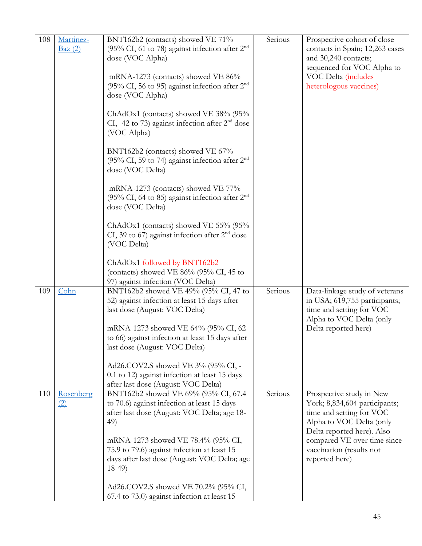| 108 | Martinez-<br>Baz(2) | BNT162b2 (contacts) showed VE 71%<br>(95% CI, 61 to 78) against infection after $2nd$<br>dose (VOC Alpha)<br>mRNA-1273 (contacts) showed VE 86%<br>(95% CI, 56 to 95) against infection after 2 <sup>nd</sup><br>dose (VOC Alpha)<br>ChAdOx1 (contacts) showed VE 38% (95%<br>CI, -42 to 73) against infection after $2nd$ dose<br>(VOC Alpha)<br>BNT162b2 (contacts) showed VE 67%<br>(95% CI, 59 to 74) against infection after $2nd$<br>dose (VOC Delta)<br>mRNA-1273 (contacts) showed VE 77%<br>(95% CI, 64 to 85) against infection after $2nd$<br>dose (VOC Delta)<br>ChAdOx1 (contacts) showed VE 55% (95%<br>CI, 39 to 67) against infection after $2nd$ dose<br>(VOC Delta)<br>ChAdOx1 followed by BNT162b2<br>(contacts) showed VE $86\%$ (95% CI, 45 to | Serious | Prospective cohort of close<br>contacts in Spain; 12,263 cases<br>and 30,240 contacts;<br>sequenced for VOC Alpha to<br>VOC Delta (includes<br>heterologous vaccines)                                                        |
|-----|---------------------|---------------------------------------------------------------------------------------------------------------------------------------------------------------------------------------------------------------------------------------------------------------------------------------------------------------------------------------------------------------------------------------------------------------------------------------------------------------------------------------------------------------------------------------------------------------------------------------------------------------------------------------------------------------------------------------------------------------------------------------------------------------------|---------|------------------------------------------------------------------------------------------------------------------------------------------------------------------------------------------------------------------------------|
| 109 | Cohn                | 97) against infection (VOC Delta)<br>BNT162b2 showed VE 49% (95% CI, 47 to<br>52) against infection at least 15 days after<br>last dose (August: VOC Delta)<br>mRNA-1273 showed VE 64% (95% CI, 62<br>to 66) against infection at least 15 days after<br>last dose (August: VOC Delta)<br>Ad26.COV2.S showed VE 3% (95% CI, -<br>0.1 to 12) against infection at least 15 days<br>after last dose (August: VOC Delta)                                                                                                                                                                                                                                                                                                                                               | Serious | Data-linkage study of veterans<br>in USA; 619,755 participants;<br>time and setting for VOC<br>Alpha to VOC Delta (only<br>Delta reported here)                                                                              |
| 110 | Rosenberg<br>(2)    | BNT162b2 showed VE 69% (95% CI, 67.4<br>to 70.6) against infection at least 15 days<br>after last dose (August: VOC Delta; age 18-<br>49)<br>mRNA-1273 showed VE 78.4% (95% CI,<br>75.9 to 79.6) against infection at least 15<br>days after last dose (August: VOC Delta; age<br>$18-49$<br>Ad26.COV2.S showed VE 70.2% (95% CI,<br>67.4 to 73.0) against infection at least 15                                                                                                                                                                                                                                                                                                                                                                                    | Serious | Prospective study in New<br>York; 8,834,604 participants;<br>time and setting for VOC<br>Alpha to VOC Delta (only<br>Delta reported here). Also<br>compared VE over time since<br>vaccination (results not<br>reported here) |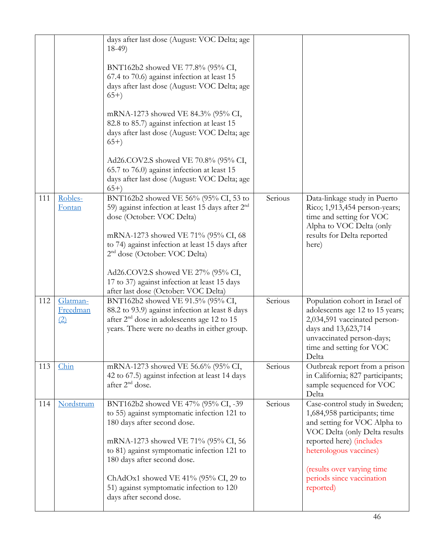|     |                             | days after last dose (August: VOC Delta; age<br>$18-49$                                                                                                                                                                                                                                                                                                |         |                                                                                                                                                                                                                                                              |
|-----|-----------------------------|--------------------------------------------------------------------------------------------------------------------------------------------------------------------------------------------------------------------------------------------------------------------------------------------------------------------------------------------------------|---------|--------------------------------------------------------------------------------------------------------------------------------------------------------------------------------------------------------------------------------------------------------------|
|     |                             | BNT162b2 showed VE 77.8% (95% CI,<br>67.4 to 70.6) against infection at least 15<br>days after last dose (August: VOC Delta; age<br>$(65+)$                                                                                                                                                                                                            |         |                                                                                                                                                                                                                                                              |
|     |                             | mRNA-1273 showed VE 84.3% (95% CI,<br>82.8 to 85.7) against infection at least 15<br>days after last dose (August: VOC Delta; age<br>$(65+)$                                                                                                                                                                                                           |         |                                                                                                                                                                                                                                                              |
|     |                             | Ad26.COV2.S showed VE 70.8% (95% CI,<br>65.7 to 76.0) against infection at least 15<br>days after last dose (August: VOC Delta; age<br>$(65+)$                                                                                                                                                                                                         |         |                                                                                                                                                                                                                                                              |
| 111 | Robles-<br>Fontan           | BNT162b2 showed VE 56% (95% CI, 53 to<br>59) against infection at least 15 days after 2 <sup>nd</sup><br>dose (October: VOC Delta)<br>mRNA-1273 showed VE 71% (95% CI, 68<br>to 74) against infection at least 15 days after<br>2 <sup>nd</sup> dose (October: VOC Delta)                                                                              | Serious | Data-linkage study in Puerto<br>Rico; 1,913,454 person-years;<br>time and setting for VOC<br>Alpha to VOC Delta (only<br>results for Delta reported<br>here)                                                                                                 |
|     |                             | Ad26.COV2.S showed VE 27% (95% CI,<br>17 to 37) against infection at least 15 days<br>after last dose (October: VOC Delta)                                                                                                                                                                                                                             |         |                                                                                                                                                                                                                                                              |
| 112 | Glatman-<br>Freedman<br>(2) | BNT162b2 showed VE 91.5% (95% CI,<br>88.2 to 93.9) against infection at least 8 days<br>after 2 <sup>nd</sup> dose in adolescents age 12 to 15<br>years. There were no deaths in either group.                                                                                                                                                         | Serious | Population cohort in Israel of<br>adolescents age 12 to 15 years;<br>2,034,591 vaccinated person-<br>days and 13,623,714<br>unvaccinated person-days;<br>time and setting for VOC<br>Delta                                                                   |
| 113 | Chin                        | mRNA-1273 showed VE 56.6% (95% CI,<br>42 to 67.5) against infection at least 14 days<br>after 2 <sup>nd</sup> dose.                                                                                                                                                                                                                                    | Serious | Outbreak report from a prison<br>in California; 827 participants;<br>sample sequenced for VOC<br>Delta                                                                                                                                                       |
| 114 | Nordstrum                   | BNT162b2 showed VE 47% (95% CI, -39)<br>to 55) against symptomatic infection 121 to<br>180 days after second dose.<br>mRNA-1273 showed VE 71% (95% CI, 56<br>to 81) against symptomatic infection 121 to<br>180 days after second dose.<br>ChAdOx1 showed VE 41% (95% CI, 29 to<br>51) against symptomatic infection to 120<br>days after second dose. | Serious | Case-control study in Sweden;<br>1,684,958 participants; time<br>and setting for VOC Alpha to<br>VOC Delta (only Delta results<br>reported here) (includes<br>heterologous vaccines)<br>(results over varying time<br>periods since vaccination<br>reported) |
|     |                             |                                                                                                                                                                                                                                                                                                                                                        |         |                                                                                                                                                                                                                                                              |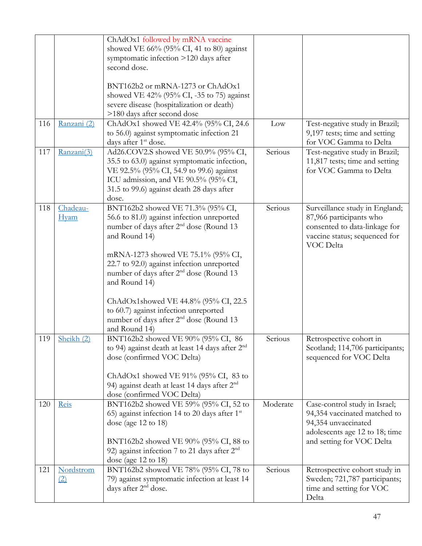|     |                                | ChAdOx1 followed by mRNA vaccine<br>showed VE $66\%$ (95% CI, 41 to 80) against<br>symptomatic infection >120 days after<br>second dose.<br>BNT162b2 or mRNA-1273 or ChAdOx1<br>showed VE 42% (95% CI, -35 to 75) against<br>severe disease (hospitalization or death)<br>>180 days after second dose               |                 |                                                                                                                                                     |
|-----|--------------------------------|---------------------------------------------------------------------------------------------------------------------------------------------------------------------------------------------------------------------------------------------------------------------------------------------------------------------|-----------------|-----------------------------------------------------------------------------------------------------------------------------------------------------|
| 116 | Ranzani (2)                    | ChAdOx1 showed VE 42.4% (95% CI, 24.6<br>to 56.0) against symptomatic infection 21<br>days after 1 <sup>st</sup> dose.                                                                                                                                                                                              | $_{\text{Low}}$ | Test-negative study in Brazil;<br>9,197 tests; time and setting<br>for VOC Gamma to Delta                                                           |
| 117 | Ranzani(3)                     | Ad26.COV2.S showed VE 50.9% (95% CI,<br>35.5 to 63.0) against symptomatic infection,<br>VE 92.5% (95% CI, 54.9 to 99.6) against<br>ICU admission, and VE 90.5% (95% CI,<br>31.5 to 99.6) against death 28 days after<br>dose.                                                                                       | Serious         | Test-negative study in Brazil;<br>11,817 tests; time and setting<br>for VOC Gamma to Delta                                                          |
| 118 | Chadeau-<br><b>Hyam</b>        | BNT162b2 showed VE 71.3% (95% CI,<br>56.6 to 81.0) against infection unreported<br>number of days after 2 <sup>nd</sup> dose (Round 13<br>and Round 14)<br>mRNA-1273 showed VE 75.1% (95% CI,<br>22.7 to 92.0) against infection unreported<br>number of days after 2 <sup>nd</sup> dose (Round 13<br>and Round 14) | Serious         | Surveillance study in England;<br>87,966 participants who<br>consented to data-linkage for<br>vaccine status; sequenced for<br>VOC Delta            |
|     |                                | ChAdOx1showed VE 44.8% (95% CI, 22.5<br>to 60.7) against infection unreported<br>number of days after 2 <sup>nd</sup> dose (Round 13<br>and Round 14)                                                                                                                                                               |                 |                                                                                                                                                     |
| 119 | Sheikh (2)                     | BNT162b2 showed VE 90% (95% CI, 86<br>to 94) against death at least 14 days after $2nd$<br>dose (confirmed VOC Delta)<br>ChAdOx1 showed VE $91\%$ (95% CI, 83 to<br>94) against death at least 14 days after 2 <sup>nd</sup><br>dose (confirmed VOC Delta)                                                          | Serious         | Retrospective cohort in<br>Scotland; 114,706 participants;<br>sequenced for VOC Delta                                                               |
| 120 | Reis                           | BNT162b2 showed VE 59% (95% CI, 52 to<br>65) against infection 14 to 20 days after $1st$<br>dose (age $12$ to $18$ )<br>BNT162b2 showed VE 90% (95% CI, 88 to<br>92) against infection 7 to 21 days after $2nd$<br>dose (age $12$ to $18$ )                                                                         | Moderate        | Case-control study in Israel;<br>94,354 vaccinated matched to<br>94,354 unvaccinated<br>adolescents age 12 to 18; time<br>and setting for VOC Delta |
| 121 | Nordstrom<br>$\left( 2\right)$ | BNT162b2 showed VE 78% (95% CI, 78 to<br>79) against symptomatic infection at least 14<br>days after 2 <sup>nd</sup> dose.                                                                                                                                                                                          | Serious         | Retrospective cohort study in<br>Sweden; 721,787 participants;<br>time and setting for VOC<br>Delta                                                 |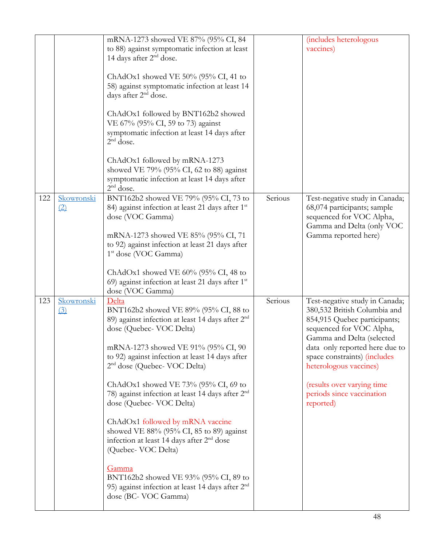|     |                  | mRNA-1273 showed VE 87% (95% CI, 84                                        |         | (includes heterologous         |
|-----|------------------|----------------------------------------------------------------------------|---------|--------------------------------|
|     |                  | to 88) against symptomatic infection at least                              |         | vaccines)                      |
|     |                  | 14 days after 2 <sup>nd</sup> dose.                                        |         |                                |
|     |                  |                                                                            |         |                                |
|     |                  | ChAdOx1 showed VE 50% (95% CI, 41 to                                       |         |                                |
|     |                  | 58) against symptomatic infection at least 14                              |         |                                |
|     |                  | days after 2 <sup>nd</sup> dose.                                           |         |                                |
|     |                  |                                                                            |         |                                |
|     |                  | ChAdOx1 followed by BNT162b2 showed                                        |         |                                |
|     |                  | VE 67% (95% CI, 59 to 73) against                                          |         |                                |
|     |                  | symptomatic infection at least 14 days after<br>$2nd$ dose.                |         |                                |
|     |                  |                                                                            |         |                                |
|     |                  | ChAdOx1 followed by mRNA-1273                                              |         |                                |
|     |                  | showed VE 79% (95% CI, 62 to 88) against                                   |         |                                |
|     |                  | symptomatic infection at least 14 days after                               |         |                                |
|     |                  | $2nd$ dose.                                                                |         |                                |
| 122 | Skowronski       | BNT162b2 showed VE 79% (95% CI, 73 to                                      | Serious | Test-negative study in Canada; |
|     | (2)              | 84) against infection at least 21 days after 1st                           |         | 68,074 participants; sample    |
|     |                  | dose (VOC Gamma)                                                           |         | sequenced for VOC Alpha,       |
|     |                  |                                                                            |         | Gamma and Delta (only VOC      |
|     |                  | mRNA-1273 showed VE 85% (95% CI, 71                                        |         | Gamma reported here)           |
|     |                  | to 92) against infection at least 21 days after                            |         |                                |
|     |                  | 1 <sup>st</sup> dose (VOC Gamma)                                           |         |                                |
|     |                  | ChAdOx1 showed VE $60\%$ (95% CI, 48 to                                    |         |                                |
|     |                  |                                                                            |         |                                |
|     |                  |                                                                            |         |                                |
|     |                  | 69) against infection at least 21 days after 1st                           |         |                                |
| 123 | Skowronski       | dose (VOC Gamma)<br>Delta                                                  | Serious | Test-negative study in Canada; |
|     | $\left(3\right)$ | BNT162b2 showed VE 89% (95% CI, 88 to                                      |         | 380,532 British Columbia and   |
|     |                  | 89) against infection at least 14 days after 2 <sup>nd</sup>               |         | 854,915 Quebec participants;   |
|     |                  | dose (Quebec- VOC Delta)                                                   |         | sequenced for VOC Alpha,       |
|     |                  |                                                                            |         | Gamma and Delta (selected      |
|     |                  | mRNA-1273 showed VE 91% (95% CI, 90                                        |         | data only reported here due to |
|     |                  | to 92) against infection at least 14 days after                            |         | space constraints) (includes   |
|     |                  | 2 <sup>nd</sup> dose (Quebec- VOC Delta)                                   |         | heterologous vaccines)         |
|     |                  |                                                                            |         |                                |
|     |                  | ChAdOx1 showed VE 73% (95% CI, 69 to                                       |         | (results over varying time     |
|     |                  | 78) against infection at least 14 days after 2 <sup>nd</sup>               |         | periods since vaccination      |
|     |                  | dose (Quebec- VOC Delta)                                                   |         | reported)                      |
|     |                  | ChAdOx1 followed by mRNA vaccine                                           |         |                                |
|     |                  | showed VE $88\%$ (95% CI, 85 to 89) against                                |         |                                |
|     |                  | infection at least 14 days after 2 <sup>nd</sup> dose                      |         |                                |
|     |                  | (Quebec- VOC Delta)                                                        |         |                                |
|     |                  |                                                                            |         |                                |
|     |                  | <u>Gamma</u>                                                               |         |                                |
|     |                  | BNT162b2 showed VE 93% (95% CI, 89 to                                      |         |                                |
|     |                  | 95) against infection at least 14 days after $2nd$<br>dose (BC- VOC Gamma) |         |                                |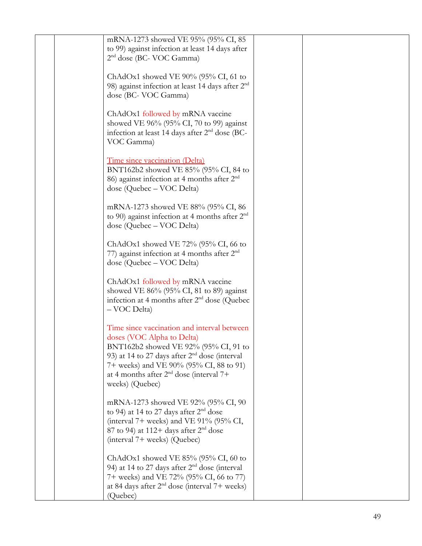|  | mRNA-1273 showed VE 95% (95% CI, 85<br>to 99) against infection at least 14 days after                    |  |
|--|-----------------------------------------------------------------------------------------------------------|--|
|  | 2 <sup>nd</sup> dose (BC- VOC Gamma)                                                                      |  |
|  | ChAdOx1 showed VE $90\%$ (95% CI, 61 to                                                                   |  |
|  | 98) against infection at least 14 days after $2nd$<br>dose (BC- VOC Gamma)                                |  |
|  | ChAdOx1 followed by mRNA vaccine                                                                          |  |
|  | showed VE $96\%$ (95% CI, 70 to 99) against<br>infection at least 14 days after 2 <sup>nd</sup> dose (BC- |  |
|  | VOC Gamma)                                                                                                |  |
|  | Time since vaccination (Delta)                                                                            |  |
|  | BNT162b2 showed VE 85% (95% CI, 84 to<br>86) against infection at 4 months after $2nd$                    |  |
|  | dose (Quebec - VOC Delta)                                                                                 |  |
|  | mRNA-1273 showed VE 88% (95% CI, 86<br>to 90) against infection at 4 months after $2nd$                   |  |
|  | dose (Quebec - VOC Delta)                                                                                 |  |
|  | ChAdOx1 showed VE $72\%$ (95% CI, 66 to                                                                   |  |
|  | 77) against infection at 4 months after 2 <sup>nd</sup><br>dose (Quebec – VOC Delta)                      |  |
|  | ChAdOx1 followed by mRNA vaccine                                                                          |  |
|  | showed VE $86\%$ (95% CI, 81 to 89) against<br>infection at 4 months after $2nd$ dose (Quebec             |  |
|  | - VOC Delta)                                                                                              |  |
|  | Time since vaccination and interval between                                                               |  |
|  | doses (VOC Alpha to Delta)<br>BNT162b2 showed VE 92% (95% CI, 91 to                                       |  |
|  | 93) at 14 to 27 days after $2nd$ dose (interval<br>7+ weeks) and VE 90% (95% CI, 88 to 91)                |  |
|  | at 4 months after $2nd$ dose (interval 7+<br>weeks) (Quebec)                                              |  |
|  | mRNA-1273 showed VE 92% (95% CI, 90                                                                       |  |
|  | to 94) at 14 to 27 days after $2nd$ dose                                                                  |  |
|  | (interval $7+$ weeks) and VE 91% (95% CI,<br>87 to 94) at 112+ days after $2nd$ dose                      |  |
|  | (interval 7+ weeks) (Quebec)                                                                              |  |
|  | ChAdOx1 showed VE $85\%$ (95% CI, 60 to<br>94) at 14 to 27 days after $2nd$ dose (interval                |  |
|  | 7+ weeks) and VE 72% (95% CI, 66 to 77)<br>at 84 days after $2nd$ dose (interval 7+ weeks)                |  |
|  | (Quebec)                                                                                                  |  |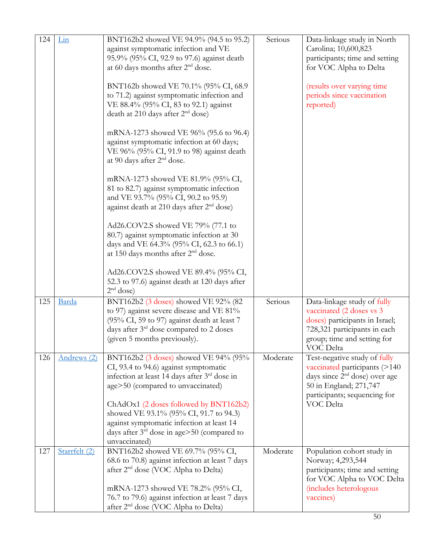| 124 | Lin           | BNT162b2 showed VE 94.9% (94.5 to 95.2)<br>against symptomatic infection and VE<br>95.9% (95% CI, 92.9 to 97.6) against death                                                                                                                                                                        | Serious  | Data-linkage study in North<br>Carolina; 10,600,823<br>participants; time and setting                                                                                             |
|-----|---------------|------------------------------------------------------------------------------------------------------------------------------------------------------------------------------------------------------------------------------------------------------------------------------------------------------|----------|-----------------------------------------------------------------------------------------------------------------------------------------------------------------------------------|
|     |               | at 60 days months after 2 <sup>nd</sup> dose.                                                                                                                                                                                                                                                        |          | for VOC Alpha to Delta                                                                                                                                                            |
|     |               | BNT162b showed VE 70.1% (95% CI, 68.9)<br>to 71.2) against symptomatic infection and<br>VE 88.4% (95% CI, 83 to 92.1) against<br>death at 210 days after $2nd$ dose)                                                                                                                                 |          | (results over varying time<br>periods since vaccination<br>reported)                                                                                                              |
|     |               | mRNA-1273 showed VE 96% (95.6 to 96.4)<br>against symptomatic infection at 60 days;<br>VE 96% (95% CI, 91.9 to 98) against death<br>at 90 days after 2 <sup>nd</sup> dose.                                                                                                                           |          |                                                                                                                                                                                   |
|     |               | mRNA-1273 showed VE 81.9% (95% CI,<br>81 to 82.7) against symptomatic infection<br>and VE 93.7% (95% CI, 90.2 to 95.9)<br>against death at 210 days after 2 <sup>nd</sup> dose)                                                                                                                      |          |                                                                                                                                                                                   |
|     |               | Ad26.COV2.S showed VE 79% (77.1 to<br>80.7) against symptomatic infection at 30<br>days and VE 64.3% (95% CI, 62.3 to 66.1)<br>at 150 days months after 2 <sup>nd</sup> dose.                                                                                                                        |          |                                                                                                                                                                                   |
|     |               | Ad26.COV2.S showed VE 89.4% (95% CI,<br>52.3 to 97.6) against death at 120 days after<br>$2nd$ dose)                                                                                                                                                                                                 |          |                                                                                                                                                                                   |
| 125 | Barda         | BNT162b2 (3 doses) showed VE 92% (82<br>to 97) against severe disease and VE 81%<br>(95% CI, 59 to 97) against death at least 7<br>days after 3 <sup>rd</sup> dose compared to 2 doses<br>(given 5 months previously).                                                                               | Serious  | Data-linkage study of fully<br>vaccinated (2 doses vs 3<br>doses) participants in Israel;<br>728,321 participants in each<br>group; time and setting for<br>VOC Delta             |
| 126 | Andrews (2)   | BNT162b2 (3 doses) showed VE 94% (95%<br>CI, 93.4 to 94.6) against symptomatic<br>infection at least 14 days after 3rd dose in<br>age>50 (compared to unvaccinated)<br>ChAdOx1 (2 doses followed by BNT162b2)<br>showed VE 93.1% (95% CI, 91.7 to 94.3)<br>against symptomatic infection at least 14 | Moderate | Test-negative study of fully<br>vaccinated participants (>140<br>days since 2 <sup>nd</sup> dose) over age<br>50 in England; 271,747<br>participants; sequencing for<br>VOC Delta |
|     |               | days after $3rd$ dose in age>50 (compared to<br>unvaccinated)                                                                                                                                                                                                                                        |          |                                                                                                                                                                                   |
| 127 | Starrfelt (2) | BNT162b2 showed VE 69.7% (95% CI,<br>68.6 to 70.8) against infection at least 7 days<br>after 2 <sup>nd</sup> dose (VOC Alpha to Delta)<br>mRNA-1273 showed VE 78.2% (95% CI,                                                                                                                        | Moderate | Population cohort study in<br>Norway; 4,293,544<br>participants; time and setting<br>for VOC Alpha to VOC Delta<br>(includes heterologous                                         |
|     |               | 76.7 to 79.6) against infection at least 7 days<br>after 2 <sup>nd</sup> dose (VOC Alpha to Delta)                                                                                                                                                                                                   |          | vaccines)                                                                                                                                                                         |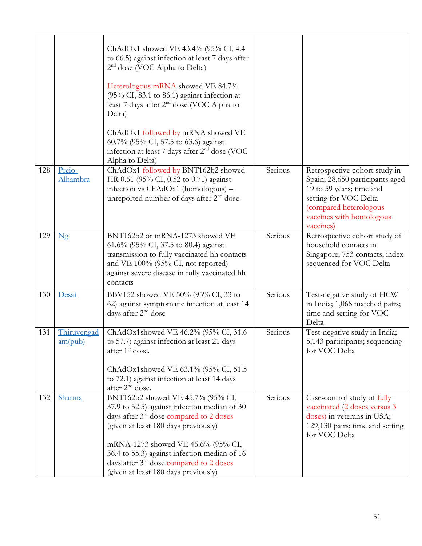|     |                        | ChAdOx1 showed VE 43.4% (95% CI, 4.4<br>to 66.5) against infection at least 7 days after<br>$2nd$ dose (VOC Alpha to Delta)<br>Heterologous mRNA showed VE 84.7%<br>(95% CI, 83.1 to 86.1) against infection at<br>least 7 days after 2 <sup>nd</sup> dose (VOC Alpha to<br>Delta)<br>ChAdOx1 followed by mRNA showed VE<br>60.7% (95% CI, 57.5 to 63.6) against<br>infection at least 7 days after 2 <sup>nd</sup> dose (VOC<br>Alpha to Delta) |         |                                                                                                                                                                                          |
|-----|------------------------|--------------------------------------------------------------------------------------------------------------------------------------------------------------------------------------------------------------------------------------------------------------------------------------------------------------------------------------------------------------------------------------------------------------------------------------------------|---------|------------------------------------------------------------------------------------------------------------------------------------------------------------------------------------------|
| 128 | Preio-<br>Alhambra     | ChAdOx1 followed by BNT162b2 showed<br>HR 0.61 (95% CI, 0.52 to 0.71) against<br>infection vs ChAdOx1 (homologous) -<br>unreported number of days after 2 <sup>nd</sup> dose                                                                                                                                                                                                                                                                     | Serious | Retrospective cohort study in<br>Spain; 28,650 participants aged<br>19 to 59 years; time and<br>setting for VOC Delta<br>(compared heterologous<br>vaccines with homologous<br>vaccines) |
| 129 | $\mathbf{Ng}$          | BNT162b2 or mRNA-1273 showed VE<br>61.6% (95% CI, 37.5 to 80.4) against<br>transmission to fully vaccinated hh contacts<br>and VE 100% (95% CI, not reported)<br>against severe disease in fully vaccinated hh<br>contacts                                                                                                                                                                                                                       | Serious | Retrospective cohort study of<br>household contacts in<br>Singapore; 753 contacts; index<br>sequenced for VOC Delta                                                                      |
| 130 | Desai                  | BBV152 showed VE 50% (95% CI, 33 to<br>62) against symptomatic infection at least 14<br>days after 2 <sup>nd</sup> dose                                                                                                                                                                                                                                                                                                                          | Serious | Test-negative study of HCW<br>in India; 1,068 matched pairs;<br>time and setting for VOC<br>Delta                                                                                        |
| 131 | Thiruvengad<br>am(pub) | ChAdOx1showed VE 46.2% (95% CI, 31.6)<br>to 57.7) against infection at least 21 days<br>after 1 <sup>st</sup> dose.<br>ChAdOx1showed VE 63.1% (95% CI, 51.5<br>to 72.1) against infection at least 14 days<br>after 2 <sup>nd</sup> dose.                                                                                                                                                                                                        | Serious | Test-negative study in India;<br>5,143 participants; sequencing<br>for VOC Delta                                                                                                         |
| 132 | Sharma                 | BNT162b2 showed VE 45.7% (95% CI,<br>37.9 to 52.5) against infection median of 30<br>days after $3rd$ dose compared to 2 doses<br>(given at least 180 days previously)<br>mRNA-1273 showed VE 46.6% (95% CI,<br>36.4 to 55.3) against infection median of 16<br>days after $3rd$ dose compared to 2 doses<br>(given at least 180 days previously)                                                                                                | Serious | Case-control study of fully<br>vaccinated (2 doses versus 3<br>doses) in veterans in USA;<br>129,130 pairs; time and setting<br>for VOC Delta                                            |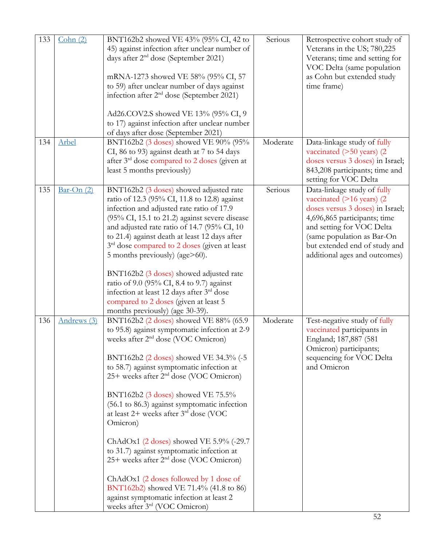| 133<br>134 | Cohn(2)<br>Arbel | BNT162b2 showed VE 43% (95% CI, 42 to<br>45) against infection after unclear number of<br>days after $2nd$ dose (September 2021)<br>mRNA-1273 showed VE 58% (95% CI, 57<br>to 59) after unclear number of days against<br>infection after $2nd$ dose (September 2021)<br>Ad26.COV2.S showed VE 13% (95% CI, 9<br>to 17) against infection after unclear number<br>of days after dose (September 2021)<br>BNT162b2 (3 doses) showed VE 90% (95%<br>CI, 86 to 93) against death at 7 to 54 days<br>after 3 <sup>rd</sup> dose compared to 2 doses (given at<br>least 5 months previously)                                                                                                                                                                | Serious<br>Moderate | Retrospective cohort study of<br>Veterans in the US; 780,225<br>Veterans; time and setting for<br>VOC Delta (same population<br>as Cohn but extended study<br>time frame)<br>Data-linkage study of fully<br>vaccinated $($ >50 years $)$ (2<br>doses versus 3 doses) in Israel;<br>843,208 participants; time and<br>setting for VOC Delta |
|------------|------------------|--------------------------------------------------------------------------------------------------------------------------------------------------------------------------------------------------------------------------------------------------------------------------------------------------------------------------------------------------------------------------------------------------------------------------------------------------------------------------------------------------------------------------------------------------------------------------------------------------------------------------------------------------------------------------------------------------------------------------------------------------------|---------------------|--------------------------------------------------------------------------------------------------------------------------------------------------------------------------------------------------------------------------------------------------------------------------------------------------------------------------------------------|
| 135        | $Bar$ -On $(2)$  | BNT162b2 (3 doses) showed adjusted rate<br>ratio of 12.3 (95% CI, 11.8 to 12.8) against<br>infection and adjusted rate ratio of 17.9<br>$(95\% \text{ CI}, 15.1 \text{ to } 21.2)$ against severe disease<br>and adjusted rate ratio of 14.7 (95% CI, 10<br>to 21.4) against death at least 12 days after<br>3 <sup>rd</sup> dose compared to 2 doses (given at least<br>5 months previously) (age>60).<br>BNT162b2 (3 doses) showed adjusted rate<br>ratio of 9.0 (95% CI, 8.4 to 9.7) against<br>infection at least 12 days after 3 <sup>rd</sup> dose<br>compared to 2 doses (given at least 5<br>months previously) (age 30-39).                                                                                                                   | Serious             | Data-linkage study of fully<br>vaccinated $($ >16 years $)$ (2<br>doses versus 3 doses) in Israel;<br>4,696,865 participants; time<br>and setting for VOC Delta<br>(same population as Bar-On<br>but extended end of study and<br>additional ages and outcomes)                                                                            |
| 136        | Andrews (3)      | BNT162b2 (2 doses) showed VE 88% (65.9<br>to 95.8) against symptomatic infection at 2-9<br>weeks after 2 <sup>nd</sup> dose (VOC Omicron)<br>BNT162b2 (2 doses) showed VE 34.3% (-5<br>to 58.7) against symptomatic infection at<br>25+ weeks after 2 <sup>nd</sup> dose (VOC Omicron)<br>BNT162b2 (3 doses) showed VE 75.5%<br>(56.1 to 86.3) against symptomatic infection<br>at least $2+$ weeks after $3rd$ dose (VOC<br>Omicron)<br>ChAdOx1 $(2$ doses) showed VE 5.9% (-29.7<br>to 31.7) against symptomatic infection at<br>25+ weeks after 2 <sup>nd</sup> dose (VOC Omicron)<br>ChAdOx1 (2 doses followed by 1 dose of<br>BNT162b2) showed VE 71.4% (41.8 to 86)<br>against symptomatic infection at least 2<br>weeks after 3rd (VOC Omicron) | Moderate            | Test-negative study of fully<br>vaccinated participants in<br>England; 187,887 (581<br>Omicron) participants;<br>sequencing for VOC Delta<br>and Omicron                                                                                                                                                                                   |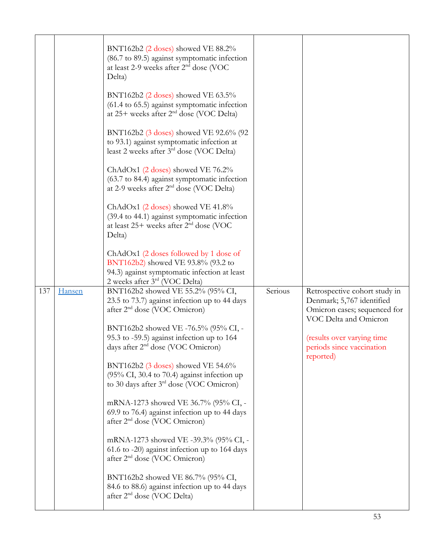|     |        | BNT162b2 (2 doses) showed VE 88.2%<br>(86.7 to 89.5) against symptomatic infection<br>at least 2-9 weeks after 2 <sup>nd</sup> dose (VOC<br>Delta)              |         |                                                                                                                     |
|-----|--------|-----------------------------------------------------------------------------------------------------------------------------------------------------------------|---------|---------------------------------------------------------------------------------------------------------------------|
|     |        | BNT162b2 $(2$ doses) showed VE 63.5%<br>(61.4 to 65.5) against symptomatic infection<br>at $25+$ weeks after $2nd$ dose (VOC Delta)                             |         |                                                                                                                     |
|     |        | BNT162b2 (3 doses) showed VE 92.6% (92<br>to 93.1) against symptomatic infection at<br>least 2 weeks after $3rd$ dose (VOC Delta)                               |         |                                                                                                                     |
|     |        | ChAdOx1 $(2$ doses) showed VE 76.2%<br>(63.7 to 84.4) against symptomatic infection<br>at 2-9 weeks after 2 <sup>nd</sup> dose (VOC Delta)                      |         |                                                                                                                     |
|     |        | ChAdOx1 (2 doses) showed VE 41.8%<br>(39.4 to 44.1) against symptomatic infection<br>at least $25+$ weeks after $2nd$ dose (VOC<br>Delta)                       |         |                                                                                                                     |
|     |        | ChAdOx1 (2 doses followed by 1 dose of<br>BNT162b2) showed VE 93.8% (93.2 to<br>94.3) against symptomatic infection at least<br>2 weeks after $3rd$ (VOC Delta) |         |                                                                                                                     |
| 137 | Hansen | BNT162b2 showed VE 55.2% (95% CI,<br>23.5 to 73.7) against infection up to 44 days<br>after 2 <sup>nd</sup> dose (VOC Omicron)                                  | Serious | Retrospective cohort study in<br>Denmark; 5,767 identified<br>Omicron cases; sequenced for<br>VOC Delta and Omicron |
|     |        | BNT162b2 showed VE -76.5% (95% CI, -                                                                                                                            |         |                                                                                                                     |
|     |        | 95.3 to -59.5) against infection up to 164                                                                                                                      |         | (results over varying time)                                                                                         |
|     |        | days after $2nd$ dose (VOC Omicron)                                                                                                                             |         | periods since vaccination<br>reported)                                                                              |
|     |        | BNT162b2 (3 doses) showed VE 54.6%<br>(95% CI, 30.4 to 70.4) against infection up<br>to 30 days after $3^{rd}$ dose (VOC Omicron)                               |         |                                                                                                                     |
|     |        | mRNA-1273 showed VE 36.7% (95% CI, -<br>69.9 to 76.4) against infection up to 44 days<br>after 2 <sup>nd</sup> dose (VOC Omicron)                               |         |                                                                                                                     |
|     |        | mRNA-1273 showed VE -39.3% (95% CI, -<br>61.6 to -20) against infection up to 164 days<br>after 2 <sup>nd</sup> dose (VOC Omicron)                              |         |                                                                                                                     |
|     |        | BNT162b2 showed VE 86.7% (95% CI,<br>84.6 to 88.6) against infection up to 44 days<br>after 2 <sup>nd</sup> dose (VOC Delta)                                    |         |                                                                                                                     |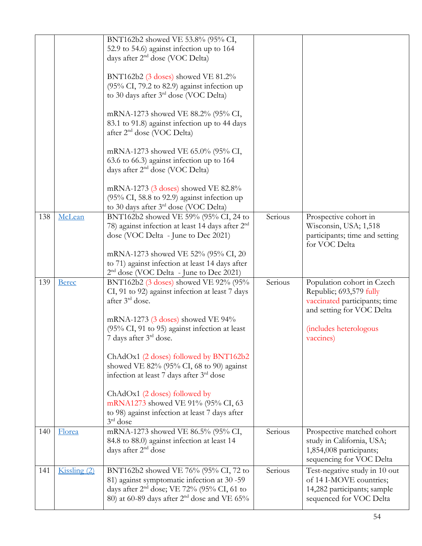|     |              | BNT162b2 showed VE 53.8% (95% CI,<br>52.9 to 54.6) against infection up to 164<br>days after $2nd$ dose (VOC Delta)<br>BNT162b2 (3 doses) showed VE 81.2%<br>(95% CI, 79.2 to 82.9) against infection up<br>to 30 days after 3 <sup>rd</sup> dose (VOC Delta)<br>mRNA-1273 showed VE 88.2% (95% CI,<br>83.1 to 91.8) against infection up to 44 days<br>after 2 <sup>nd</sup> dose (VOC Delta)<br>mRNA-1273 showed VE 65.0% (95% CI,<br>63.6 to 66.3) against infection up to 164<br>days after 2 <sup>nd</sup> dose (VOC Delta)<br>mRNA-1273 (3 doses) showed VE 82.8%<br>(95% CI, 58.8 to 92.9) against infection up |         |                                                                                                                                                            |
|-----|--------------|------------------------------------------------------------------------------------------------------------------------------------------------------------------------------------------------------------------------------------------------------------------------------------------------------------------------------------------------------------------------------------------------------------------------------------------------------------------------------------------------------------------------------------------------------------------------------------------------------------------------|---------|------------------------------------------------------------------------------------------------------------------------------------------------------------|
| 138 | McLean       | to 30 days after 3 <sup>rd</sup> dose (VOC Delta)<br>BNT162b2 showed VE 59% (95% CI, 24 to<br>78) against infection at least 14 days after $2nd$<br>dose (VOC Delta - June to Dec 2021)<br>mRNA-1273 showed VE 52% (95% CI, 20<br>to 71) against infection at least 14 days after<br>$2nd$ dose (VOC Delta - June to Dec 2021)                                                                                                                                                                                                                                                                                         | Serious | Prospective cohort in<br>Wisconsin, USA; 1,518<br>participants; time and setting<br>for VOC Delta                                                          |
| 139 | <b>Berec</b> | BNT162b2 (3 doses) showed VE 92% (95%<br>CI, 91 to 92) against infection at least 7 days<br>after 3rd dose.<br>mRNA-1273 (3 doses) showed VE 94%<br>(95% CI, 91 to 95) against infection at least<br>7 days after $3rd$ dose.<br>ChAdOx1 (2 doses) followed by BNT162b2<br>showed VE $82\%$ (95% CI, 68 to 90) against<br>infection at least 7 days after 3 <sup>rd</sup> dose<br>ChAdOx1 (2 doses) followed by<br>mRNA1273 showed VE 91% (95% CI, 63<br>to 98) against infection at least 7 days after<br>$3rd$ dose                                                                                                  | Serious | Population cohort in Czech<br>Republic; 693,579 fully<br>vaccinated participants; time<br>and setting for VOC Delta<br>(includes heterologous<br>vaccines) |
| 140 | Florea       | mRNA-1273 showed VE 86.5% (95% CI,<br>84.8 to 88.0) against infection at least 14<br>days after 2 <sup>nd</sup> dose                                                                                                                                                                                                                                                                                                                                                                                                                                                                                                   | Serious | Prospective matched cohort<br>study in California, USA;<br>1,854,008 participants;<br>sequencing for VOC Delta                                             |
| 141 | Kissling(2)  | BNT162b2 showed VE 76% (95% CI, 72 to<br>81) against symptomatic infection at 30 -59<br>days after 2 <sup>nd</sup> dose; VE 72% (95% CI, 61 to<br>80) at 60-89 days after 2 <sup>nd</sup> dose and VE 65%                                                                                                                                                                                                                                                                                                                                                                                                              | Serious | Test-negative study in 10 out<br>of 14 I-MOVE countries;<br>14,282 participants; sample<br>sequenced for VOC Delta                                         |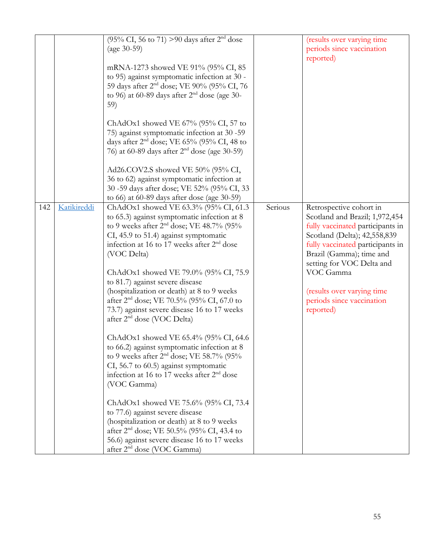|     |             | (95% CI, 56 to 71) > 90 days after $2^{nd}$ dose<br>(age $30-59$ )<br>mRNA-1273 showed VE 91% (95% CI, 85<br>to 95) against symptomatic infection at 30 -<br>59 days after 2 <sup>nd</sup> dose; VE 90% (95% CI, 76<br>to 96) at 60-89 days after $2nd$ dose (age 30-<br>59)<br>ChAdOx1 showed VE $67\%$ (95% CI, 57 to<br>75) against symptomatic infection at 30 -59<br>days after $2nd$ dose; VE 65% (95% CI, 48 to<br>76) at 60-89 days after 2 <sup>nd</sup> dose (age 30-59)<br>Ad26.COV2.S showed VE 50% (95% CI,<br>36 to 62) against symptomatic infection at<br>30 -59 days after dose; VE 52% (95% CI, 33<br>to 66) at 60-89 days after dose (age 30-59)                                                                                                                                                                                                                                                                                                                                                                                        |         | (results over varying time<br>periods since vaccination<br>reported)                                                                                                                                                                                                                                            |
|-----|-------------|------------------------------------------------------------------------------------------------------------------------------------------------------------------------------------------------------------------------------------------------------------------------------------------------------------------------------------------------------------------------------------------------------------------------------------------------------------------------------------------------------------------------------------------------------------------------------------------------------------------------------------------------------------------------------------------------------------------------------------------------------------------------------------------------------------------------------------------------------------------------------------------------------------------------------------------------------------------------------------------------------------------------------------------------------------|---------|-----------------------------------------------------------------------------------------------------------------------------------------------------------------------------------------------------------------------------------------------------------------------------------------------------------------|
| 142 | Katikireddi | ChAdOx1 showed VE 63.3% (95% CI, 61.3<br>to 65.3) against symptomatic infection at 8<br>to 9 weeks after $2nd$ dose; VE 48.7% (95%<br>CI, 45.9 to 51.4) against symptomatic<br>infection at 16 to 17 weeks after 2 <sup>nd</sup> dose<br>(VOC Delta)<br>ChAdOx1 showed VE 79.0% (95% CI, 75.9<br>to 81.7) against severe disease<br>(hospitalization or death) at 8 to 9 weeks<br>after 2 <sup>nd</sup> dose; VE 70.5% (95% CI, 67.0 to<br>73.7) against severe disease 16 to 17 weeks<br>after 2 <sup>nd</sup> dose (VOC Delta)<br>ChAdOx1 showed VE 65.4% (95% CI, 64.6<br>to 66.2) against symptomatic infection at 8<br>to 9 weeks after $2nd$ dose; VE 58.7% (95%<br>CI, 56.7 to 60.5) against symptomatic<br>infection at 16 to 17 weeks after $2nd$ dose<br>(VOC Gamma)<br>ChAdOx1 showed VE 75.6% (95% CI, 73.4<br>to 77.6) against severe disease<br>(hospitalization or death) at 8 to 9 weeks<br>after 2 <sup>nd</sup> dose; VE 50.5% (95% CI, 43.4 to<br>56.6) against severe disease 16 to 17 weeks<br>after 2 <sup>nd</sup> dose (VOC Gamma) | Serious | Retrospective cohort in<br>Scotland and Brazil; 1,972,454<br>fully vaccinated participants in<br>Scotland (Delta); 42,558,839<br>fully vaccinated participants in<br>Brazil (Gamma); time and<br>setting for VOC Delta and<br>VOC Gamma<br>(results over varying time<br>periods since vaccination<br>reported) |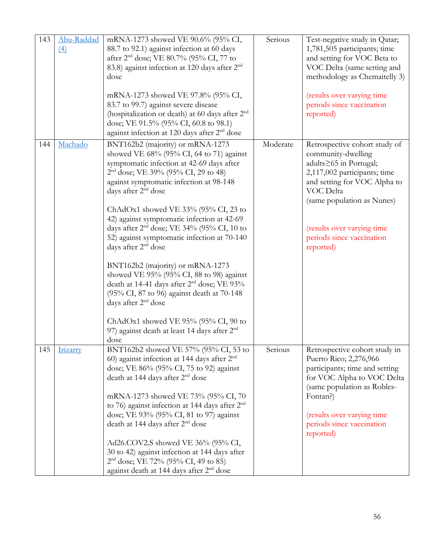| 143 | Abu-Raddad<br>$\left(4\right)$ | mRNA-1273 showed VE 90.6% (95% CI,<br>88.7 to 92.1) against infection at 60 days<br>after 2 <sup>nd</sup> dose; VE 80.7% (95% CI, 77 to<br>83.8) against infection at 120 days after 2 <sup>nd</sup><br>dose<br>mRNA-1273 showed VE 97.8% (95% CI,<br>83.7 to 99.7) against severe disease<br>(hospitalization or death) at 60 days after $2nd$<br>dose; VE 91.5% (95% CI, 60.8 to 98.1)<br>against infection at 120 days after 2 <sup>nd</sup> dose                                                                                                                                                                                                                                                                                                                                                                     | Serious  | Test-negative study in Qatar;<br>1,781,505 participants; time<br>and setting for VOC Beta to<br>VOC Delta (same setting and<br>methodology as Chemaitelly 3)<br>(results over varying time<br>periods since vaccination<br>reported)                             |
|-----|--------------------------------|--------------------------------------------------------------------------------------------------------------------------------------------------------------------------------------------------------------------------------------------------------------------------------------------------------------------------------------------------------------------------------------------------------------------------------------------------------------------------------------------------------------------------------------------------------------------------------------------------------------------------------------------------------------------------------------------------------------------------------------------------------------------------------------------------------------------------|----------|------------------------------------------------------------------------------------------------------------------------------------------------------------------------------------------------------------------------------------------------------------------|
| 144 | Machado                        | BNT162b2 (majority) or mRNA-1273<br>showed VE $68\%$ (95% CI, 64 to 71) against<br>symptomatic infection at 42-69 days after<br>2 <sup>nd</sup> dose; VE 39% (95% CI, 29 to 48)<br>against symptomatic infection at 98-148<br>days after 2 <sup>nd</sup> dose<br>ChAdOx1 showed VE $33\%$ (95% CI, 23 to<br>42) against symptomatic infection at 42-69<br>days after $2nd$ dose; VE 34% (95% CI, 10 to<br>52) against symptomatic infection at 70-140<br>days after 2 <sup>nd</sup> dose<br>BNT162b2 (majority) or mRNA-1273<br>showed VE 95% (95% CI, 88 to 98) against<br>death at 14-41 days after 2 <sup>nd</sup> dose; VE 93%<br>(95% CI, 87 to 96) against death at 70-148<br>days after 2 <sup>nd</sup> dose<br>ChAdOx1 showed VE $95\%$ (95% CI, 90 to<br>97) against death at least 14 days after $2nd$<br>dose | Moderate | Retrospective cohort study of<br>community-dwelling<br>adults≥65 in Portugal;<br>2,117,002 participants; time<br>and setting for VOC Alpha to<br>VOC Delta<br>(same population as Nunes)<br>(results over varying time<br>periods since vaccination<br>reported) |
| 145 | Irizarry                       | BNT162b2 showed VE 57% (95% CI, 53 to<br>60) against infection at 144 days after $2nd$<br>dose; VE 86% (95% CI, 75 to 92) against<br>death at 144 days after 2 <sup>nd</sup> dose<br>mRNA-1273 showed VE 73% (95% CI, 70<br>to 76) against infection at 144 days after 2 <sup>nd</sup><br>dose; VE 93% (95% CI, 81 to 97) against<br>death at 144 days after 2 <sup>nd</sup> dose<br>Ad26.COV2.S showed VE 36% (95% CI,<br>30 to 42) against infection at 144 days after<br>$2nd$ dose; VE 72% (95% CI, 49 to 85)<br>against death at 144 days after 2 <sup>nd</sup> dose                                                                                                                                                                                                                                                | Serious  | Retrospective cohort study in<br>Puerto Rico; 2,276,966<br>participants; time and setting<br>for VOC Alpha to VOC Delta<br>(same population as Robles-<br>Fontan?)<br>(results over varying time<br>periods since vaccination<br>reported)                       |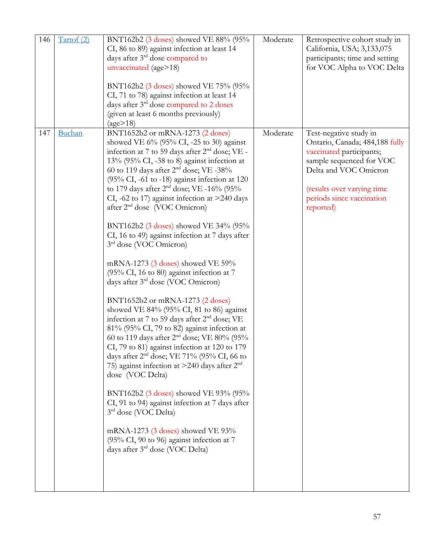| 146 | Tartof (2) | BNT162b2 (3 doses) showed VE 88% (95%<br>CI, 86 to 89) against infection at least 14<br>days after 3 <sup>rd</sup> dose compared to<br>unvaccinated (age>18)                                                                                                                                                                                                                                                                                                                                                                                                                                                                                                                                                                                                                                                                                                                                                                                                                                                                                                                                                                                                                                                                                                                                                                                                                                                          | Moderate | Retrospective cohort study in<br>California, USA; 3,133,075<br>participants; time and setting<br>for VOC Alpha to VOC Delta                                                                                       |
|-----|------------|-----------------------------------------------------------------------------------------------------------------------------------------------------------------------------------------------------------------------------------------------------------------------------------------------------------------------------------------------------------------------------------------------------------------------------------------------------------------------------------------------------------------------------------------------------------------------------------------------------------------------------------------------------------------------------------------------------------------------------------------------------------------------------------------------------------------------------------------------------------------------------------------------------------------------------------------------------------------------------------------------------------------------------------------------------------------------------------------------------------------------------------------------------------------------------------------------------------------------------------------------------------------------------------------------------------------------------------------------------------------------------------------------------------------------|----------|-------------------------------------------------------------------------------------------------------------------------------------------------------------------------------------------------------------------|
|     |            | BNT162b2 (3 doses) showed VE 75% (95%<br>CI, 71 to 78) against infection at least 14<br>days after 3 <sup>rd</sup> dose compared to 2 doses<br>(given at least 6 months previously)<br>(age>18)                                                                                                                                                                                                                                                                                                                                                                                                                                                                                                                                                                                                                                                                                                                                                                                                                                                                                                                                                                                                                                                                                                                                                                                                                       |          |                                                                                                                                                                                                                   |
| 147 | Buchan     | BNT1652b2 or mRNA-1273 (2 doses)<br>showed VE $6\%$ (95% CI, -25 to 30) against<br>infection at 7 to 59 days after 2 <sup>nd</sup> dose; VE -<br>13% (95% CI, -38 to 8) against infection at<br>60 to 119 days after $2nd$ dose; VE -38%<br>$(95\% \text{ CI}, -61 \text{ to } -18)$ against infection at 120<br>to 179 days after $2^{nd}$ dose; VE -16% (95%<br>CI, -62 to 17) against infection at $>$ 240 days<br>after 2 <sup>nd</sup> dose (VOC Omicron)<br>BNT162b2 (3 doses) showed VE 34% (95%<br>CI, 16 to 49) against infection at 7 days after<br>3rd dose (VOC Omicron)<br>mRNA-1273 (3 doses) showed VE 59%<br>(95% CI, 16 to 80) against infection at 7<br>days after 3 <sup>rd</sup> dose (VOC Omicron)<br>BNT1652b2 or mRNA-1273 (2 doses)<br>showed VE 84% (95% CI, 81 to 86) against<br>infection at 7 to 59 days after 2 <sup>nd</sup> dose; VE<br>$81\%$ (95% CI, 79 to 82) against infection at<br>60 to 119 days after 2 <sup>nd</sup> dose; VE 80% (95%<br>CI, 79 to 81) against infection at 120 to 179<br>days after $2nd$ dose; VE 71% (95% CI, 66 to<br>75) against infection at >240 days after $2nd$<br>dose (VOC Delta)<br>BNT162b2 (3 doses) showed VE 93% (95%<br>CI, 91 to 94) against infection at 7 days after<br>$3rd$ dose (VOC Delta)<br>mRNA-1273 (3 doses) showed VE 93%<br>$(95\% \text{ CI}, 90 \text{ to } 96)$ against infection at 7<br>days after 3rd dose (VOC Delta) | Moderate | Test-negative study in<br>Ontario, Canada; 484,188 fully<br>vaccinated participants;<br>sample sequenced for VOC<br>Delta and VOC Omicron<br>(results over varying time<br>periods since vaccination<br>reported) |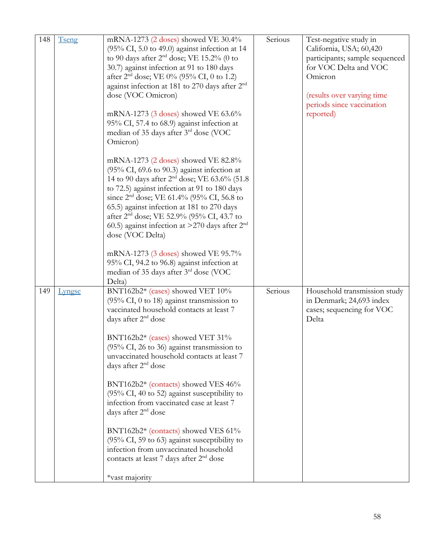| 148 | Tseng         | mRNA-1273 (2 doses) showed VE 30.4%<br>$(95\% \text{ CI}, 5.0 \text{ to } 49.0)$ against infection at 14<br>to 90 days after $2nd$ dose; VE 15.2% (0 to<br>30.7) against infection at 91 to 180 days<br>after $2^{nd}$ dose; VE 0% (95% CI, 0 to 1.2)<br>against infection at 181 to 270 days after 2 <sup>nd</sup><br>dose (VOC Omicron)<br>mRNA-1273 $(3$ doses) showed VE 63.6%<br>95% CI, 57.4 to 68.9) against infection at<br>median of 35 days after 3rd dose (VOC<br>Omicron)<br>mRNA-1273 (2 doses) showed VE 82.8%<br>$(95\% \text{ CI}, 69.6 \text{ to } 90.3)$ against infection at<br>14 to 90 days after 2 <sup>nd</sup> dose; VE 63.6% (51.8)<br>to 72.5) against infection at 91 to 180 days<br>since 2 <sup>nd</sup> dose; VE 61.4% (95% CI, 56.8 to<br>65.5) against infection at 181 to 270 days<br>after 2 <sup>nd</sup> dose; VE 52.9% (95% CI, 43.7 to<br>60.5) against infection at $>270$ days after $2nd$<br>dose (VOC Delta)<br>mRNA-1273 (3 doses) showed VE 95.7%<br>95% CI, 94.2 to 96.8) against infection at<br>median of 35 days after 3 <sup>rd</sup> dose (VOC | Serious | Test-negative study in<br>California, USA; 60,420<br>participants; sample sequenced<br>for VOC Delta and VOC<br>Omicron<br>(results over varying time<br>periods since vaccination<br>reported) |
|-----|---------------|--------------------------------------------------------------------------------------------------------------------------------------------------------------------------------------------------------------------------------------------------------------------------------------------------------------------------------------------------------------------------------------------------------------------------------------------------------------------------------------------------------------------------------------------------------------------------------------------------------------------------------------------------------------------------------------------------------------------------------------------------------------------------------------------------------------------------------------------------------------------------------------------------------------------------------------------------------------------------------------------------------------------------------------------------------------------------------------------------|---------|-------------------------------------------------------------------------------------------------------------------------------------------------------------------------------------------------|
| 149 | <b>Lyngse</b> | Delta)<br>BNT162b2* (cases) showed VET 10%<br>$(95\% \text{ CI}, 0 \text{ to } 18)$ against transmission to<br>vaccinated household contacts at least 7<br>days after 2 <sup>nd</sup> dose<br>BNT162b2* (cases) showed VET 31%<br>(95% CI, 26 to 36) against transmission to<br>unvaccinated household contacts at least 7<br>days after 2 <sup>nd</sup> dose<br>BNT162b2* (contacts) showed VES 46%<br>$(95\% \text{ CI}, 40 \text{ to } 52)$ against susceptibility to<br>infection from vaccinated case at least 7<br>days after 2 <sup>nd</sup> dose<br>BNT162b2* (contacts) showed VES 61%<br>$(95\% \text{ CI}, 59 \text{ to } 63)$ against susceptibility to<br>infection from unvaccinated household<br>contacts at least 7 days after 2 <sup>nd</sup> dose<br>*vast majority                                                                                                                                                                                                                                                                                                            | Serious | Household transmission study<br>in Denmark; 24,693 index<br>cases; sequencing for VOC<br>Delta                                                                                                  |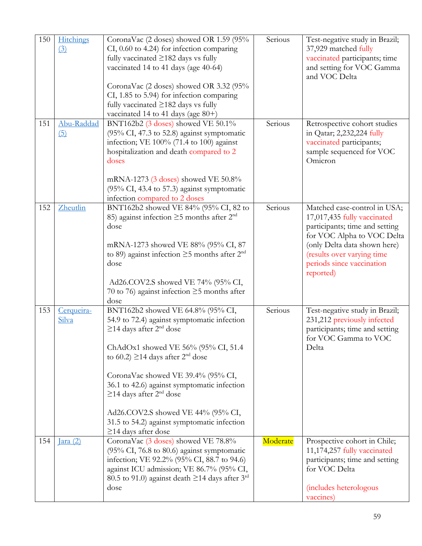| 150 | <b>Hitchings</b><br>(3) | CoronaVac (2 doses) showed OR 1.59 (95%<br>CI, 0.60 to 4.24) for infection comparing<br>fully vaccinated $\geq$ 182 days vs fully<br>vaccinated 14 to 41 days (age 40-64)<br>CoronaVac (2 doses) showed OR 3.32 (95%<br>CI, 1.85 to 5.94) for infection comparing<br>fully vaccinated $\geq$ 182 days vs fully<br>vaccinated 14 to 41 days (age $80+)$                                                                                                                          | Serious  | Test-negative study in Brazil;<br>37,929 matched fully<br>vaccinated participants; time<br>and setting for VOC Gamma<br>and VOC Delta                                                                                               |
|-----|-------------------------|---------------------------------------------------------------------------------------------------------------------------------------------------------------------------------------------------------------------------------------------------------------------------------------------------------------------------------------------------------------------------------------------------------------------------------------------------------------------------------|----------|-------------------------------------------------------------------------------------------------------------------------------------------------------------------------------------------------------------------------------------|
| 151 | Abu-Raddad<br>(5)       | BNT162b2 (3 doses) showed VE 50.1%<br>$(95\% \text{ CI}, 47.3 \text{ to } 52.8)$ against symptomatic<br>infection; VE $100\%$ (71.4 to 100) against<br>hospitalization and death compared to 2<br>doses<br>mRNA-1273 (3 doses) showed VE 50.8%<br>(95% CI, 43.4 to 57.3) against symptomatic<br>infection compared to 2 doses                                                                                                                                                   | Serious  | Retrospective cohort studies<br>in Qatar; 2,232,224 fully<br>vaccinated participants;<br>sample sequenced for VOC<br>Omicron                                                                                                        |
| 152 | Zheutlin                | BNT162b2 showed VE 84% (95% CI, 82 to<br>85) against infection $\geq$ 5 months after $2nd$<br>dose<br>mRNA-1273 showed VE 88% (95% CI, 87<br>to 89) against infection $\geq$ 5 months after $2^{nd}$<br>dose<br>Ad26.COV2.S showed VE 74% (95% CI,<br>70 to 76) against infection $\geq$ 5 months after<br>dose                                                                                                                                                                 | Serious  | Matched case-control in USA;<br>17,017,435 fully vaccinated<br>participants; time and setting<br>for VOC Alpha to VOC Delta<br>(only Delta data shown here)<br>(results over varying time<br>periods since vaccination<br>reported) |
| 153 | Cerqueira-<br>Silva     | BNT162b2 showed VE 64.8% (95% CI,<br>54.9 to 72.4) against symptomatic infection<br>$\geq$ 14 days after 2 <sup>nd</sup> dose<br>ChAdOx1 showed VE 56% (95% CI, 51.4)<br>to 60.2) $\geq$ 14 days after 2 <sup>nd</sup> dose<br>CoronaVac showed VE 39.4% (95% CI,<br>36.1 to 42.6) against symptomatic infection<br>$\geq$ 14 days after 2 <sup>nd</sup> dose<br>Ad26.COV2.S showed VE 44% (95% CI,<br>31.5 to 54.2) against symptomatic infection<br>$\geq$ 14 days after dose | Serious  | Test-negative study in Brazil;<br>231,212 previously infected<br>participants; time and setting<br>for VOC Gamma to VOC<br>Delta                                                                                                    |
| 154 | $\text{Iara}$ (2)       | CoronaVac (3 doses) showed VE 78.8%<br>$(95\% \text{ CI}, 76.8 \text{ to } 80.6)$ against symptomatic<br>infection; VE 92.2% (95% CI, 88.7 to 94.6)<br>against ICU admission; VE 86.7% (95% CI,<br>80.5 to 91.0) against death $\geq$ 14 days after 3 <sup>rd</sup><br>dose                                                                                                                                                                                                     | Moderate | Prospective cohort in Chile;<br>11,174,257 fully vaccinated<br>participants; time and setting<br>for VOC Delta<br>(includes heterologous<br>vaccines)                                                                               |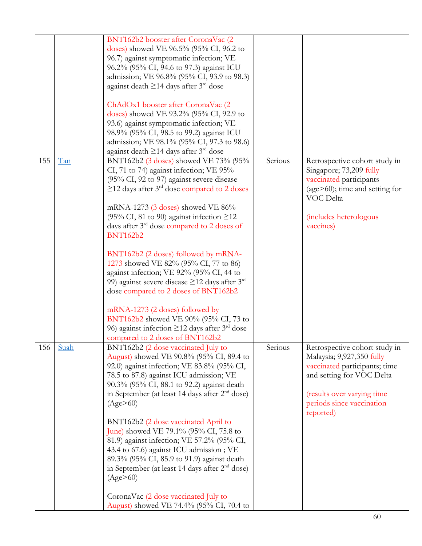|     |      | BNT162b2 booster after CoronaVac (2<br>doses) showed VE 96.5% (95% CI, 96.2 to<br>96.7) against symptomatic infection; VE<br>96.2% (95% CI, 94.6 to 97.3) against ICU                                                                                                                  |         |                                                                                                                                                                                     |
|-----|------|----------------------------------------------------------------------------------------------------------------------------------------------------------------------------------------------------------------------------------------------------------------------------------------|---------|-------------------------------------------------------------------------------------------------------------------------------------------------------------------------------------|
|     |      | admission; VE 96.8% (95% CI, 93.9 to 98.3)<br>against death $\geq$ 14 days after 3 <sup>rd</sup> dose                                                                                                                                                                                  |         |                                                                                                                                                                                     |
|     |      | ChAdOx1 booster after CoronaVac (2<br>doses) showed VE 93.2% (95% CI, 92.9 to<br>93.6) against symptomatic infection; VE<br>98.9% (95% CI, 98.5 to 99.2) against ICU<br>admission; VE 98.1% (95% CI, 97.3 to 98.6)<br>against death $\geq$ 14 days after 3 <sup>rd</sup> dose          |         |                                                                                                                                                                                     |
| 155 | Tan  | BNT162b2 (3 doses) showed VE 73% (95%<br>CI, 71 to 74) against infection; VE 95%<br>(95% CI, 92 to 97) against severe disease<br>$\geq$ 12 days after 3 <sup>rd</sup> dose compared to 2 doses                                                                                         | Serious | Retrospective cohort study in<br>Singapore; 73,209 fully<br>vaccinated participants<br>(age>60); time and setting for<br>VOC Delta                                                  |
|     |      | mRNA-1273 (3 doses) showed VE 86%<br>(95% CI, 81 to 90) against infection $\geq$ 12<br>days after 3 <sup>rd</sup> dose compared to 2 doses of<br><b>BNT162b2</b>                                                                                                                       |         | (includes heterologous<br>vaccines)                                                                                                                                                 |
|     |      | BNT162b2 (2 doses) followed by mRNA-<br>1273 showed VE 82% (95% CI, 77 to 86)<br>against infection; VE 92% (95% CI, 44 to<br>99) against severe disease $\geq$ 12 days after 3 <sup>rd</sup><br>dose compared to 2 doses of BNT162b2                                                   |         |                                                                                                                                                                                     |
|     |      | mRNA-1273 (2 doses) followed by<br>BNT162b2 showed VE 90% (95% CI, 73 to<br>96) against infection $\geq$ 12 days after 3 <sup>rd</sup> dose<br>compared to 2 doses of BNT162b2                                                                                                         |         |                                                                                                                                                                                     |
| 156 | Suah | BNT162b2 (2 dose vaccinated July to<br>August) showed VE 90.8% (95% CI, 89.4 to<br>92.0) against infection; VE 83.8% (95% CI,<br>78.5 to 87.8) against ICU admission; VE<br>90.3% (95% CI, 88.1 to 92.2) against death<br>in September (at least 14 days after $2nd$ dose)<br>(Age>60) | Serious | Retrospective cohort study in<br>Malaysia; 9,927,350 fully<br>vaccinated participants; time<br>and setting for VOC Delta<br>(results over varying time<br>periods since vaccination |
|     |      | BNT162b2 (2 dose vaccinated April to<br>June) showed VE 79.1% (95% CI, 75.8 to<br>81.9) against infection; VE 57.2% (95% CI,<br>43.4 to 67.6) against ICU admission; VE<br>89.3% (95% CI, 85.9 to 91.9) against death<br>in September (at least 14 days after $2nd$ dose)<br>(Age>60)  |         | reported)                                                                                                                                                                           |
|     |      | CoronaVac (2 dose vaccinated July to<br>August) showed VE 74.4% (95% CI, 70.4 to                                                                                                                                                                                                       |         |                                                                                                                                                                                     |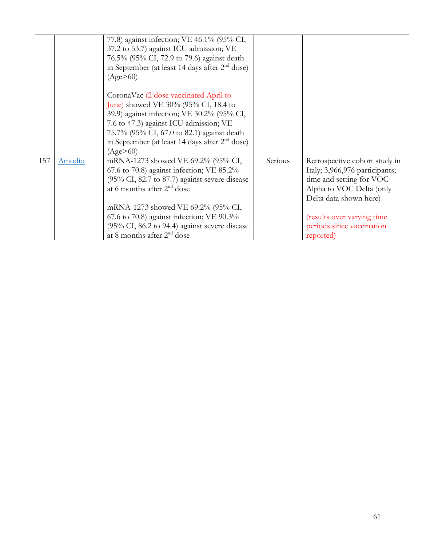|     |        | 77.8) against infection; VE 46.1% (95% CI,<br>37.2 to 53.7) against ICU admission; VE<br>76.5% (95% CI, 72.9 to 79.6) against death<br>in September (at least 14 days after $2nd$ dose)<br>(Age>60)                                                                                                                                                                       |         |                                                                                                                                                                                                                           |
|-----|--------|---------------------------------------------------------------------------------------------------------------------------------------------------------------------------------------------------------------------------------------------------------------------------------------------------------------------------------------------------------------------------|---------|---------------------------------------------------------------------------------------------------------------------------------------------------------------------------------------------------------------------------|
|     |        | CoronaVac (2 dose vaccinated April to<br>June) showed VE 30% (95% CI, 18.4 to<br>39.9) against infection; VE 30.2% (95% CI,<br>7.6 to 47.3) against ICU admission; VE<br>75.7% (95% CI, 67.0 to 82.1) against death<br>in September (at least 14 days after $2nd$ dose)<br>(Age>60)                                                                                       |         |                                                                                                                                                                                                                           |
| 157 | Amodio | mRNA-1273 showed VE 69.2% (95% CI,<br>67.6 to 70.8) against infection; VE $85.2\%$<br>$(95\% \text{ CI}, 82.7 \text{ to } 87.7)$ against severe disease<br>at 6 months after $2^{nd}$ dose<br>mRNA-1273 showed VE 69.2% (95% CI,<br>$67.6$ to $70.8$ ) against infection; VE $90.3\%$<br>(95% CI, 86.2 to 94.4) against severe disease<br>at 8 months after $2^{nd}$ dose | Serious | Retrospective cohort study in<br>Italy; 3,966,976 participants;<br>time and setting for VOC<br>Alpha to VOC Delta (only<br>Delta data shown here)<br>(results over varying time<br>periods since vaccination<br>reported) |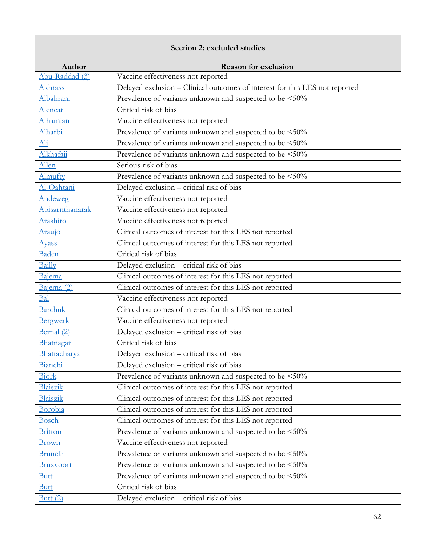## **Section 2: excluded studies**

| Author<br>Abu-Raddad (3)   | <b>Reason for exclusion</b>                                                                                       |  |
|----------------------------|-------------------------------------------------------------------------------------------------------------------|--|
| Akhrass                    | Vaccine effectiveness not reported<br>Delayed exclusion - Clinical outcomes of interest for this LES not reported |  |
| Albahrani                  | Prevalence of variants unknown and suspected to be <50%                                                           |  |
|                            | Critical risk of bias                                                                                             |  |
| Alencar                    |                                                                                                                   |  |
| Alhamlan                   | Vaccine effectiveness not reported                                                                                |  |
| Alharbi                    | Prevalence of variants unknown and suspected to be <50%                                                           |  |
| $\underline{\mathrm{Ali}}$ | Prevalence of variants unknown and suspected to be <50%                                                           |  |
| Alkhafaji                  | Prevalence of variants unknown and suspected to be <50%                                                           |  |
| Allen                      | Serious risk of bias                                                                                              |  |
| Almufty                    | Prevalence of variants unknown and suspected to be <50%                                                           |  |
| Al-Qahtani                 | Delayed exclusion - critical risk of bias                                                                         |  |
| Andeweg                    | Vaccine effectiveness not reported                                                                                |  |
| Apisarnthanarak            | Vaccine effectiveness not reported                                                                                |  |
| Arashiro                   | Vaccine effectiveness not reported                                                                                |  |
| Araujo                     | Clinical outcomes of interest for this LES not reported                                                           |  |
| <b>Ayass</b>               | Clinical outcomes of interest for this LES not reported                                                           |  |
| Baden                      | Critical risk of bias                                                                                             |  |
| <b>Bailly</b>              | Delayed exclusion - critical risk of bias                                                                         |  |
| Bajema                     | Clinical outcomes of interest for this LES not reported                                                           |  |
| Bajema (2)                 | Clinical outcomes of interest for this LES not reported                                                           |  |
| Bal                        | Vaccine effectiveness not reported                                                                                |  |
| <b>Barchuk</b>             | Clinical outcomes of interest for this LES not reported                                                           |  |
| Bergwerk                   | Vaccine effectiveness not reported                                                                                |  |
| Bernal (2)                 | Delayed exclusion - critical risk of bias                                                                         |  |
| Bhatnagar                  | Critical risk of bias                                                                                             |  |
| Bhattacharya               | Delayed exclusion - critical risk of bias                                                                         |  |
| Bianchi                    | Delayed exclusion - critical risk of bias                                                                         |  |
| Bjork                      | Prevalence of variants unknown and suspected to be <50%                                                           |  |
| <b>Blaiszik</b>            | Clinical outcomes of interest for this LES not reported                                                           |  |
| <b>Blaiszik</b>            | Clinical outcomes of interest for this LES not reported                                                           |  |
| Borobia                    | Clinical outcomes of interest for this LES not reported                                                           |  |
| <b>Bosch</b>               | Clinical outcomes of interest for this LES not reported                                                           |  |
| <b>Britton</b>             | Prevalence of variants unknown and suspected to be <50%                                                           |  |
| <b>Brown</b>               | Vaccine effectiveness not reported                                                                                |  |
| <b>Brunelli</b>            | Prevalence of variants unknown and suspected to be <50%                                                           |  |
| <b>Bruxvoort</b>           | Prevalence of variants unknown and suspected to be <50%                                                           |  |
| <b>Butt</b>                | Prevalence of variants unknown and suspected to be <50%                                                           |  |
| <b>Butt</b>                | Critical risk of bias                                                                                             |  |
| Butt $(2)$                 | Delayed exclusion - critical risk of bias                                                                         |  |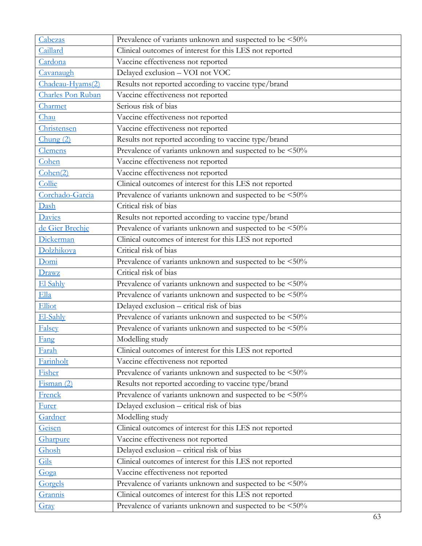| Cabezas           | Prevalence of variants unknown and suspected to be <50% |
|-------------------|---------------------------------------------------------|
| Caillard          | Clinical outcomes of interest for this LES not reported |
| Cardona           | Vaccine effectiveness not reported                      |
| Cavanaugh         | Delayed exclusion - VOI not VOC                         |
| Chadeau-Hyams(2)  | Results not reported according to vaccine type/brand    |
| Charles Pon Ruban | Vaccine effectiveness not reported                      |
| Charmet           | Serious risk of bias                                    |
| Chau              | Vaccine effectiveness not reported                      |
| Christensen       | Vaccine effectiveness not reported                      |
| Chung(2)          | Results not reported according to vaccine type/brand    |
| Clemens           | Prevalence of variants unknown and suspected to be <50% |
| Cohen             | Vaccine effectiveness not reported                      |
| Cohen(2)          | Vaccine effectiveness not reported                      |
| Collie            | Clinical outcomes of interest for this LES not reported |
| Corchado-Garcia   | Prevalence of variants unknown and suspected to be <50% |
| Dash              | Critical risk of bias                                   |
| Davies            | Results not reported according to vaccine type/brand    |
| de Gier Brechje   | Prevalence of variants unknown and suspected to be <50% |
| Dickerman         | Clinical outcomes of interest for this LES not reported |
| Dolzhikova        | Critical risk of bias                                   |
| Domi              | Prevalence of variants unknown and suspected to be <50% |
| Drawz             | Critical risk of bias                                   |
| El Sahly          | Prevalence of variants unknown and suspected to be <50% |
| Ella              | Prevalence of variants unknown and suspected to be <50% |
| Elliot            | Delayed exclusion - critical risk of bias               |
| El-Sahly          | Prevalence of variants unknown and suspected to be <50% |
| Falsey            | Prevalence of variants unknown and suspected to be <50% |
| Fang              | Modelling study                                         |
| <b>Farah</b>      | Clinical outcomes of interest for this LES not reported |
| Farinholt         | Vaccine effectiveness not reported                      |
| Fisher            | Prevalence of variants unknown and suspected to be <50% |
| Fisman(2)         | Results not reported according to vaccine type/brand    |
| Frenck            | Prevalence of variants unknown and suspected to be <50% |
| <b>Furer</b>      | Delayed exclusion - critical risk of bias               |
| Gardner           | Modelling study                                         |
| Geisen            | Clinical outcomes of interest for this LES not reported |
| Gharpure          | Vaccine effectiveness not reported                      |
| Ghosh             | Delayed exclusion - critical risk of bias               |
| Gils              | Clinical outcomes of interest for this LES not reported |
| Goga              | Vaccine effectiveness not reported                      |
| Gorgels           | Prevalence of variants unknown and suspected to be <50% |
| Grannis           | Clinical outcomes of interest for this LES not reported |
| Gray              | Prevalence of variants unknown and suspected to be <50% |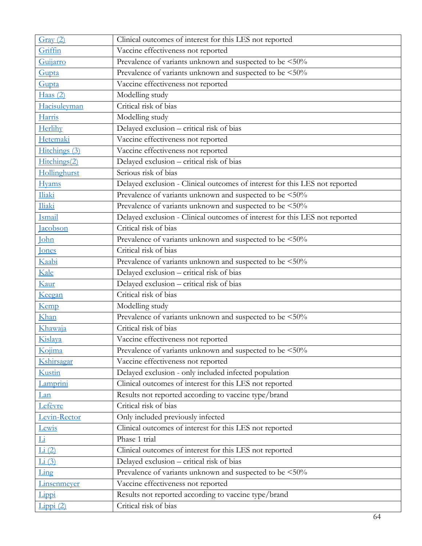| Gray(2)                | Clinical outcomes of interest for this LES not reported                     |  |
|------------------------|-----------------------------------------------------------------------------|--|
| Griffin                | Vaccine effectiveness not reported                                          |  |
| Guijarro               | Prevalence of variants unknown and suspected to be <50%                     |  |
| Gupta                  | Prevalence of variants unknown and suspected to be <50%                     |  |
| Gupta                  | Vaccine effectiveness not reported                                          |  |
| Haas $(2)$             | Modelling study                                                             |  |
| Hacisuleyman           | Critical risk of bias                                                       |  |
| Harris                 | Modelling study                                                             |  |
| Herlihy                | Delayed exclusion - critical risk of bias                                   |  |
| Hetemaki               | Vaccine effectiveness not reported                                          |  |
| Hitchings (3)          | Vaccine effectiveness not reported                                          |  |
| Hitchings(2)           | Delayed exclusion - critical risk of bias                                   |  |
| Hollinghurst           | Serious risk of bias                                                        |  |
| <b>Hyams</b>           | Delayed exclusion - Clinical outcomes of interest for this LES not reported |  |
| Iliaki                 | Prevalence of variants unknown and suspected to be <50%                     |  |
| Iliaki                 | Prevalence of variants unknown and suspected to be <50%                     |  |
| Ismail                 | Delayed exclusion - Clinical outcomes of interest for this LES not reported |  |
| Jacobson               | Critical risk of bias                                                       |  |
| John                   | Prevalence of variants unknown and suspected to be <50%                     |  |
| <b>Jones</b>           | Critical risk of bias                                                       |  |
| Kaabi                  | Prevalence of variants unknown and suspected to be <50%                     |  |
| Kale                   | Delayed exclusion - critical risk of bias                                   |  |
| Kaur                   | Delayed exclusion - critical risk of bias                                   |  |
| Keegan                 | Critical risk of bias                                                       |  |
| Kemp                   | Modelling study                                                             |  |
| Khan                   | Prevalence of variants unknown and suspected to be <50%                     |  |
| Khawaja                | Critical risk of bias                                                       |  |
| Kislava                | Vaccine effectiveness not reported                                          |  |
| Kojima                 | Prevalence of variants unknown and suspected to be <50%                     |  |
| Kshirsagar             | Vaccine effectiveness not reported                                          |  |
| <u>Kustin</u>          | Delayed exclusion - only included infected population                       |  |
| Lamprini               | Clinical outcomes of interest for this LES not reported                     |  |
| Lan                    | Results not reported according to vaccine type/brand                        |  |
| Lefèvre                | Critical risk of bias                                                       |  |
| Levin-Rector           | Only included previously infected                                           |  |
| Lewis                  | Clinical outcomes of interest for this LES not reported                     |  |
| $\overline{\text{Li}}$ | Phase 1 trial                                                               |  |
| Li(2)                  | Clinical outcomes of interest for this LES not reported                     |  |
| Li(3)                  | Delayed exclusion - critical risk of bias                                   |  |
| Ling                   | Prevalence of variants unknown and suspected to be <50%                     |  |
| <b>Linsenmeyer</b>     | Vaccine effectiveness not reported                                          |  |
| Lippi                  | Results not reported according to vaccine type/brand                        |  |
| Lippi (2)              | Critical risk of bias                                                       |  |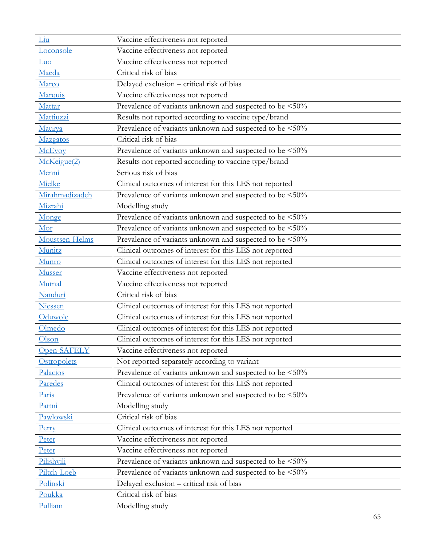| Liu            | Vaccine effectiveness not reported                      |
|----------------|---------------------------------------------------------|
| Loconsole      | Vaccine effectiveness not reported                      |
| Luo            | Vaccine effectiveness not reported                      |
| Maeda          | Critical risk of bias                                   |
| Marco          | Delayed exclusion - critical risk of bias               |
| Marquis        | Vaccine effectiveness not reported                      |
| Mattar         | Prevalence of variants unknown and suspected to be <50% |
| Mattiuzzi      | Results not reported according to vaccine type/brand    |
| Maurya         | Prevalence of variants unknown and suspected to be <50% |
| Mazgatos       | Critical risk of bias                                   |
| McEvoy         | Prevalence of variants unknown and suspected to be <50% |
| McKeigue(2)    | Results not reported according to vaccine type/brand    |
| Menni          | Serious risk of bias                                    |
| Mielke         | Clinical outcomes of interest for this LES not reported |
| Mirahmadizadeh | Prevalence of variants unknown and suspected to be <50% |
| Mizrahi        | Modelling study                                         |
| Monge          | Prevalence of variants unknown and suspected to be <50% |
| Mor            | Prevalence of variants unknown and suspected to be <50% |
| Moustsen-Helms | Prevalence of variants unknown and suspected to be <50% |
| Munitz         | Clinical outcomes of interest for this LES not reported |
| Munro          | Clinical outcomes of interest for this LES not reported |
| Musser         | Vaccine effectiveness not reported                      |
| Mutnal         | Vaccine effectiveness not reported                      |
| Nanduri        | Critical risk of bias                                   |
| Niessen        | Clinical outcomes of interest for this LES not reported |
| Oduwole        | Clinical outcomes of interest for this LES not reported |
| Olmedo         | Clinical outcomes of interest for this LES not reported |
| Olson          | Clinical outcomes of interest for this LES not reported |
| Open-SAFELY    | Vaccine effectiveness not reported                      |
| Ostropolets    | Not reported separately according to variant            |
| Palacios       | Prevalence of variants unknown and suspected to be <50% |
| Paredes        | Clinical outcomes of interest for this LES not reported |
| Paris          | Prevalence of variants unknown and suspected to be <50% |
| Pattni         | Modelling study                                         |
| Pawlowski      | Critical risk of bias                                   |
| Perry          | Clinical outcomes of interest for this LES not reported |
| Peter          | Vaccine effectiveness not reported                      |
| Peter          | Vaccine effectiveness not reported                      |
| Pilishvili     | Prevalence of variants unknown and suspected to be <50% |
| Piltch-Loeb    | Prevalence of variants unknown and suspected to be <50% |
| Polinski       | Delayed exclusion - critical risk of bias               |
| Poukka         | Critical risk of bias                                   |
| Pulliam        | Modelling study                                         |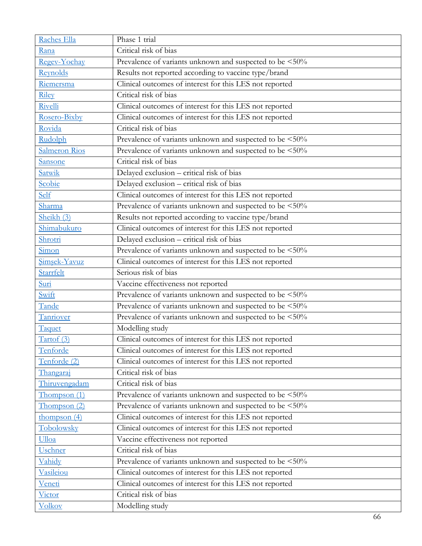| Raches Ella          | Phase 1 trial                                           |
|----------------------|---------------------------------------------------------|
| Rana                 | Critical risk of bias                                   |
| Regev-Yochay         | Prevalence of variants unknown and suspected to be <50% |
| Reynolds             | Results not reported according to vaccine type/brand    |
| Riemersma            | Clinical outcomes of interest for this LES not reported |
| <b>Riley</b>         | Critical risk of bias                                   |
| Rivelli              | Clinical outcomes of interest for this LES not reported |
| Rosero-Bixby         | Clinical outcomes of interest for this LES not reported |
| Rovida               | Critical risk of bias                                   |
| Rudolph              | Prevalence of variants unknown and suspected to be <50% |
| <b>Salmeron Rios</b> | Prevalence of variants unknown and suspected to be <50% |
| Sansone              | Critical risk of bias                                   |
| Satwik               | Delayed exclusion - critical risk of bias               |
| Scobie               | Delayed exclusion - critical risk of bias               |
| Self                 | Clinical outcomes of interest for this LES not reported |
| Sharma               | Prevalence of variants unknown and suspected to be <50% |
| Sheikh (3)           | Results not reported according to vaccine type/brand    |
| Shimabukuro          | Clinical outcomes of interest for this LES not reported |
| Shrotri              | Delayed exclusion - critical risk of bias               |
| Simon                | Prevalence of variants unknown and suspected to be <50% |
| Simsek-Yavuz         | Clinical outcomes of interest for this LES not reported |
| Starrfelt            | Serious risk of bias                                    |
| Suri                 | Vaccine effectiveness not reported                      |
| Swift                | Prevalence of variants unknown and suspected to be <50% |
| Tande                | Prevalence of variants unknown and suspected to be <50% |
| Tanriover            | Prevalence of variants unknown and suspected to be <50% |
| Taquet               | Modelling study                                         |
| Tartof (3)           | Clinical outcomes of interest for this LES not reported |
| Tenforde             | Clinical outcomes of interest for this LES not reported |
| Tenforde (2)         | Clinical outcomes of interest for this LES not reported |
| Thangaraj            | Critical risk of bias                                   |
| Thiruvengadam        | Critical risk of bias                                   |
| Thompson(1)          | Prevalence of variants unknown and suspected to be <50% |
| Thompson (2)         | Prevalence of variants unknown and suspected to be <50% |
| thompson $(4)$       | Clinical outcomes of interest for this LES not reported |
| Tobolowsky           | Clinical outcomes of interest for this LES not reported |
| Ulloa                | Vaccine effectiveness not reported                      |
| Uschner              | Critical risk of bias                                   |
| Vahidy               | Prevalence of variants unknown and suspected to be <50% |
| Vasileiou            | Clinical outcomes of interest for this LES not reported |
| Veneti               | Clinical outcomes of interest for this LES not reported |
| Victor               | Critical risk of bias                                   |
| <b>Volkov</b>        | Modelling study                                         |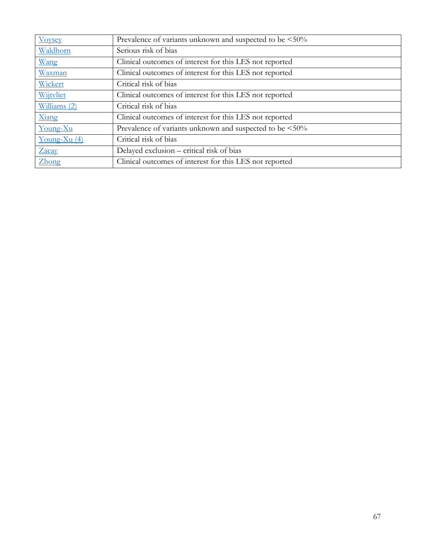| <b>Voysey</b>  | Prevalence of variants unknown and suspected to be <50% |
|----------------|---------------------------------------------------------|
| Waldhorn       | Serious risk of bias                                    |
| Wang           | Clinical outcomes of interest for this LES not reported |
| Waxman         | Clinical outcomes of interest for this LES not reported |
| Wickert        | Critical risk of bias                                   |
| Wijtvliet      | Clinical outcomes of interest for this LES not reported |
| Williams (2)   | Critical risk of bias                                   |
| Xiang          | Clinical outcomes of interest for this LES not reported |
| Young-Xu       | Prevalence of variants unknown and suspected to be <50% |
| Young-Xu $(4)$ | Critical risk of bias                                   |
| Zacay          | Delayed exclusion – critical risk of bias               |
| Zhong          | Clinical outcomes of interest for this LES not reported |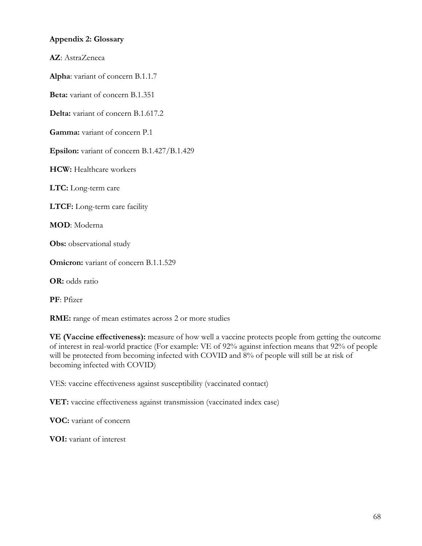### **Appendix 2: Glossary**

**AZ**: AstraZeneca

**Alpha**: variant of concern B.1.1.7

**Beta:** variant of concern B.1.351

**Delta:** variant of concern B.1.617.2

**Gamma:** variant of concern P.1

**Epsilon:** variant of concern B.1.427/B.1.429

**HCW:** Healthcare workers

**LTC:** Long-term care

**LTCF:** Long-term care facility

**MOD**: Moderna

**Obs:** observational study

**Omicron:** variant of concern B.1.1.529

**OR:** odds ratio

**PF**: Pfizer

**RME:** range of mean estimates across 2 or more studies

**VE (Vaccine effectiveness):** measure of how well a vaccine protects people from getting the outcome of interest in real-world practice (For example: VE of 92% against infection means that 92% of people will be protected from becoming infected with COVID and 8% of people will still be at risk of becoming infected with COVID)

VES: vaccine effectiveness against susceptibility (vaccinated contact)

**VET:** vaccine effectiveness against transmission (vaccinated index case)

**VOC:** variant of concern

**VOI:** variant of interest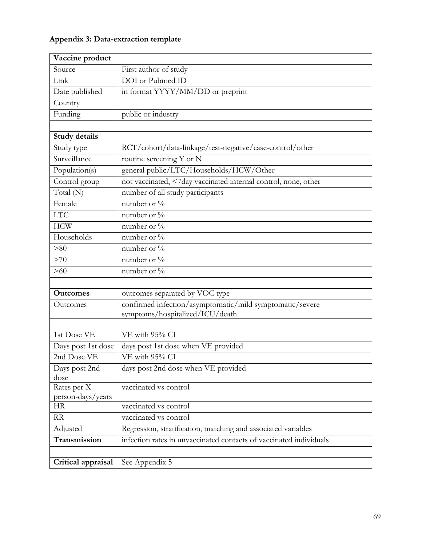# **Appendix 3: Data-extraction template**

| Vaccine product       |                                                                    |
|-----------------------|--------------------------------------------------------------------|
| Source                | First author of study                                              |
| Link                  | DOI or Pubmed ID                                                   |
| Date published        | in format YYYY/MM/DD or preprint                                   |
| Country               |                                                                    |
| Funding               | public or industry                                                 |
|                       |                                                                    |
| Study details         |                                                                    |
| Study type            | RCT/cohort/data-linkage/test-negative/case-control/other           |
| Surveillance          | routine screening Y or N                                           |
| Population(s)         | general public/LTC/Households/HCW/Other                            |
| Control group         | not vaccinated, <7day vaccinated internal control, none, other     |
| Total (N)             | number of all study participants                                   |
| Female                | number or $\%$                                                     |
| <b>LTC</b>            | number or $\%$                                                     |
| <b>HCW</b>            | number or %                                                        |
| Households            | number or %                                                        |
| > 80                  | number or %                                                        |
| >70                   | number or %                                                        |
| $>60$                 | number or %                                                        |
|                       |                                                                    |
| <b>Outcomes</b>       | outcomes separated by VOC type                                     |
| Outcomes              | confirmed infection/asymptomatic/mild symptomatic/severe           |
|                       | symptoms/hospitalized/ICU/death                                    |
|                       |                                                                    |
| 1st Dose VE           | VE with 95% CI                                                     |
| Days post 1st dose    | days post 1st dose when VE provided                                |
| 2nd Dose VE           | VE with 95% CI                                                     |
| Days post 2nd<br>dose | days post 2nd dose when VE provided                                |
| Rates per X           | vaccinated vs control                                              |
| person-days/years     |                                                                    |
| <b>HR</b>             | vaccinated vs control                                              |
| <b>RR</b>             | vaccinated vs control                                              |
| Adjusted              | Regression, stratification, matching and associated variables      |
| Transmission          | infection rates in unvaccinated contacts of vaccinated individuals |
|                       |                                                                    |
| Critical appraisal    | See Appendix 5                                                     |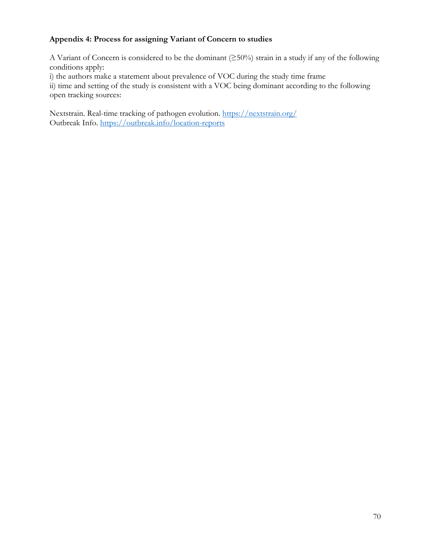## **Appendix 4: Process for assigning Variant of Concern to studies**

A Variant of Concern is considered to be the dominant (≥50%) strain in a study if any of the following conditions apply:

i) the authors make a statement about prevalence of VOC during the study time frame

ii) time and setting of the study is consistent with a VOC being dominant according to the following open tracking sources:

Nextstrain. Real-time tracking of pathogen evolution.<https://nextstrain.org/> Outbreak Info.<https://outbreak.info/location-reports>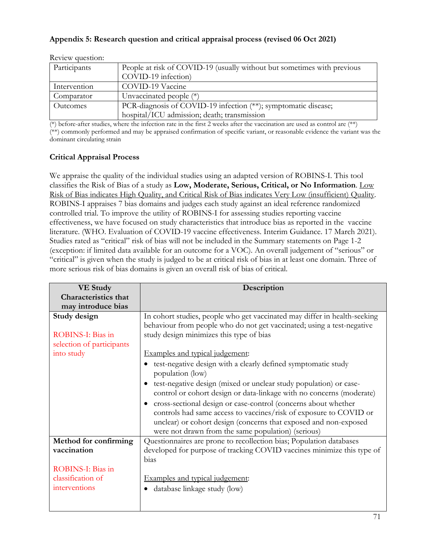## **Appendix 5: Research question and critical appraisal process (revised 06 Oct 2021)**

| Participants | People at risk of COVID-19 (usually without but sometimes with previous<br>COVID-19 infection) |
|--------------|------------------------------------------------------------------------------------------------|
| Intervention | COVID-19 Vaccine                                                                               |
| Comparator   | Unvaccinated people $(*)$                                                                      |
| Outcomes     | PCR-diagnosis of COVID-19 infection (**); symptomatic disease;                                 |
|              | hospital/ICU admission; death; transmission                                                    |

Review question:

(\*) before-after studies, where the infection rate in the first 2 weeks after the vaccination are used as control are (\*\*)

(\*\*) commonly performed and may be appraised confirmation of specific variant, or reasonable evidence the variant was the dominant circulating strain

### **Critical Appraisal Process**

We appraise the quality of the individual studies using an adapted version of ROBINS-I. This tool classifies the Risk of Bias of a study as **Low, Moderate, Serious, Critical, or No Information**. Low Risk of Bias indicates High Quality, and Critical Risk of Bias indicates Very Low (insufficient) Quality. ROBINS-I appraises 7 bias domains and judges each study against an ideal reference randomized controlled trial. To improve the utility of ROBINS-I for assessing studies reporting vaccine effectiveness, we have focused on study characteristics that introduce bias as reported in the vaccine literature. (WHO. Evaluation of COVID-19 vaccine effectiveness. Interim Guidance. 17 March 2021). Studies rated as "critical" risk of bias will not be included in the Summary statements on Page 1-2 (exception: if limited data available for an outcome for a VOC). An overall judgement of "serious" or "critical" is given when the study is judged to be at critical risk of bias in at least one domain. Three of more serious risk of bias domains is given an overall risk of bias of critical.

| <b>VE Study</b>             | Description                                                                                                                                                                                                                                                                |
|-----------------------------|----------------------------------------------------------------------------------------------------------------------------------------------------------------------------------------------------------------------------------------------------------------------------|
| <b>Characteristics that</b> |                                                                                                                                                                                                                                                                            |
| may introduce bias          |                                                                                                                                                                                                                                                                            |
| Study design                | In cohort studies, people who get vaccinated may differ in health-seeking                                                                                                                                                                                                  |
|                             | behaviour from people who do not get vaccinated; using a test-negative                                                                                                                                                                                                     |
| ROBINS-I: Bias in           | study design minimizes this type of bias                                                                                                                                                                                                                                   |
| selection of participants   |                                                                                                                                                                                                                                                                            |
| into study                  | Examples and typical judgement:                                                                                                                                                                                                                                            |
|                             | test-negative design with a clearly defined symptomatic study<br>population (low)                                                                                                                                                                                          |
|                             | test-negative design (mixed or unclear study population) or case-<br>$\bullet$<br>control or cohort design or data-linkage with no concerns (moderate)                                                                                                                     |
|                             | cross-sectional design or case-control (concerns about whether<br>$\bullet$<br>controls had same access to vaccines/risk of exposure to COVID or<br>unclear) or cohort design (concerns that exposed and non-exposed<br>were not drawn from the same population) (serious) |
| Method for confirming       | Questionnaires are prone to recollection bias; Population databases                                                                                                                                                                                                        |
| vaccination                 | developed for purpose of tracking COVID vaccines minimize this type of                                                                                                                                                                                                     |
|                             | bias                                                                                                                                                                                                                                                                       |
| ROBINS-I: Bias in           |                                                                                                                                                                                                                                                                            |
| classification of           | Examples and typical judgement:                                                                                                                                                                                                                                            |
| interventions               | database linkage study (low)                                                                                                                                                                                                                                               |
|                             |                                                                                                                                                                                                                                                                            |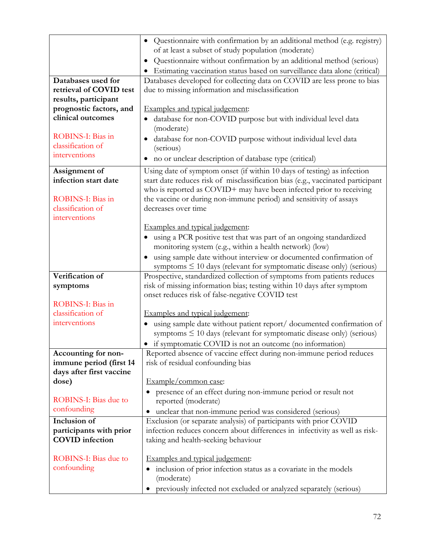|                                                     | · Questionnaire with confirmation by an additional method (e.g. registry)                |
|-----------------------------------------------------|------------------------------------------------------------------------------------------|
|                                                     | of at least a subset of study population (moderate)                                      |
|                                                     | Questionnaire without confirmation by an additional method (serious)                     |
|                                                     | Estimating vaccination status based on surveillance data alone (critical)                |
| Databases used for                                  | Databases developed for collecting data on COVID are less prone to bias                  |
| retrieval of COVID test                             | due to missing information and misclassification                                         |
| results, participant                                |                                                                                          |
| prognostic factors, and                             | Examples and typical judgement:                                                          |
| clinical outcomes                                   | database for non-COVID purpose but with individual level data<br>$\bullet$<br>(moderate) |
| ROBINS-I: Bias in                                   | database for non-COVID purpose without individual level data<br>$\bullet$                |
| classification of                                   | (serious)                                                                                |
| interventions                                       | no or unclear description of database type (critical)<br>$\bullet$                       |
| Assignment of                                       | Using date of symptom onset (if within 10 days of testing) as infection                  |
| infection start date                                | start date reduces risk of misclassification bias (e.g., vaccinated participant          |
|                                                     | who is reported as COVID+ may have been infected prior to receiving                      |
| ROBINS-I: Bias in                                   | the vaccine or during non-immune period) and sensitivity of assays                       |
| classification of<br>interventions                  | decreases over time                                                                      |
|                                                     | Examples and typical judgement:                                                          |
|                                                     | using a PCR positive test that was part of an ongoing standardized                       |
|                                                     | monitoring system (e.g., within a health network) (low)                                  |
|                                                     | using sample date without interview or documented confirmation of                        |
|                                                     | symptoms $\leq 10$ days (relevant for symptomatic disease only) (serious)                |
| Verification of                                     | Prospective, standardized collection of symptoms from patients reduces                   |
| symptoms                                            | risk of missing information bias; testing within 10 days after symptom                   |
|                                                     | onset reduces risk of false-negative COVID test                                          |
| ROBINS-I: Bias in                                   |                                                                                          |
| classification of                                   | Examples and typical judgement:                                                          |
| interventions                                       | using sample date without patient report/ documented confirmation of                     |
|                                                     | symptoms $\leq 10$ days (relevant for symptomatic disease only) (serious)                |
|                                                     | if symptomatic COVID is not an outcome (no information)                                  |
| Accounting for non-                                 | Reported absence of vaccine effect during non-immune period reduces                      |
| immune period (first 14<br>days after first vaccine | risk of residual confounding bias                                                        |
| dose)                                               | Example/common case:                                                                     |
|                                                     | presence of an effect during non-immune period or result not<br>$\bullet$                |
| ROBINS-I: Bias due to                               | reported (moderate)                                                                      |
| confounding                                         | unclear that non-immune period was considered (serious)                                  |
| Inclusion of                                        | Exclusion (or separate analysis) of participants with prior COVID                        |
| participants with prior                             | infection reduces concern about differences in infectivity as well as risk-              |
| <b>COVID</b> infection                              | taking and health-seeking behaviour                                                      |
|                                                     |                                                                                          |
| ROBINS-I: Bias due to                               | Examples and typical judgement:                                                          |
| confounding                                         | inclusion of prior infection status as a covariate in the models<br>(moderate)           |
|                                                     | previously infected not excluded or analyzed separately (serious)                        |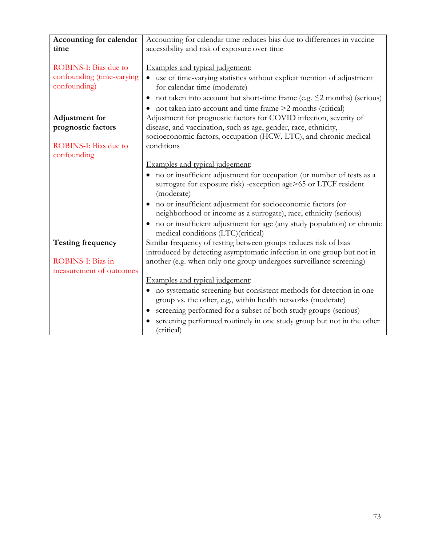| Accounting for calendar   | Accounting for calendar time reduces bias due to differences in vaccine      |
|---------------------------|------------------------------------------------------------------------------|
| time                      | accessibility and risk of exposure over time                                 |
|                           |                                                                              |
|                           |                                                                              |
| ROBINS-I: Bias due to     | Examples and typical judgement:                                              |
| confounding (time-varying | use of time-varying statistics without explicit mention of adjustment        |
| confounding)              | for calendar time (moderate)                                                 |
|                           | not taken into account but short-time frame (e.g. $\leq$ 2 months) (serious) |
|                           | not taken into account and time frame >2 months (critical)                   |
| <b>Adjustment</b> for     | Adjustment for prognostic factors for COVID infection, severity of           |
| prognostic factors        | disease, and vaccination, such as age, gender, race, ethnicity,              |
|                           | socioeconomic factors, occupation (HCW, LTC), and chronic medical            |
| ROBINS-I: Bias due to     | conditions                                                                   |
| confounding               |                                                                              |
|                           | Examples and typical judgement:                                              |
|                           |                                                                              |
|                           | no or insufficient adjustment for occupation (or number of tests as a        |
|                           | surrogate for exposure risk) -exception age>65 or LTCF resident              |
|                           | (moderate)                                                                   |
|                           | • no or insufficient adjustment for socioeconomic factors (or                |
|                           | neighborhood or income as a surrogate), race, ethnicity (serious)            |
|                           | no or insufficient adjustment for age (any study population) or chronic      |
|                           | medical conditions (LTC)(critical)                                           |
| <b>Testing frequency</b>  | Similar frequency of testing between groups reduces risk of bias             |
|                           | introduced by detecting asymptomatic infection in one group but not in       |
| ROBINS-I: Bias in         | another (e.g. when only one group undergoes surveillance screening)          |
| measurement of outcomes   |                                                                              |
|                           | Examples and typical judgement:                                              |
|                           | • no systematic screening but consistent methods for detection in one        |
|                           | group vs. the other, e.g., within health networks (moderate)                 |
|                           | screening performed for a subset of both study groups (serious)              |
|                           | screening performed routinely in one study group but not in the other        |
|                           | (critical)                                                                   |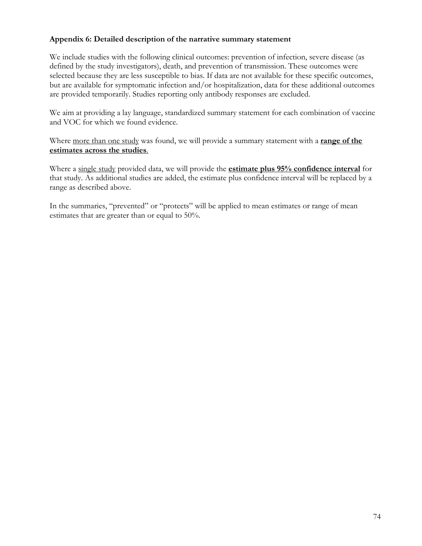## **Appendix 6: Detailed description of the narrative summary statement**

We include studies with the following clinical outcomes: prevention of infection, severe disease (as defined by the study investigators), death, and prevention of transmission. These outcomes were selected because they are less susceptible to bias. If data are not available for these specific outcomes, but are available for symptomatic infection and/or hospitalization, data for these additional outcomes are provided temporarily. Studies reporting only antibody responses are excluded.

We aim at providing a lay language, standardized summary statement for each combination of vaccine and VOC for which we found evidence.

Where more than one study was found, we will provide a summary statement with a **range of the estimates across the studies**.

Where a single study provided data, we will provide the **estimate plus 95% confidence interval** for that study. As additional studies are added, the estimate plus confidence interval will be replaced by a range as described above.

In the summaries, "prevented" or "protects" will be applied to mean estimates or range of mean estimates that are greater than or equal to 50%.